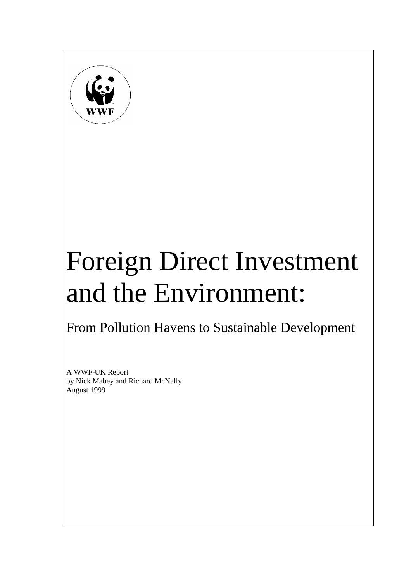

# Foreign Direct Investment and the Environment:

# From Pollution Havens to Sustainable Development

A WWF-UK Report by Nick Mabey and Richard McNally August 1999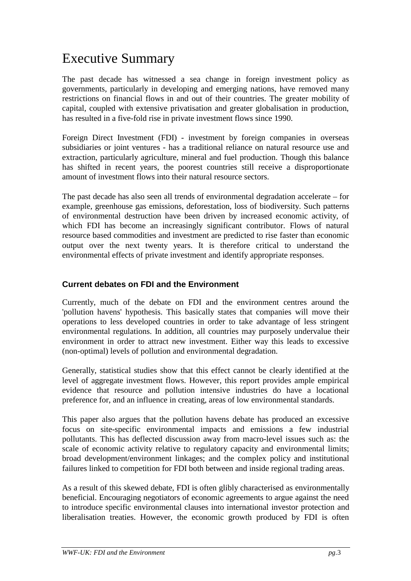# Executive Summary

The past decade has witnessed a sea change in foreign investment policy as governments, particularly in developing and emerging nations, have removed many restrictions on financial flows in and out of their countries. The greater mobility of capital, coupled with extensive privatisation and greater globalisation in production, has resulted in a five-fold rise in private investment flows since 1990.

Foreign Direct Investment (FDI) - investment by foreign companies in overseas subsidiaries or joint ventures - has a traditional reliance on natural resource use and extraction, particularly agriculture, mineral and fuel production. Though this balance has shifted in recent years, the poorest countries still receive a disproportionate amount of investment flows into their natural resource sectors.

The past decade has also seen all trends of environmental degradation accelerate – for example, greenhouse gas emissions, deforestation, loss of biodiversity. Such patterns of environmental destruction have been driven by increased economic activity, of which FDI has become an increasingly significant contributor. Flows of natural resource based commodities and investment are predicted to rise faster than economic output over the next twenty years. It is therefore critical to understand the environmental effects of private investment and identify appropriate responses.

#### **Current debates on FDI and the Environment**

Currently, much of the debate on FDI and the environment centres around the 'pollution havens' hypothesis. This basically states that companies will move their operations to less developed countries in order to take advantage of less stringent environmental regulations. In addition, all countries may purposely undervalue their environment in order to attract new investment. Either way this leads to excessive (non-optimal) levels of pollution and environmental degradation.

Generally, statistical studies show that this effect cannot be clearly identified at the level of aggregate investment flows. However, this report provides ample empirical evidence that resource and pollution intensive industries do have a locational preference for, and an influence in creating, areas of low environmental standards.

This paper also argues that the pollution havens debate has produced an excessive focus on site-specific environmental impacts and emissions a few industrial pollutants. This has deflected discussion away from macro-level issues such as: the scale of economic activity relative to regulatory capacity and environmental limits; broad development/environment linkages; and the complex policy and institutional failures linked to competition for FDI both between and inside regional trading areas.

As a result of this skewed debate, FDI is often glibly characterised as environmentally beneficial. Encouraging negotiators of economic agreements to argue against the need to introduce specific environmental clauses into international investor protection and liberalisation treaties. However, the economic growth produced by FDI is often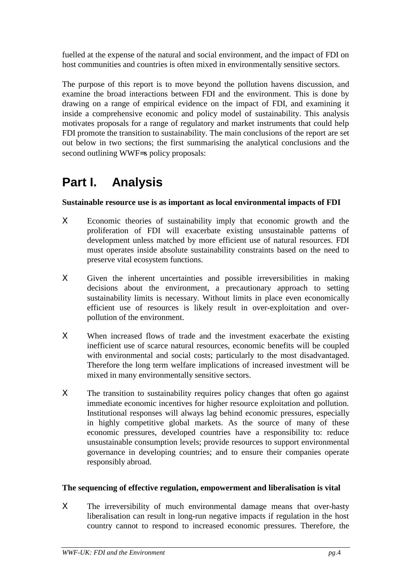fuelled at the expense of the natural and social environment, and the impact of FDI on host communities and countries is often mixed in environmentally sensitive sectors.

The purpose of this report is to move beyond the pollution havens discussion, and examine the broad interactions between FDI and the environment. This is done by drawing on a range of empirical evidence on the impact of FDI, and examining it inside a comprehensive economic and policy model of sustainability. This analysis motivates proposals for a range of regulatory and market instruments that could help FDI promote the transition to sustainability. The main conclusions of the report are set out below in two sections; the first summarising the analytical conclusions and the second outlining WWF=s policy proposals:

# **Part I. Analysis**

#### **Sustainable resource use is as important as local environmental impacts of FDI**

- Χ Economic theories of sustainability imply that economic growth and the proliferation of FDI will exacerbate existing unsustainable patterns of development unless matched by more efficient use of natural resources. FDI must operates inside absolute sustainability constraints based on the need to preserve vital ecosystem functions.
- Χ Given the inherent uncertainties and possible irreversibilities in making decisions about the environment, a precautionary approach to setting sustainability limits is necessary. Without limits in place even economically efficient use of resources is likely result in over-exploitation and overpollution of the environment.
- X When increased flows of trade and the investment exacerbate the existing inefficient use of scarce natural resources, economic benefits will be coupled with environmental and social costs; particularly to the most disadvantaged. Therefore the long term welfare implications of increased investment will be mixed in many environmentally sensitive sectors.
- X The transition to sustainability requires policy changes that often go against immediate economic incentives for higher resource exploitation and pollution. Institutional responses will always lag behind economic pressures, especially in highly competitive global markets. As the source of many of these economic pressures, developed countries have a responsibility to: reduce unsustainable consumption levels; provide resources to support environmental governance in developing countries; and to ensure their companies operate responsibly abroad.

#### **The sequencing of effective regulation, empowerment and liberalisation is vital**

X The irreversibility of much environmental damage means that over-hasty liberalisation can result in long-run negative impacts if regulation in the host country cannot to respond to increased economic pressures. Therefore, the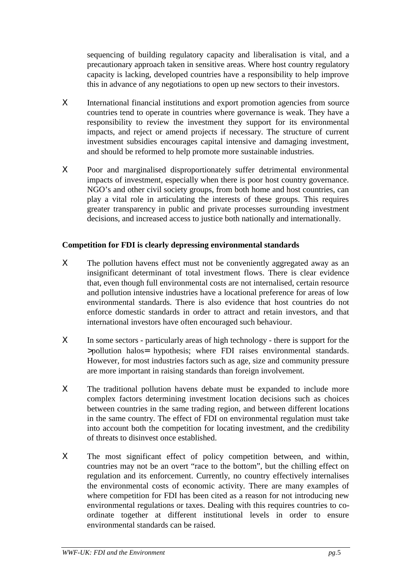sequencing of building regulatory capacity and liberalisation is vital, and a precautionary approach taken in sensitive areas. Where host country regulatory capacity is lacking, developed countries have a responsibility to help improve this in advance of any negotiations to open up new sectors to their investors.

- Χ International financial institutions and export promotion agencies from source countries tend to operate in countries where governance is weak. They have a responsibility to review the investment they support for its environmental impacts, and reject or amend projects if necessary. The structure of current investment subsidies encourages capital intensive and damaging investment, and should be reformed to help promote more sustainable industries.
- Χ Poor and marginalised disproportionately suffer detrimental environmental impacts of investment, especially when there is poor host country governance. NGO's and other civil society groups, from both home and host countries, can play a vital role in articulating the interests of these groups. This requires greater transparency in public and private processes surrounding investment decisions, and increased access to justice both nationally and internationally.

#### **Competition for FDI is clearly depressing environmental standards**

- X The pollution havens effect must not be conveniently aggregated away as an insignificant determinant of total investment flows. There is clear evidence that, even though full environmental costs are not internalised, certain resource and pollution intensive industries have a locational preference for areas of low environmental standards. There is also evidence that host countries do not enforce domestic standards in order to attract and retain investors, and that international investors have often encouraged such behaviour.
- Χ In some sectors particularly areas of high technology there is support for the >pollution halos= hypothesis; where FDI raises environmental standards. However, for most industries factors such as age, size and community pressure are more important in raising standards than foreign involvement.
- X The traditional pollution havens debate must be expanded to include more complex factors determining investment location decisions such as choices between countries in the same trading region, and between different locations in the same country. The effect of FDI on environmental regulation must take into account both the competition for locating investment, and the credibility of threats to disinvest once established.
- X The most significant effect of policy competition between, and within, countries may not be an overt "race to the bottom", but the chilling effect on regulation and its enforcement. Currently, no country effectively internalises the environmental costs of economic activity. There are many examples of where competition for FDI has been cited as a reason for not introducing new environmental regulations or taxes. Dealing with this requires countries to coordinate together at different institutional levels in order to ensure environmental standards can be raised.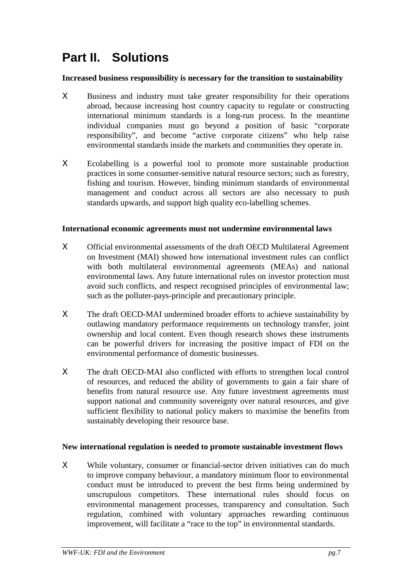## **Part II. Solutions**

#### **Increased business responsibility is necessary for the transition to sustainability**

- X Business and industry must take greater responsibility for their operations abroad, because increasing host country capacity to regulate or constructing international minimum standards is a long-run process. In the meantime individual companies must go beyond a position of basic "corporate responsibility", and become "active corporate citizens" who help raise environmental standards inside the markets and communities they operate in.
- Χ Ecolabelling is a powerful tool to promote more sustainable production practices in some consumer-sensitive natural resource sectors; such as forestry, fishing and tourism. However, binding minimum standards of environmental management and conduct across all sectors are also necessary to push standards upwards, and support high quality eco-labelling schemes.

#### **International economic agreements must not undermine environmental laws**

- Χ Official environmental assessments of the draft OECD Multilateral Agreement on Investment (MAI) showed how international investment rules can conflict with both multilateral environmental agreements (MEAs) and national environmental laws. Any future international rules on investor protection must avoid such conflicts, and respect recognised principles of environmental law; such as the polluter-pays-principle and precautionary principle.
- Χ The draft OECD-MAI undermined broader efforts to achieve sustainability by outlawing mandatory performance requirements on technology transfer, joint ownership and local content. Even though research shows these instruments can be powerful drivers for increasing the positive impact of FDI on the environmental performance of domestic businesses.
- Χ The draft OECD-MAI also conflicted with efforts to strengthen local control of resources, and reduced the ability of governments to gain a fair share of benefits from natural resource use. Any future investment agreements must support national and community sovereignty over natural resources, and give sufficient flexibility to national policy makers to maximise the benefits from sustainably developing their resource base.

#### **New international regulation is needed to promote sustainable investment flows**

Χ While voluntary, consumer or financial-sector driven initiatives can do much to improve company behaviour, a mandatory minimum floor to environmental conduct must be introduced to prevent the best firms being undermined by unscrupulous competitors. These international rules should focus on environmental management processes, transparency and consultation. Such regulation, combined with voluntary approaches rewarding continuous improvement, will facilitate a "race to the top" in environmental standards.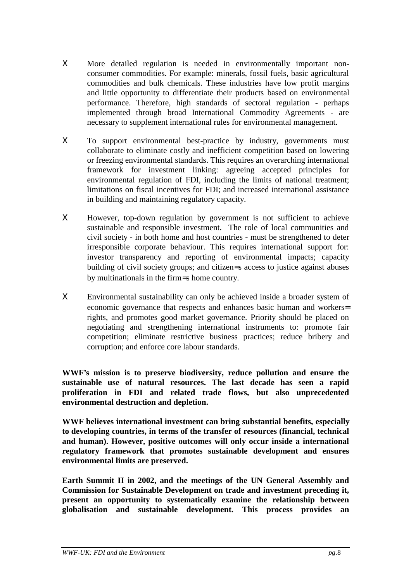- Χ More detailed regulation is needed in environmentally important nonconsumer commodities. For example: minerals, fossil fuels, basic agricultural commodities and bulk chemicals. These industries have low profit margins and little opportunity to differentiate their products based on environmental performance. Therefore, high standards of sectoral regulation - perhaps implemented through broad International Commodity Agreements - are necessary to supplement international rules for environmental management.
- X To support environmental best-practice by industry, governments must collaborate to eliminate costly and inefficient competition based on lowering or freezing environmental standards. This requires an overarching international framework for investment linking: agreeing accepted principles for environmental regulation of FDI, including the limits of national treatment; limitations on fiscal incentives for FDI; and increased international assistance in building and maintaining regulatory capacity.
- Χ However, top-down regulation by government is not sufficient to achieve sustainable and responsible investment. The role of local communities and civil society - in both home and host countries - must be strengthened to deter irresponsible corporate behaviour. This requires international support for: investor transparency and reporting of environmental impacts; capacity building of civil society groups; and citizen=s access to justice against abuses by multinationals in the firm=s home country.
- Χ Environmental sustainability can only be achieved inside a broader system of economic governance that respects and enhances basic human and workers= rights, and promotes good market governance. Priority should be placed on negotiating and strengthening international instruments to: promote fair competition; eliminate restrictive business practices; reduce bribery and corruption; and enforce core labour standards.

**WWF's mission is to preserve biodiversity, reduce pollution and ensure the sustainable use of natural resources. The last decade has seen a rapid proliferation in FDI and related trade flows, but also unprecedented environmental destruction and depletion.**

**WWF believes international investment can bring substantial benefits, especially to developing countries, in terms of the transfer of resources (financial, technical and human). However, positive outcomes will only occur inside a international regulatory framework that promotes sustainable development and ensures environmental limits are preserved.**

**Earth Summit II in 2002, and the meetings of the UN General Assembly and Commission for Sustainable Development on trade and investment preceding it, present an opportunity to systematically examine the relationship between globalisation and sustainable development. This process provides an**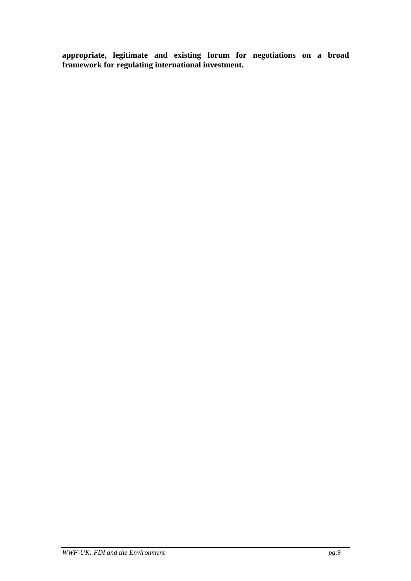**appropriate, legitimate and existing forum for negotiations on a broad framework for regulating international investment.**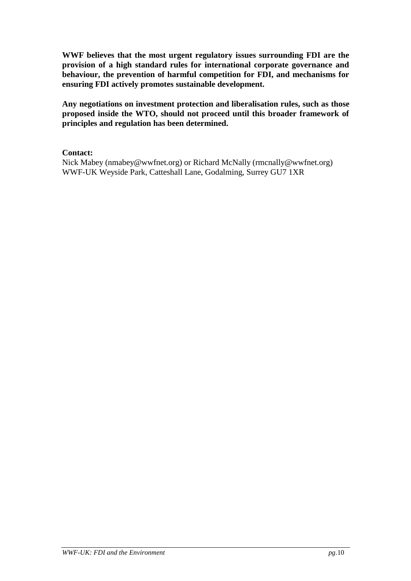**WWF believes that the most urgent regulatory issues surrounding FDI are the provision of a high standard rules for international corporate governance and behaviour, the prevention of harmful competition for FDI, and mechanisms for ensuring FDI actively promotes sustainable development.**

**Any negotiations on investment protection and liberalisation rules, such as those proposed inside the WTO, should not proceed until this broader framework of principles and regulation has been determined.**

#### **Contact:**

Nick Mabey (nmabey@wwfnet.org) or Richard McNally (rmcnally@wwfnet.org) WWF-UK Weyside Park, Catteshall Lane, Godalming, Surrey GU7 1XR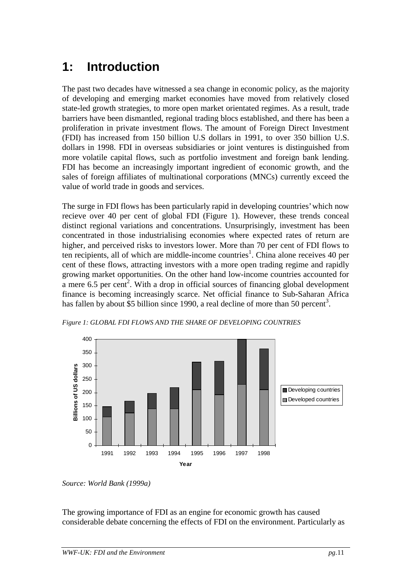### **1: Introduction**

The past two decades have witnessed a sea change in economic policy, as the majority of developing and emerging market economies have moved from relatively closed state-led growth strategies, to more open market orientated regimes. As a result, trade barriers have been dismantled, regional trading blocs established, and there has been a proliferation in private investment flows. The amount of Foreign Direct Investment (FDI) has increased from 150 billion U.S dollars in 1991, to over 350 billion U.S. dollars in 1998. FDI in overseas subsidiaries or joint ventures is distinguished from more volatile capital flows, such as portfolio investment and foreign bank lending. FDI has become an increasingly important ingredient of economic growth, and the sales of foreign affiliates of multinational corporations (MNCs) currently exceed the value of world trade in goods and services.

The surge in FDI flows has been particularly rapid in developing countries' which now recieve over 40 per cent of global FDI (Figure 1). However, these trends conceal distinct regional variations and concentrations. Unsurprisingly, investment has been concentrated in those industrialising economies where expected rates of return are higher, and perceived risks to investors lower. More than 70 per cent of FDI flows to ten recipients, all of which are middle-income countries<sup>1</sup>. China alone receives 40 per cent of these flows, attracting investors with a more open trading regime and rapidly growing market opportunities. On the other hand low-income countries accounted for a mere  $6.5$  per cent<sup>2</sup>. With a drop in official sources of financing global development finance is becoming increasingly scarce. Net official finance to Sub-Saharan Africa has fallen by about \$5 billion since 1990, a real decline of more than 50 percent<sup>3</sup>.



*Figure 1: GLOBAL FDI FLOWS AND THE SHARE OF DEVELOPING COUNTRIES*

The growing importance of FDI as an engine for economic growth has caused considerable debate concerning the effects of FDI on the environment. Particularly as

*Source: World Bank (1999a)*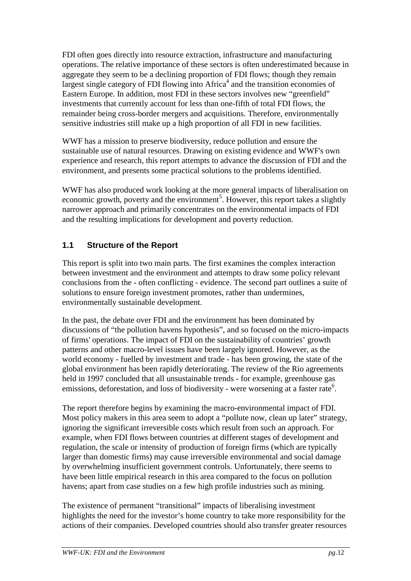FDI often goes directly into resource extraction, infrastructure and manufacturing operations. The relative importance of these sectors is often underestimated because in aggregate they seem to be a declining proportion of FDI flows; though they remain largest single category of FDI flowing into  $A$ frica<sup>4</sup> and the transition economies of Eastern Europe. In addition, most FDI in these sectors involves new "greenfield" investments that currently account for less than one-fifth of total FDI flows, the remainder being cross-border mergers and acquisitions. Therefore, environmentally sensitive industries still make up a high proportion of all FDI in new facilities.

WWF has a mission to preserve biodiversity, reduce pollution and ensure the sustainable use of natural resources. Drawing on existing evidence and WWF's own experience and research, this report attempts to advance the discussion of FDI and the environment, and presents some practical solutions to the problems identified.

WWF has also produced work looking at the more general impacts of liberalisation on economic growth, poverty and the environment<sup>5</sup>. However, this report takes a slightly narrower approach and primarily concentrates on the environmental impacts of FDI and the resulting implications for development and poverty reduction.

#### **1.1 Structure of the Report**

This report is split into two main parts. The first examines the complex interaction between investment and the environment and attempts to draw some policy relevant conclusions from the - often conflicting - evidence. The second part outlines a suite of solutions to ensure foreign investment promotes, rather than undermines, environmentally sustainable development.

In the past, the debate over FDI and the environment has been dominated by discussions of "the pollution havens hypothesis", and so focused on the micro-impacts of firms' operations. The impact of FDI on the sustainability of countries' growth patterns and other macro-level issues have been largely ignored. However, as the world economy - fuelled by investment and trade - has been growing, the state of the global environment has been rapidly deteriorating. The review of the Rio agreements held in 1997 concluded that all unsustainable trends - for example, greenhouse gas emissions, deforestation, and loss of biodiversity - were worsening at a faster rate<sup>6</sup>.

The report therefore begins by examining the macro-environmental impact of FDI. Most policy makers in this area seem to adopt a "pollute now, clean up later" strategy, ignoring the significant irreversible costs which result from such an approach. For example, when FDI flows between countries at different stages of development and regulation, the scale or intensity of production of foreign firms (which are typically larger than domestic firms) may cause irreversible environmental and social damage by overwhelming insufficient government controls. Unfortunately, there seems to have been little empirical research in this area compared to the focus on pollution havens; apart from case studies on a few high profile industries such as mining.

The existence of permanent "transitional" impacts of liberalising investment highlights the need for the investor's home country to take more responsibility for the actions of their companies. Developed countries should also transfer greater resources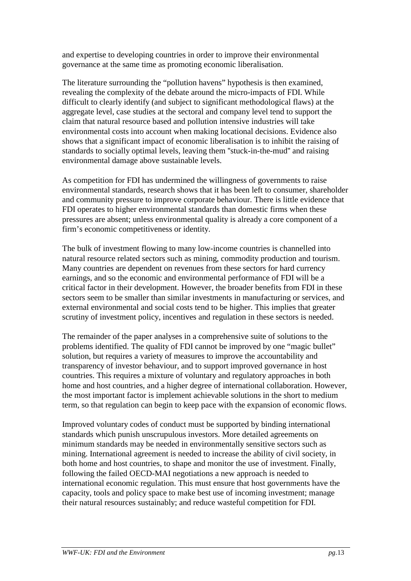and expertise to developing countries in order to improve their environmental governance at the same time as promoting economic liberalisation.

The literature surrounding the "pollution havens" hypothesis is then examined, revealing the complexity of the debate around the micro-impacts of FDI. While difficult to clearly identify (and subject to significant methodological flaws) at the aggregate level, case studies at the sectoral and company level tend to support the claim that natural resource based and pollution intensive industries will take environmental costs into account when making locational decisions. Evidence also shows that a significant impact of economic liberalisation is to inhibit the raising of standards to socially optimal levels, leaving them ''stuck-in-the-mud'' and raising environmental damage above sustainable levels.

As competition for FDI has undermined the willingness of governments to raise environmental standards, research shows that it has been left to consumer, shareholder and community pressure to improve corporate behaviour. There is little evidence that FDI operates to higher environmental standards than domestic firms when these pressures are absent; unless environmental quality is already a core component of a firm's economic competitiveness or identity.

The bulk of investment flowing to many low-income countries is channelled into natural resource related sectors such as mining, commodity production and tourism. Many countries are dependent on revenues from these sectors for hard currency earnings, and so the economic and environmental performance of FDI will be a critical factor in their development. However, the broader benefits from FDI in these sectors seem to be smaller than similar investments in manufacturing or services, and external environmental and social costs tend to be higher. This implies that greater scrutiny of investment policy, incentives and regulation in these sectors is needed.

The remainder of the paper analyses in a comprehensive suite of solutions to the problems identified. The quality of FDI cannot be improved by one "magic bullet" solution, but requires a variety of measures to improve the accountability and transparency of investor behaviour, and to support improved governance in host countries. This requires a mixture of voluntary and regulatory approaches in both home and host countries, and a higher degree of international collaboration. However, the most important factor is implement achievable solutions in the short to medium term, so that regulation can begin to keep pace with the expansion of economic flows.

Improved voluntary codes of conduct must be supported by binding international standards which punish unscrupulous investors. More detailed agreements on minimum standards may be needed in environmentally sensitive sectors such as mining. International agreement is needed to increase the ability of civil society, in both home and host countries, to shape and monitor the use of investment. Finally, following the failed OECD-MAI negotiations a new approach is needed to international economic regulation. This must ensure that host governments have the capacity, tools and policy space to make best use of incoming investment; manage their natural resources sustainably; and reduce wasteful competition for FDI.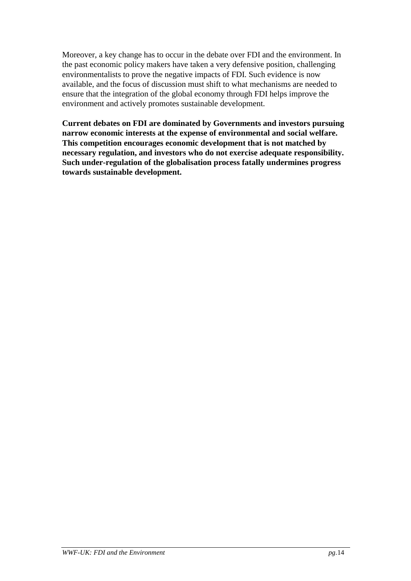Moreover, a key change has to occur in the debate over FDI and the environment. In the past economic policy makers have taken a very defensive position, challenging environmentalists to prove the negative impacts of FDI. Such evidence is now available, and the focus of discussion must shift to what mechanisms are needed to ensure that the integration of the global economy through FDI helps improve the environment and actively promotes sustainable development.

**Current debates on FDI are dominated by Governments and investors pursuing narrow economic interests at the expense of environmental and social welfare. This competition encourages economic development that is not matched by necessary regulation, and investors who do not exercise adequate responsibility. Such under-regulation of the globalisation process fatally undermines progress towards sustainable development.**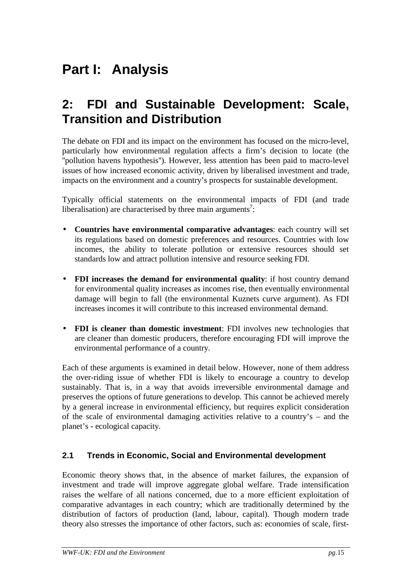# **Part I: Analysis**

### **2: FDI and Sustainable Development: Scale, Transition and Distribution**

The debate on FDI and its impact on the environment has focused on the micro-level, particularly how environmental regulation affects a firm's decision to locate (the ''pollution havens hypothesis''). However, less attention has been paid to macro-level issues of how increased economic activity, driven by liberalised investment and trade, impacts on the environment and a country's prospects for sustainable development.

Typically official statements on the environmental impacts of FDI (and trade liberalisation) are characterised by three main arguments<sup>7</sup>:

- **Countries have environmental comparative advantages**: each country will set its regulations based on domestic preferences and resources. Countries with low incomes, the ability to tolerate pollution or extensive resources should set standards low and attract pollution intensive and resource seeking FDI.
- **FDI increases the demand for environmental quality**: if host country demand for environmental quality increases as incomes rise, then eventually environmental damage will begin to fall (the environmental Kuznets curve argument). As FDI increases incomes it will contribute to this increased environmental demand.
- **FDI is cleaner than domestic investment**: FDI involves new technologies that are cleaner than domestic producers, therefore encouraging FDI will improve the environmental performance of a country.

Each of these arguments is examined in detail below. However, none of them address the over-riding issue of whether FDI is likely to encourage a country to develop sustainably. That is, in a way that avoids irreversible environmental damage and preserves the options of future generations to develop. This cannot be achieved merely by a general increase in environmental efficiency, but requires explicit consideration of the scale of environmental damaging activities relative to a country's – and the planet's - ecological capacity.

#### **2.1 Trends in Economic, Social and Environmental development**

Economic theory shows that, in the absence of market failures, the expansion of investment and trade will improve aggregate global welfare. Trade intensification raises the welfare of all nations concerned, due to a more efficient exploitation of comparative advantages in each country; which are traditionally determined by the distribution of factors of production (land, labour, capital). Though modern trade theory also stresses the importance of other factors, such as: economies of scale, first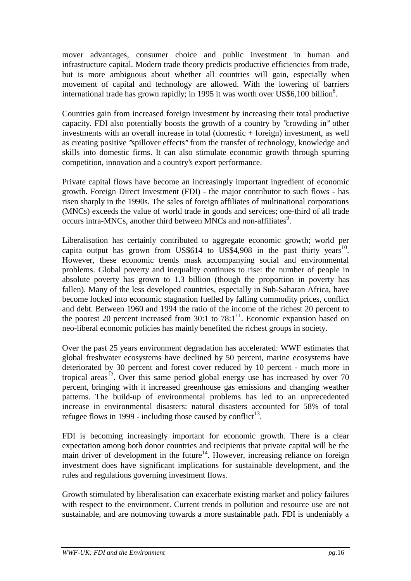mover advantages, consumer choice and public investment in human and infrastructure capital. Modern trade theory predicts productive efficiencies from trade, but is more ambiguous about whether all countries will gain, especially when movement of capital and technology are allowed. With the lowering of barriers international trade has grown rapidly; in 1995 it was worth over US\$6,100 billion<sup>8</sup>.

Countries gain from increased foreign investment by increasing their total productive capacity. FDI also potentially boosts the growth of a country by ''crowding in'' other investments with an overall increase in total (domestic + foreign) investment, as well as creating positive ''spillover effects'' from the transfer of technology, knowledge and skills into domestic firms. It can also stimulate economic growth through spurring competition, innovation and a country's export performance.

Private capital flows have become an increasingly important ingredient of economic growth. Foreign Direct Investment (FDI) - the major contributor to such flows - has risen sharply in the 1990s. The sales of foreign affiliates of multinational corporations (MNCs) exceeds the value of world trade in goods and services; one-third of all trade occurs intra-MNCs, another third between MNCs and non-affiliates<sup>9</sup>.

Liberalisation has certainly contributed to aggregate economic growth; world per capita output has grown from US\$614 to US\$4,908 in the past thirty years<sup>10</sup>. However, these economic trends mask accompanying social and environmental problems. Global poverty and inequality continues to rise: the number of people in absolute poverty has grown to 1.3 billion (though the proportion in poverty has fallen). Many of the less developed countries, especially in Sub-Saharan Africa, have become locked into economic stagnation fuelled by falling commodity prices, conflict and debt. Between 1960 and 1994 the ratio of the income of the richest 20 percent to the poorest 20 percent increased from  $30:1$  to  $78:1^{11}$ . Economic expansion based on neo-liberal economic policies has mainly benefited the richest groups in society.

Over the past 25 years environment degradation has accelerated: WWF estimates that global freshwater ecosystems have declined by 50 percent, marine ecosystems have deteriorated by 30 percent and forest cover reduced by 10 percent - much more in tropical areas<sup>12</sup>. Over this same period global energy use has increased by over 70 percent, bringing with it increased greenhouse gas emissions and changing weather patterns. The build-up of environmental problems has led to an unprecedented increase in environmental disasters: natural disasters accounted for 58% of total refugee flows in 1999 - including those caused by conflict<sup>13</sup>.

FDI is becoming increasingly important for economic growth. There is a clear expectation among both donor countries and recipients that private capital will be the main driver of development in the future<sup>14</sup>. However, increasing reliance on foreign investment does have significant implications for sustainable development, and the rules and regulations governing investment flows.

Growth stimulated by liberalisation can exacerbate existing market and policy failures with respect to the environment. Current trends in pollution and resource use are not sustainable, and are notmoving towards a more sustainable path. FDI is undeniably a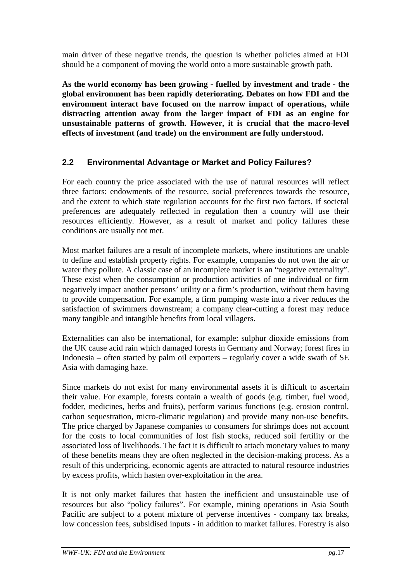main driver of these negative trends, the question is whether policies aimed at FDI should be a component of moving the world onto a more sustainable growth path.

**As the world economy has been growing - fuelled by investment and trade - the global environment has been rapidly deteriorating. Debates on how FDI and the environment interact have focused on the narrow impact of operations, while distracting attention away from the larger impact of FDI as an engine for unsustainable patterns of growth. However, it is crucial that the macro-level effects of investment (and trade) on the environment are fully understood.**

#### **2.2 Environmental Advantage or Market and Policy Failures?**

For each country the price associated with the use of natural resources will reflect three factors: endowments of the resource, social preferences towards the resource, and the extent to which state regulation accounts for the first two factors. If societal preferences are adequately reflected in regulation then a country will use their resources efficiently. However, as a result of market and policy failures these conditions are usually not met.

Most market failures are a result of incomplete markets, where institutions are unable to define and establish property rights. For example, companies do not own the air or water they pollute. A classic case of an incomplete market is an "negative externality". These exist when the consumption or production activities of one individual or firm negatively impact another persons' utility or a firm's production, without them having to provide compensation. For example, a firm pumping waste into a river reduces the satisfaction of swimmers downstream; a company clear-cutting a forest may reduce many tangible and intangible benefits from local villagers.

Externalities can also be international, for example: sulphur dioxide emissions from the UK cause acid rain which damaged forests in Germany and Norway; forest fires in Indonesia – often started by palm oil exporters – regularly cover a wide swath of SE Asia with damaging haze.

Since markets do not exist for many environmental assets it is difficult to ascertain their value. For example, forests contain a wealth of goods (e.g. timber, fuel wood, fodder, medicines, herbs and fruits), perform various functions (e.g. erosion control, carbon sequestration, micro-climatic regulation) and provide many non-use benefits. The price charged by Japanese companies to consumers for shrimps does not account for the costs to local communities of lost fish stocks, reduced soil fertility or the associated loss of livelihoods. The fact it is difficult to attach monetary values to many of these benefits means they are often neglected in the decision-making process. As a result of this underpricing, economic agents are attracted to natural resource industries by excess profits, which hasten over-exploitation in the area.

It is not only market failures that hasten the inefficient and unsustainable use of resources but also "policy failures". For example, mining operations in Asia South Pacific are subject to a potent mixture of perverse incentives - company tax breaks, low concession fees, subsidised inputs - in addition to market failures. Forestry is also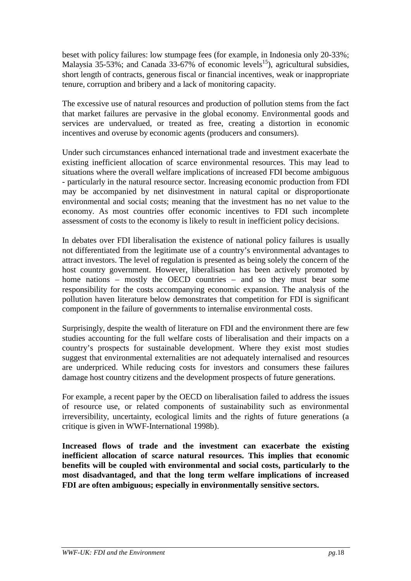beset with policy failures: low stumpage fees (for example, in Indonesia only 20-33%; Malaysia 35-53%; and Canada 33-67% of economic levels<sup>15</sup>), agricultural subsidies, short length of contracts, generous fiscal or financial incentives, weak or inappropriate tenure, corruption and bribery and a lack of monitoring capacity.

The excessive use of natural resources and production of pollution stems from the fact that market failures are pervasive in the global economy. Environmental goods and services are undervalued, or treated as free, creating a distortion in economic incentives and overuse by economic agents (producers and consumers).

Under such circumstances enhanced international trade and investment exacerbate the existing inefficient allocation of scarce environmental resources. This may lead to situations where the overall welfare implications of increased FDI become ambiguous - particularly in the natural resource sector. Increasing economic production from FDI may be accompanied by net disinvestment in natural capital or disproportionate environmental and social costs; meaning that the investment has no net value to the economy. As most countries offer economic incentives to FDI such incomplete assessment of costs to the economy is likely to result in inefficient policy decisions.

In debates over FDI liberalisation the existence of national policy failures is usually not differentiated from the legitimate use of a country's environmental advantages to attract investors. The level of regulation is presented as being solely the concern of the host country government. However, liberalisation has been actively promoted by home nations – mostly the OECD countries – and so they must bear some responsibility for the costs accompanying economic expansion. The analysis of the pollution haven literature below demonstrates that competition for FDI is significant component in the failure of governments to internalise environmental costs.

Surprisingly, despite the wealth of literature on FDI and the environment there are few studies accounting for the full welfare costs of liberalisation and their impacts on a country's prospects for sustainable development. Where they exist most studies suggest that environmental externalities are not adequately internalised and resources are underpriced. While reducing costs for investors and consumers these failures damage host country citizens and the development prospects of future generations.

For example, a recent paper by the OECD on liberalisation failed to address the issues of resource use, or related components of sustainability such as environmental irreversibility, uncertainty, ecological limits and the rights of future generations (a critique is given in WWF-International 1998b).

**Increased flows of trade and the investment can exacerbate the existing inefficient allocation of scarce natural resources. This implies that economic benefits will be coupled with environmental and social costs, particularly to the most disadvantaged, and that the long term welfare implications of increased FDI are often ambiguous; especially in environmentally sensitive sectors.**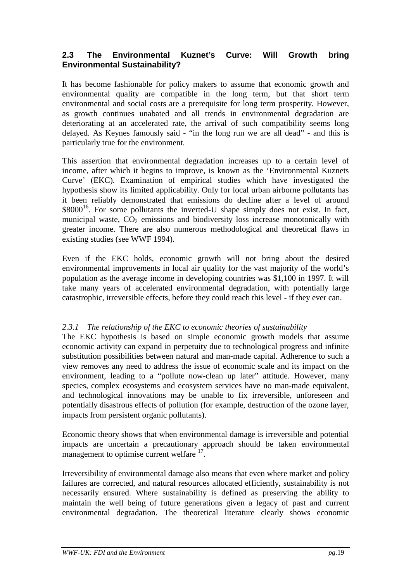#### **2.3 The Environmental Kuznet's Curve: Will Growth bring Environmental Sustainability?**

It has become fashionable for policy makers to assume that economic growth and environmental quality are compatible in the long term, but that short term environmental and social costs are a prerequisite for long term prosperity. However, as growth continues unabated and all trends in environmental degradation are deteriorating at an accelerated rate, the arrival of such compatibility seems long delayed. As Keynes famously said - "in the long run we are all dead" - and this is particularly true for the environment.

This assertion that environmental degradation increases up to a certain level of income, after which it begins to improve, is known as the 'Environmental Kuznets Curve' (EKC). Examination of empirical studies which have investigated the hypothesis show its limited applicability. Only for local urban airborne pollutants has it been reliably demonstrated that emissions do decline after a level of around  $$8000<sup>16</sup>$ . For some pollutants the inverted-U shape simply does not exist. In fact, municipal waste,  $CO<sub>2</sub>$  emissions and biodiversity loss increase monotonically with greater income. There are also numerous methodological and theoretical flaws in existing studies (see WWF 1994).

Even if the EKC holds, economic growth will not bring about the desired environmental improvements in local air quality for the vast majority of the world's population as the average income in developing countries was \$1,100 in 1997. It will take many years of accelerated environmental degradation, with potentially large catastrophic, irreversible effects, before they could reach this level - if they ever can.

#### *2.3.1 The relationship of the EKC to economic theories of sustainability*

The EKC hypothesis is based on simple economic growth models that assume economic activity can expand in perpetuity due to technological progress and infinite substitution possibilities between natural and man-made capital. Adherence to such a view removes any need to address the issue of economic scale and its impact on the environment, leading to a "pollute now-clean up later" attitude. However, many species, complex ecosystems and ecosystem services have no man-made equivalent, and technological innovations may be unable to fix irreversible, unforeseen and potentially disastrous effects of pollution (for example, destruction of the ozone layer, impacts from persistent organic pollutants).

Economic theory shows that when environmental damage is irreversible and potential impacts are uncertain a precautionary approach should be taken environmental management to optimise current welfare <sup>17</sup>.

Irreversibility of environmental damage also means that even where market and policy failures are corrected, and natural resources allocated efficiently, sustainability is not necessarily ensured. Where sustainability is defined as preserving the ability to maintain the well being of future generations given a legacy of past and current environmental degradation. The theoretical literature clearly shows economic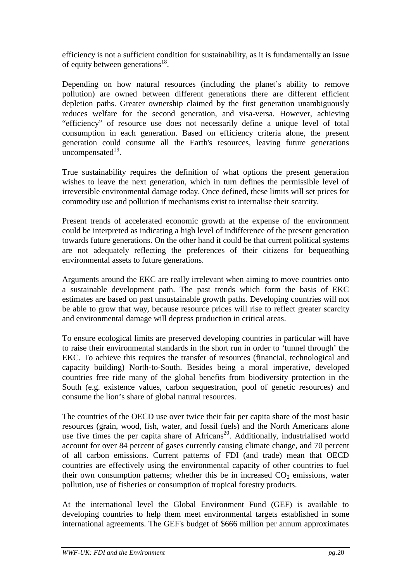efficiency is not a sufficient condition for sustainability, as it is fundamentally an issue of equity between generations<sup>18</sup>.

Depending on how natural resources (including the planet's ability to remove pollution) are owned between different generations there are different efficient depletion paths. Greater ownership claimed by the first generation unambiguously reduces welfare for the second generation, and visa-versa. However, achieving "efficiency" of resource use does not necessarily define a unique level of total consumption in each generation. Based on efficiency criteria alone, the present generation could consume all the Earth's resources, leaving future generations uncompensated $19$ .

True sustainability requires the definition of what options the present generation wishes to leave the next generation, which in turn defines the permissible level of irreversible environmental damage today. Once defined, these limits will set prices for commodity use and pollution if mechanisms exist to internalise their scarcity.

Present trends of accelerated economic growth at the expense of the environment could be interpreted as indicating a high level of indifference of the present generation towards future generations. On the other hand it could be that current political systems are not adequately reflecting the preferences of their citizens for bequeathing environmental assets to future generations.

Arguments around the EKC are really irrelevant when aiming to move countries onto a sustainable development path. The past trends which form the basis of EKC estimates are based on past unsustainable growth paths. Developing countries will not be able to grow that way, because resource prices will rise to reflect greater scarcity and environmental damage will depress production in critical areas.

To ensure ecological limits are preserved developing countries in particular will have to raise their environmental standards in the short run in order to 'tunnel through' the EKC. To achieve this requires the transfer of resources (financial, technological and capacity building) North-to-South. Besides being a moral imperative, developed countries free ride many of the global benefits from biodiversity protection in the South (e.g. existence values, carbon sequestration, pool of genetic resources) and consume the lion's share of global natural resources.

The countries of the OECD use over twice their fair per capita share of the most basic resources (grain, wood, fish, water, and fossil fuels) and the North Americans alone use five times the per capita share of Africans<sup>20</sup>. Additionally, industrialised world account for over 84 percent of gases currently causing climate change, and 70 percent of all carbon emissions. Current patterns of FDI (and trade) mean that OECD countries are effectively using the environmental capacity of other countries to fuel their own consumption patterns; whether this be in increased  $CO<sub>2</sub>$  emissions, water pollution, use of fisheries or consumption of tropical forestry products.

At the international level the Global Environment Fund (GEF) is available to developing countries to help them meet environmental targets established in some international agreements. The GEF's budget of \$666 million per annum approximates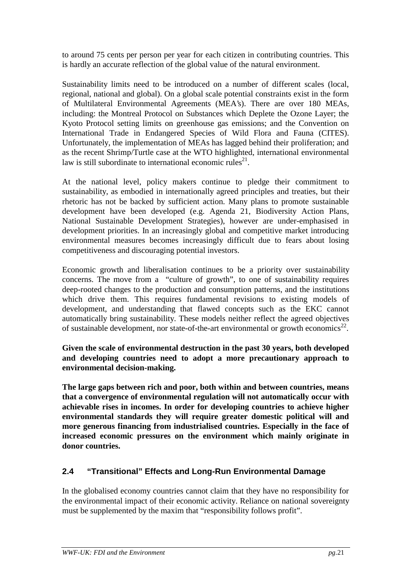to around 75 cents per person per year for each citizen in contributing countries. This is hardly an accurate reflection of the global value of the natural environment.

Sustainability limits need to be introduced on a number of different scales (local, regional, national and global). On a global scale potential constraints exist in the form of Multilateral Environmental Agreements (MEA's). There are over 180 MEAs, including: the Montreal Protocol on Substances which Deplete the Ozone Layer; the Kyoto Protocol setting limits on greenhouse gas emissions; and the Convention on International Trade in Endangered Species of Wild Flora and Fauna (CITES). Unfortunately, the implementation of MEAs has lagged behind their proliferation; and as the recent Shrimp/Turtle case at the WTO highlighted, international environmental law is still subordinate to international economic rules<sup>21</sup>.

At the national level, policy makers continue to pledge their commitment to sustainability, as embodied in internationally agreed principles and treaties, but their rhetoric has not be backed by sufficient action. Many plans to promote sustainable development have been developed (e.g. Agenda 21, Biodiversity Action Plans, National Sustainable Development Strategies), however are under-emphasised in development priorities. In an increasingly global and competitive market introducing environmental measures becomes increasingly difficult due to fears about losing competitiveness and discouraging potential investors.

Economic growth and liberalisation continues to be a priority over sustainability concerns. The move from a "culture of growth", to one of sustainability requires deep-rooted changes to the production and consumption patterns, and the institutions which drive them. This requires fundamental revisions to existing models of development, and understanding that flawed concepts such as the EKC cannot automatically bring sustainability. These models neither reflect the agreed objectives of sustainable development, nor state-of-the-art environmental or growth economics<sup>22</sup>.

**Given the scale of environmental destruction in the past 30 years, both developed and developing countries need to adopt a more precautionary approach to environmental decision-making.**

**The large gaps between rich and poor, both within and between countries, means that a convergence of environmental regulation will not automatically occur with achievable rises in incomes. In order for developing countries to achieve higher environmental standards they will require greater domestic political will and more generous financing from industrialised countries. Especially in the face of increased economic pressures on the environment which mainly originate in donor countries.**

#### **2.4 "Transitional" Effects and Long-Run Environmental Damage**

In the globalised economy countries cannot claim that they have no responsibility for the environmental impact of their economic activity. Reliance on national sovereignty must be supplemented by the maxim that "responsibility follows profit".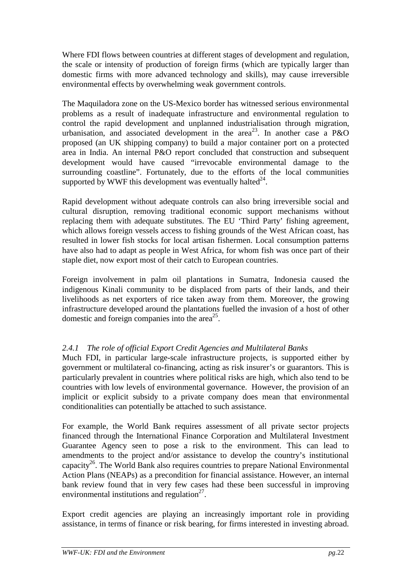Where FDI flows between countries at different stages of development and regulation, the scale or intensity of production of foreign firms (which are typically larger than domestic firms with more advanced technology and skills), may cause irreversible environmental effects by overwhelming weak government controls.

The Maquiladora zone on the US-Mexico border has witnessed serious environmental problems as a result of inadequate infrastructure and environmental regulation to control the rapid development and unplanned industrialisation through migration, urbanisation, and associated development in the area<sup>23</sup>. In another case a P&O proposed (an UK shipping company) to build a major container port on a protected area in India. An internal P&O report concluded that construction and subsequent development would have caused "irrevocable environmental damage to the surrounding coastline". Fortunately, due to the efforts of the local communities supported by WWF this development was eventually halted<sup>24</sup>.

Rapid development without adequate controls can also bring irreversible social and cultural disruption, removing traditional economic support mechanisms without replacing them with adequate substitutes. The EU 'Third Party' fishing agreement, which allows foreign vessels access to fishing grounds of the West African coast, has resulted in lower fish stocks for local artisan fishermen. Local consumption patterns have also had to adapt as people in West Africa, for whom fish was once part of their staple diet, now export most of their catch to European countries.

Foreign involvement in palm oil plantations in Sumatra, Indonesia caused the indigenous Kinali community to be displaced from parts of their lands, and their livelihoods as net exporters of rice taken away from them. Moreover, the growing infrastructure developed around the plantations fuelled the invasion of a host of other domestic and foreign companies into the area<sup>25</sup>.

#### *2.4.1 The role of official Export Credit Agencies and Multilateral Banks*

Much FDI, in particular large-scale infrastructure projects, is supported either by government or multilateral co-financing, acting as risk insurer's or guarantors. This is particularly prevalent in countries where political risks are high, which also tend to be countries with low levels of environmental governance. However, the provision of an implicit or explicit subsidy to a private company does mean that environmental conditionalities can potentially be attached to such assistance.

For example, the World Bank requires assessment of all private sector projects financed through the International Finance Corporation and Multilateral Investment Guarantee Agency seen to pose a risk to the environment. This can lead to amendments to the project and/or assistance to develop the country's institutional capacity<sup>26</sup>. The World Bank also requires countries to prepare National Environmental Action Plans (NEAPs) as a precondition for financial assistance. However, an internal bank review found that in very few cases had these been successful in improving environmental institutions and regulation $2^7$ .

Export credit agencies are playing an increasingly important role in providing assistance, in terms of finance or risk bearing, for firms interested in investing abroad.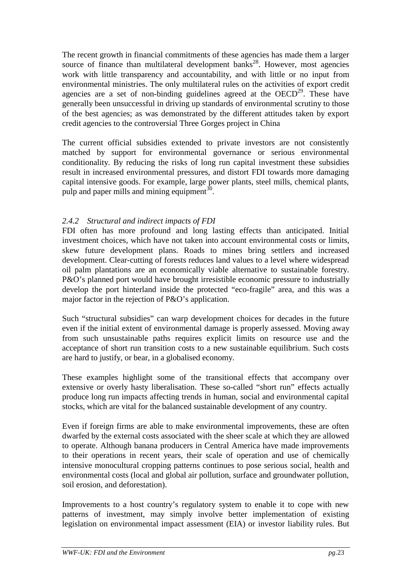The recent growth in financial commitments of these agencies has made them a larger source of finance than multilateral development banks<sup>28</sup>. However, most agencies work with little transparency and accountability, and with little or no input from environmental ministries. The only multilateral rules on the activities of export credit agencies are a set of non-binding guidelines agreed at the  $OECD<sup>29</sup>$ . These have generally been unsuccessful in driving up standards of environmental scrutiny to those of the best agencies; as was demonstrated by the different attitudes taken by export credit agencies to the controversial Three Gorges project in China

The current official subsidies extended to private investors are not consistently matched by support for environmental governance or serious environmental conditionality. By reducing the risks of long run capital investment these subsidies result in increased environmental pressures, and distort FDI towards more damaging capital intensive goods. For example, large power plants, steel mills, chemical plants, pulp and paper mills and mining equipment $^{30}$ .

#### *2.4.2 Structural and indirect impacts of FDI*

FDI often has more profound and long lasting effects than anticipated. Initial investment choices, which have not taken into account environmental costs or limits, skew future development plans. Roads to mines bring settlers and increased development. Clear-cutting of forests reduces land values to a level where widespread oil palm plantations are an economically viable alternative to sustainable forestry. P&O's planned port would have brought irresistible economic pressure to industrially develop the port hinterland inside the protected "eco-fragile" area, and this was a major factor in the rejection of P&O's application.

Such "structural subsidies" can warp development choices for decades in the future even if the initial extent of environmental damage is properly assessed. Moving away from such unsustainable paths requires explicit limits on resource use and the acceptance of short run transition costs to a new sustainable equilibrium. Such costs are hard to justify, or bear, in a globalised economy.

These examples highlight some of the transitional effects that accompany over extensive or overly hasty liberalisation. These so-called "short run" effects actually produce long run impacts affecting trends in human, social and environmental capital stocks, which are vital for the balanced sustainable development of any country.

Even if foreign firms are able to make environmental improvements, these are often dwarfed by the external costs associated with the sheer scale at which they are allowed to operate. Although banana producers in Central America have made improvements to their operations in recent years, their scale of operation and use of chemically intensive monocultural cropping patterns continues to pose serious social, health and environmental costs (local and global air pollution, surface and groundwater pollution, soil erosion, and deforestation).

Improvements to a host country's regulatory system to enable it to cope with new patterns of investment, may simply involve better implementation of existing legislation on environmental impact assessment (EIA) or investor liability rules. But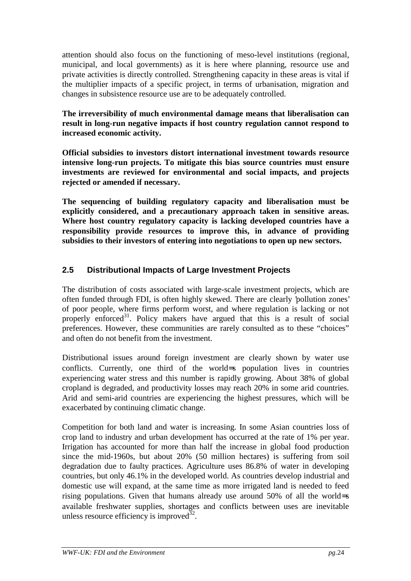attention should also focus on the functioning of meso-level institutions (regional, municipal, and local governments) as it is here where planning, resource use and private activities is directly controlled. Strengthening capacity in these areas is vital if the multiplier impacts of a specific project, in terms of urbanisation, migration and changes in subsistence resource use are to be adequately controlled.

**The irreversibility of much environmental damage means that liberalisation can result in long-run negative impacts if host country regulation cannot respond to increased economic activity.**

**Official subsidies to investors distort international investment towards resource intensive long-run projects. To mitigate this bias source countries must ensure investments are reviewed for environmental and social impacts, and projects rejected or amended if necessary.**

**The sequencing of building regulatory capacity and liberalisation must be explicitly considered, and a precautionary approach taken in sensitive areas. Where host country regulatory capacity is lacking developed countries have a responsibility provide resources to improve this, in advance of providing subsidies to their investors of entering into negotiations to open up new sectors.**

#### **2.5 Distributional Impacts of Large Investment Projects**

The distribution of costs associated with large-scale investment projects, which are often funded through FDI, is often highly skewed. There are clearly 'pollution zones' of poor people, where firms perform worst, and where regulation is lacking or not properly enforced<sup>31</sup>. Policy makers have argued that this is a result of social preferences. However, these communities are rarely consulted as to these "choices" and often do not benefit from the investment.

Distributional issues around foreign investment are clearly shown by water use conflicts. Currently, one third of the world=s population lives in countries experiencing water stress and this number is rapidly growing. About 38% of global cropland is degraded, and productivity losses may reach 20% in some arid countries. Arid and semi-arid countries are experiencing the highest pressures, which will be exacerbated by continuing climatic change.

Competition for both land and water is increasing. In some Asian countries loss of crop land to industry and urban development has occurred at the rate of 1% per year. Irrigation has accounted for more than half the increase in global food production since the mid-1960s, but about 20% (50 million hectares) is suffering from soil degradation due to faulty practices. Agriculture uses 86.8% of water in developing countries, but only 46.1% in the developed world. As countries develop industrial and domestic use will expand, at the same time as more irrigated land is needed to feed rising populations. Given that humans already use around 50% of all the world=s available freshwater supplies, shortages and conflicts between uses are inevitable unless resource efficiency is improved  $32$ .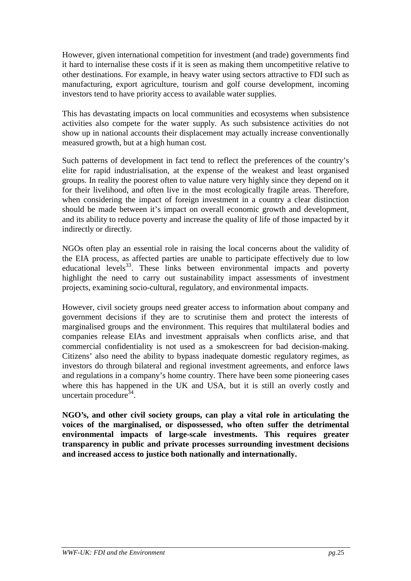However, given international competition for investment (and trade) governments find it hard to internalise these costs if it is seen as making them uncompetitive relative to other destinations. For example, in heavy water using sectors attractive to FDI such as manufacturing, export agriculture, tourism and golf course development, incoming investors tend to have priority access to available water supplies.

This has devastating impacts on local communities and ecosystems when subsistence activities also compete for the water supply. As such subsistence activities do not show up in national accounts their displacement may actually increase conventionally measured growth, but at a high human cost.

Such patterns of development in fact tend to reflect the preferences of the country's elite for rapid industrialisation, at the expense of the weakest and least organised groups. In reality the poorest often to value nature very highly since they depend on it for their livelihood, and often live in the most ecologically fragile areas. Therefore, when considering the impact of foreign investment in a country a clear distinction should be made between it's impact on overall economic growth and development, and its ability to reduce poverty and increase the quality of life of those impacted by it indirectly or directly.

NGOs often play an essential role in raising the local concerns about the validity of the EIA process, as affected parties are unable to participate effectively due to low educational levels $^{33}$ . These links between environmental impacts and poverty highlight the need to carry out sustainability impact assessments of investment projects, examining socio-cultural, regulatory, and environmental impacts.

However, civil society groups need greater access to information about company and government decisions if they are to scrutinise them and protect the interests of marginalised groups and the environment. This requires that multilateral bodies and companies release EIAs and investment appraisals when conflicts arise, and that commercial confidentiality is not used as a smokescreen for bad decision-making. Citizens' also need the ability to bypass inadequate domestic regulatory regimes, as investors do through bilateral and regional investment agreements, and enforce laws and regulations in a company's home country. There have been some pioneering cases where this has happened in the UK and USA, but it is still an overly costly and uncertain procedure $34$ .

**NGO's, and other civil society groups, can play a vital role in articulating the voices of the marginalised, or dispossessed, who often suffer the detrimental environmental impacts of large-scale investments. This requires greater transparency in public and private processes surrounding investment decisions and increased access to justice both nationally and internationally.**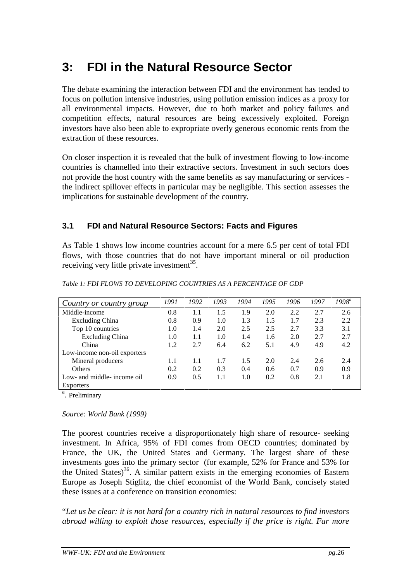### **3: FDI in the Natural Resource Sector**

The debate examining the interaction between FDI and the environment has tended to focus on pollution intensive industries, using pollution emission indices as a proxy for all environmental impacts. However, due to both market and policy failures and competition effects, natural resources are being excessively exploited. Foreign investors have also been able to expropriate overly generous economic rents from the extraction of these resources.

On closer inspection it is revealed that the bulk of investment flowing to low-income countries is channelled into their extractive sectors. Investment in such sectors does not provide the host country with the same benefits as say manufacturing or services the indirect spillover effects in particular may be negligible. This section assesses the implications for sustainable development of the country.

#### **3.1 FDI and Natural Resource Sectors: Facts and Figures**

As Table 1 shows low income countries account for a mere 6.5 per cent of total FDI flows, with those countries that do not have important mineral or oil production receiving very little private investment<sup>35</sup>.

| Country or country group     | 1991 | 1992 | 1993    | 1994 | 1995 | 1996 | 1997 | $1998^a$ |
|------------------------------|------|------|---------|------|------|------|------|----------|
| Middle-income                | 0.8  | 1.1  | 1.5     | 1.9  | 2.0  | 2.2  | 2.7  | 2.6      |
| <b>Excluding China</b>       | 0.8  | 0.9  | 1.0     | 1.3  | 1.5  | 1.7  | 2.3  | 2.2      |
| Top 10 countries             | 1.0  | 1.4  | 2.0     | 2.5  | 2.5  | 2.7  | 3.3  | 3.1      |
| <b>Excluding China</b>       | 1.0  | 1.1  | 1.0     | 1.4  | 1.6  | 2.0  | 2.7  | 2.7      |
| China                        | 1.2  | 2.7  | 6.4     | 6.2  | 5.1  | 4.9  | 4.9  | 4.2      |
| Low-income non-oil exporters |      |      |         |      |      |      |      |          |
| Mineral producers            | 1.1  | 1.1  | 1.7     | 1.5  | 2.0  | 2.4  | 2.6  | 2.4      |
| <b>Others</b>                | 0.2  | 0.2  | 0.3     | 0.4  | 0.6  | 0.7  | 0.9  | 0.9      |
| Low- and middle- income oil  | 0.9  | 0.5  | $1.1\,$ | 1.0  | 0.2  | 0.8  | 2.1  | 1.8      |
| <b>Exporters</b>             |      |      |         |      |      |      |      |          |

*Table 1: FDI FLOWS TO DEVELOPING COUNTRIES AS A PERCENTAGE OF GDP*

<sup>a</sup>. Preliminary

*Source: World Bank (1999)*

The poorest countries receive a disproportionately high share of resource- seeking investment. In Africa, 95% of FDI comes from OECD countries; dominated by France, the UK, the United States and Germany. The largest share of these investments goes into the primary sector (for example, 52% for France and 53% for the United States)<sup>36</sup>. A similar pattern exists in the emerging economies of Eastern Europe as Joseph Stiglitz, the chief economist of the World Bank, concisely stated these issues at a conference on transition economies:

"*Let us be clear: it is not hard for a country rich in natural resources to find investors abroad willing to exploit those resources, especially if the price is right. Far more*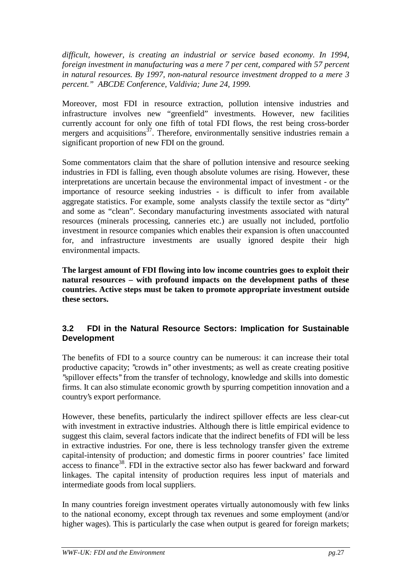*difficult, however, is creating an industrial or service based economy. In 1994, foreign investment in manufacturing was a mere 7 per cent, compared with 57 percent in natural resources. By 1997, non-natural resource investment dropped to a mere 3 percent." ABCDE Conference, Valdivia; June 24, 1999.*

Moreover, most FDI in resource extraction, pollution intensive industries and infrastructure involves new "greenfield" investments. However, new facilities currently account for only one fifth of total FDI flows, the rest being cross-border mergers and acquisitions<sup>37</sup>. Therefore, environmentally sensitive industries remain a significant proportion of new FDI on the ground.

Some commentators claim that the share of pollution intensive and resource seeking industries in FDI is falling, even though absolute volumes are rising. However, these interpretations are uncertain because the environmental impact of investment - or the importance of resource seeking industries - is difficult to infer from available aggregate statistics. For example, some analysts classify the textile sector as "dirty" and some as "clean". Secondary manufacturing investments associated with natural resources (minerals processing, canneries etc.) are usually not included, portfolio investment in resource companies which enables their expansion is often unaccounted for, and infrastructure investments are usually ignored despite their high environmental impacts.

**The largest amount of FDI flowing into low income countries goes to exploit their natural resources – with profound impacts on the development paths of these countries. Active steps must be taken to promote appropriate investment outside these sectors.**

#### **3.2 FDI in the Natural Resource Sectors: Implication for Sustainable Development**

The benefits of FDI to a source country can be numerous: it can increase their total productive capacity; "crowds in" other investments; as well as create creating positive ''spillover effects'' from the transfer of technology, knowledge and skills into domestic firms. It can also stimulate economic growth by spurring competition innovation and a country's export performance.

However, these benefits, particularly the indirect spillover effects are less clear-cut with investment in extractive industries. Although there is little empirical evidence to suggest this claim, several factors indicate that the indirect benefits of FDI will be less in extractive industries. For one, there is less technology transfer given the extreme capital-intensity of production; and domestic firms in poorer countries' face limited access to finance<sup>38</sup>. FDI in the extractive sector also has fewer backward and forward linkages. The capital intensity of production requires less input of materials and intermediate goods from local suppliers.

In many countries foreign investment operates virtually autonomously with few links to the national economy, except through tax revenues and some employment (and/or higher wages). This is particularly the case when output is geared for foreign markets;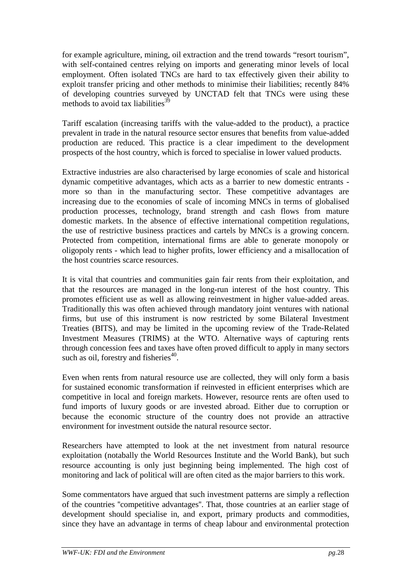for example agriculture, mining, oil extraction and the trend towards "resort tourism", with self-contained centres relying on imports and generating minor levels of local employment. Often isolated TNCs are hard to tax effectively given their ability to exploit transfer pricing and other methods to minimise their liabilities; recently 84% of developing countries surveyed by UNCTAD felt that TNCs were using these methods to avoid tax liabilities $3<sup>39</sup>$ 

Tariff escalation (increasing tariffs with the value-added to the product), a practice prevalent in trade in the natural resource sector ensures that benefits from value-added production are reduced. This practice is a clear impediment to the development prospects of the host country, which is forced to specialise in lower valued products.

Extractive industries are also characterised by large economies of scale and historical dynamic competitive advantages, which acts as a barrier to new domestic entrants more so than in the manufacturing sector. These competitive advantages are increasing due to the economies of scale of incoming MNCs in terms of globalised production processes, technology, brand strength and cash flows from mature domestic markets. In the absence of effective international competition regulations, the use of restrictive business practices and cartels by MNCs is a growing concern. Protected from competition, international firms are able to generate monopoly or oligopoly rents - which lead to higher profits, lower efficiency and a misallocation of the host countries scarce resources.

It is vital that countries and communities gain fair rents from their exploitation, and that the resources are managed in the long-run interest of the host country. This promotes efficient use as well as allowing reinvestment in higher value-added areas. Traditionally this was often achieved through mandatory joint ventures with national firms, but use of this instrument is now restricted by some Bilateral Investment Treaties (BITS), and may be limited in the upcoming review of the Trade-Related Investment Measures (TRIMS) at the WTO. Alternative ways of capturing rents through concession fees and taxes have often proved difficult to apply in many sectors such as oil, forestry and fisheries<sup>40</sup>.

Even when rents from natural resource use are collected, they will only form a basis for sustained economic transformation if reinvested in efficient enterprises which are competitive in local and foreign markets. However, resource rents are often used to fund imports of luxury goods or are invested abroad. Either due to corruption or because the economic structure of the country does not provide an attractive environment for investment outside the natural resource sector.

Researchers have attempted to look at the net investment from natural resource exploitation (notabally the World Resources Institute and the World Bank), but such resource accounting is only just beginning being implemented. The high cost of monitoring and lack of political will are often cited as the major barriers to this work.

Some commentators have argued that such investment patterns are simply a reflection of the countries ''competitive advantages''. That, those countries at an earlier stage of development should specialise in, and export, primary products and commodities, since they have an advantage in terms of cheap labour and environmental protection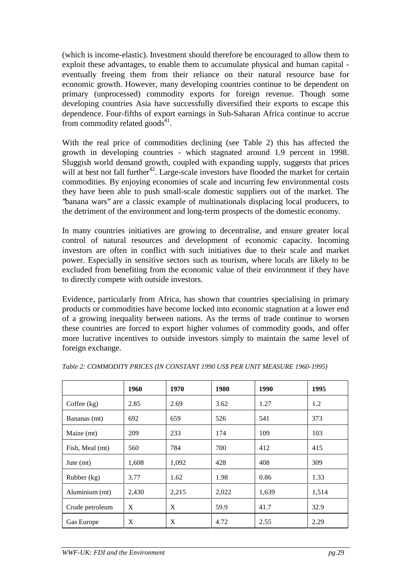(which is income-elastic). Investment should therefore be encouraged to allow them to exploit these advantages, to enable them to accumulate physical and human capital eventually freeing them from their reliance on their natural resource base for economic growth. However, many developing countries continue to be dependent on primary (unprocessed) commodity exports for foreign revenue. Though some developing countries Asia have successfully diversified their exports to escape this dependence. Four-fifths of export earnings in Sub-Saharan Africa continue to accrue from commodity related goods $^{41}$ .

With the real price of commodities declining (see Table 2) this has affected the growth in developing countries - which stagnated around 1.9 percent in 1998. Sluggish world demand growth, coupled with expanding supply, suggests that prices will at best not fall further<sup>42</sup>. Large-scale investors have flooded the market for certain commodities. By enjoying economies of scale and incurring few environmental costs they have been able to push small-scale domestic suppliers out of the market. The ''banana wars'' are a classic example of multinationals displacing local producers, to the detriment of the environment and long-term prospects of the domestic economy.

In many countries initiatives are growing to decentralise, and ensure greater local control of natural resources and development of economic capacity. Incoming investors are often in conflict with such initiatives due to their scale and market power. Especially in sensitive sectors such as tourism, where locals are likely to be excluded from benefiting from the economic value of their environment if they have to directly compete with outside investors.

Evidence, particularly from Africa, has shown that countries specialising in primary products or commodities have become locked into economic stagnation at a lower end of a growing inequality between nations. As the terms of trade continue to worsen these countries are forced to export higher volumes of commodity goods, and offer more lucrative incentives to outside investors simply to maintain the same level of foreign exchange.

|                 | 1960  | 1970  | 1980  | 1990  | 1995  |
|-----------------|-------|-------|-------|-------|-------|
| Coffee $(kg)$   | 2.85  | 2.69  | 3.62  | 1.27  | 1.2   |
| Bananas (mt)    | 692   | 659   | 526   | 541   | 373   |
| Maize (mt)      | 209   | 233   | 174   | 109   | 103   |
| Fish, Meal (mt) | 560   | 784   | 700   | 412   | 415   |
| Jute $(mt)$     | 1,608 | 1,092 | 428   | 408   | 309   |
| Rubber (kg)     | 3.77  | 1.62  | 1.98  | 0.86  | 1.33  |
| Aluminium (mt)  | 2,430 | 2,215 | 2,022 | 1,639 | 1,514 |
| Crude petroleum | X     | X     | 59.9  | 41.7  | 32.9  |
| Gas Europe      | X     | X     | 4.72  | 2.55  | 2.29  |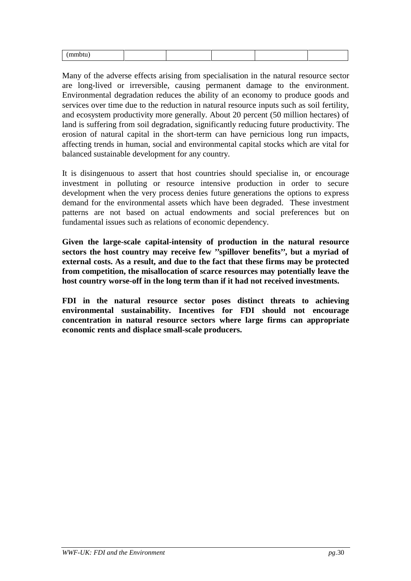Many of the adverse effects arising from specialisation in the natural resource sector are long-lived or irreversible, causing permanent damage to the environment. Environmental degradation reduces the ability of an economy to produce goods and services over time due to the reduction in natural resource inputs such as soil fertility, and ecosystem productivity more generally. About 20 percent (50 million hectares) of land is suffering from soil degradation, significantly reducing future productivity. The erosion of natural capital in the short-term can have pernicious long run impacts, affecting trends in human, social and environmental capital stocks which are vital for balanced sustainable development for any country.

It is disingenuous to assert that host countries should specialise in, or encourage investment in polluting or resource intensive production in order to secure development when the very process denies future generations the options to express demand for the environmental assets which have been degraded. These investment patterns are not based on actual endowments and social preferences but on fundamental issues such as relations of economic dependency.

**Given the large-scale capital-intensity of production in the natural resource sectors the host country may receive few ''spillover benefits'', but a myriad of external costs. As a result, and due to the fact that these firms may be protected from competition, the misallocation of scarce resources may potentially leave the host country worse-off in the long term than if it had not received investments.**

**FDI in the natural resource sector poses distinct threats to achieving environmental sustainability. Incentives for FDI should not encourage concentration in natural resource sectors where large firms can appropriate economic rents and displace small-scale producers.**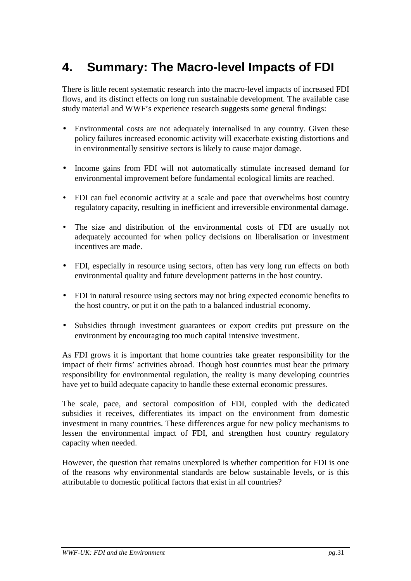# **4. Summary: The Macro-level Impacts of FDI**

There is little recent systematic research into the macro-level impacts of increased FDI flows, and its distinct effects on long run sustainable development. The available case study material and WWF's experience research suggests some general findings:

- Environmental costs are not adequately internalised in any country. Given these policy failures increased economic activity will exacerbate existing distortions and in environmentally sensitive sectors is likely to cause major damage.
- Income gains from FDI will not automatically stimulate increased demand for environmental improvement before fundamental ecological limits are reached.
- FDI can fuel economic activity at a scale and pace that overwhelms host country regulatory capacity, resulting in inefficient and irreversible environmental damage.
- The size and distribution of the environmental costs of FDI are usually not adequately accounted for when policy decisions on liberalisation or investment incentives are made.
- FDI, especially in resource using sectors, often has very long run effects on both environmental quality and future development patterns in the host country.
- FDI in natural resource using sectors may not bring expected economic benefits to the host country, or put it on the path to a balanced industrial economy.
- Subsidies through investment guarantees or export credits put pressure on the environment by encouraging too much capital intensive investment.

As FDI grows it is important that home countries take greater responsibility for the impact of their firms' activities abroad. Though host countries must bear the primary responsibility for environmental regulation, the reality is many developing countries have yet to build adequate capacity to handle these external economic pressures.

The scale, pace, and sectoral composition of FDI, coupled with the dedicated subsidies it receives, differentiates its impact on the environment from domestic investment in many countries. These differences argue for new policy mechanisms to lessen the environmental impact of FDI, and strengthen host country regulatory capacity when needed.

However, the question that remains unexplored is whether competition for FDI is one of the reasons why environmental standards are below sustainable levels, or is this attributable to domestic political factors that exist in all countries?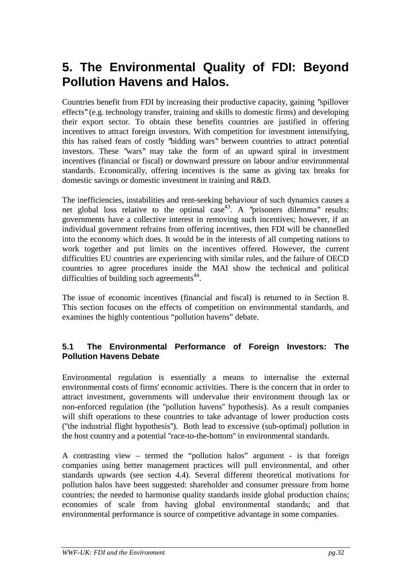### **5. The Environmental Quality of FDI: Beyond Pollution Havens and Halos.**

Countries benefit from FDI by increasing their productive capacity, gaining ''spillover effects'' (e.g. technology transfer, training and skills to domestic firms) and developing their export sector. To obtain these benefits countries are justified in offering incentives to attract foreign investors. With competition for investment intensifying, this has raised fears of costly ''bidding wars'' between countries to attract potential investors. These "wars" may take the form of an upward spiral in investment incentives (financial or fiscal) or downward pressure on labour and/or environmental standards. Economically, offering incentives is the same as giving tax breaks for domestic savings or domestic investment in training and R&D.

The inefficiencies, instabilities and rent-seeking behaviour of such dynamics causes a net global loss relative to the optimal  $case<sup>43</sup>$ . A "prisoners dilemma" results: governments have a collective interest in removing such incentives; however, if an individual government refrains from offering incentives, then FDI will be channelled into the economy which does. It would be in the interests of all competing nations to work together and put limits on the incentives offered. However, the current difficulties EU countries are experiencing with similar rules, and the failure of OECD countries to agree procedures inside the MAI show the technical and political difficulties of building such agreements<sup>44</sup>.

The issue of economic incentives (financial and fiscal) is returned to in Section 8. This section focuses on the effects of competition on environmental standards, and examines the highly contentious "pollution havens" debate.

#### **5.1 The Environmental Performance of Foreign Investors: The Pollution Havens Debate**

Environmental regulation is essentially a means to internalise the external environmental costs of firms' economic activities. There is the concern that in order to attract investment, governments will undervalue their environment through lax or non-enforced regulation (the ''pollution havens'' hypothesis). As a result companies will shift operations to these countries to take advantage of lower production costs (''the industrial flight hypothesis''). Both lead to excessive (sub-optimal) pollution in the host country and a potential ''race-to-the-bottom'' in environmental standards.

A contrasting view – termed the "pollution halos" argument - is that foreign companies using better management practices will pull environmental, and other standards upwards (see section 4.4). Several different theoretical motivations for pollution halos have been suggested: shareholder and consumer pressure from home countries; the needed to harmonise quality standards inside global production chains; economies of scale from having global environmental standards; and that environmental performance is source of competitive advantage in some companies.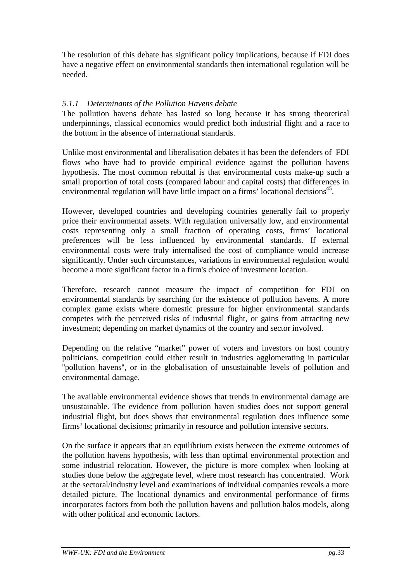The resolution of this debate has significant policy implications, because if FDI does have a negative effect on environmental standards then international regulation will be needed.

#### *5.1.1 Determinants of the Pollution Havens debate*

The pollution havens debate has lasted so long because it has strong theoretical underpinnings, classical economics would predict both industrial flight and a race to the bottom in the absence of international standards.

Unlike most environmental and liberalisation debates it has been the defenders of FDI flows who have had to provide empirical evidence against the pollution havens hypothesis. The most common rebuttal is that environmental costs make-up such a small proportion of total costs (compared labour and capital costs) that differences in environmental regulation will have little impact on a firms' locational decisions<sup>45</sup>.

However, developed countries and developing countries generally fail to properly price their environmental assets. With regulation universally low, and environmental costs representing only a small fraction of operating costs, firms' locational preferences will be less influenced by environmental standards. If external environmental costs were truly internalised the cost of compliance would increase significantly. Under such circumstances, variations in environmental regulation would become a more significant factor in a firm's choice of investment location.

Therefore, research cannot measure the impact of competition for FDI on environmental standards by searching for the existence of pollution havens. A more complex game exists where domestic pressure for higher environmental standards competes with the perceived risks of industrial flight, or gains from attracting new investment; depending on market dynamics of the country and sector involved.

Depending on the relative "market" power of voters and investors on host country politicians, competition could either result in industries agglomerating in particular ''pollution havens'', or in the globalisation of unsustainable levels of pollution and environmental damage.

The available environmental evidence shows that trends in environmental damage are unsustainable. The evidence from pollution haven studies does not support general industrial flight, but does shows that environmental regulation does influence some firms' locational decisions; primarily in resource and pollution intensive sectors.

On the surface it appears that an equilibrium exists between the extreme outcomes of the pollution havens hypothesis, with less than optimal environmental protection and some industrial relocation. However, the picture is more complex when looking at studies done below the aggregate level, where most research has concentrated. Work at the sectoral/industry level and examinations of individual companies reveals a more detailed picture. The locational dynamics and environmental performance of firms incorporates factors from both the pollution havens and pollution halos models, along with other political and economic factors.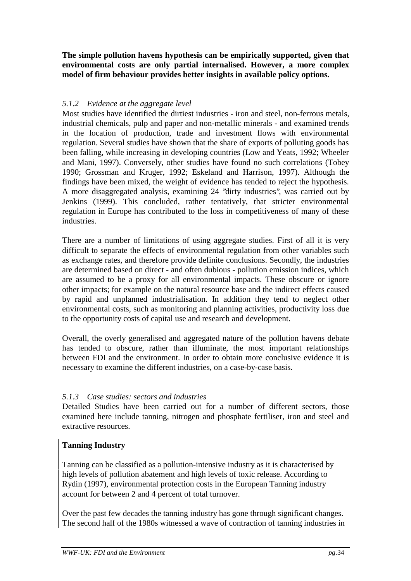**The simple pollution havens hypothesis can be empirically supported, given that environmental costs are only partial internalised. However, a more complex model of firm behaviour provides better insights in available policy options.**

#### *5.1.2 Evidence at the aggregate level*

Most studies have identified the dirtiest industries - iron and steel, non-ferrous metals, industrial chemicals, pulp and paper and non-metallic minerals - and examined trends in the location of production, trade and investment flows with environmental regulation. Several studies have shown that the share of exports of polluting goods has been falling, while increasing in developing countries (Low and Yeats, 1992; Wheeler and Mani, 1997). Conversely, other studies have found no such correlations (Tobey 1990; Grossman and Kruger, 1992; Eskeland and Harrison, 1997). Although the findings have been mixed, the weight of evidence has tended to reject the hypothesis. A more disaggregated analysis, examining 24 ''dirty industries'', was carried out by Jenkins (1999). This concluded, rather tentatively, that stricter environmental regulation in Europe has contributed to the loss in competitiveness of many of these industries.

There are a number of limitations of using aggregate studies. First of all it is very difficult to separate the effects of environmental regulation from other variables such as exchange rates, and therefore provide definite conclusions. Secondly, the industries are determined based on direct - and often dubious - pollution emission indices, which are assumed to be a proxy for all environmental impacts. These obscure or ignore other impacts; for example on the natural resource base and the indirect effects caused by rapid and unplanned industrialisation. In addition they tend to neglect other environmental costs, such as monitoring and planning activities, productivity loss due to the opportunity costs of capital use and research and development.

Overall, the overly generalised and aggregated nature of the pollution havens debate has tended to obscure, rather than illuminate, the most important relationships between FDI and the environment. In order to obtain more conclusive evidence it is necessary to examine the different industries, on a case-by-case basis.

#### *5.1.3 Case studies: sectors and industries*

Detailed Studies have been carried out for a number of different sectors, those examined here include tanning, nitrogen and phosphate fertiliser, iron and steel and extractive resources.

#### **Tanning Industry**

Tanning can be classified as a pollution-intensive industry as it is characterised by high levels of pollution abatement and high levels of toxic release. According to Rydin (1997), environmental protection costs in the European Tanning industry account for between 2 and 4 percent of total turnover.

Over the past few decades the tanning industry has gone through significant changes. The second half of the 1980s witnessed a wave of contraction of tanning industries in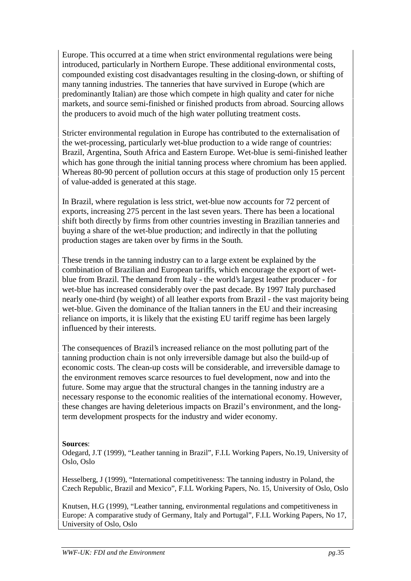Europe. This occurred at a time when strict environmental regulations were being introduced, particularly in Northern Europe. These additional environmental costs, compounded existing cost disadvantages resulting in the closing-down, or shifting of many tanning industries. The tanneries that have survived in Europe (which are predominantly Italian) are those which compete in high quality and cater for niche markets, and source semi-finished or finished products from abroad. Sourcing allows the producers to avoid much of the high water polluting treatment costs.

Stricter environmental regulation in Europe has contributed to the externalisation of the wet-processing, particularly wet-blue production to a wide range of countries: Brazil, Argentina, South Africa and Eastern Europe. Wet-blue is semi-finished leather which has gone through the initial tanning process where chromium has been applied. Whereas 80-90 percent of pollution occurs at this stage of production only 15 percent of value-added is generated at this stage.

In Brazil, where regulation is less strict, wet-blue now accounts for 72 percent of exports, increasing 275 percent in the last seven years. There has been a locational shift both directly by firms from other countries investing in Brazilian tanneries and buying a share of the wet-blue production; and indirectly in that the polluting production stages are taken over by firms in the South.

These trends in the tanning industry can to a large extent be explained by the combination of Brazilian and European tariffs, which encourage the export of wetblue from Brazil. The demand from Italy - the world's largest leather producer - for wet-blue has increased considerably over the past decade. By 1997 Italy purchased nearly one-third (by weight) of all leather exports from Brazil - the vast majority being wet-blue. Given the dominance of the Italian tanners in the EU and their increasing reliance on imports, it is likely that the existing EU tariff regime has been largely influenced by their interests.

The consequences of Brazil's increased reliance on the most polluting part of the tanning production chain is not only irreversible damage but also the build-up of economic costs. The clean-up costs will be considerable, and irreversible damage to the environment removes scarce resources to fuel development, now and into the future. Some may argue that the structural changes in the tanning industry are a necessary response to the economic realities of the international economy. However, these changes are having deleterious impacts on Brazil's environment, and the longterm development prospects for the industry and wider economy.

#### **Sources**:

Odegard, J.T (1999), "Leather tanning in Brazil", F.I.L Working Papers, No.19, University of Oslo, Oslo

Hesselberg, J (1999), "International competitiveness: The tanning industry in Poland, the Czech Republic, Brazil and Mexico", F.I.L Working Papers, No. 15, University of Oslo, Oslo

Knutsen, H.G (1999), "Leather tanning, environmental regulations and competitiveness in Europe: A comparative study of Germany, Italy and Portugal", F.I.L Working Papers, No 17, University of Oslo, Oslo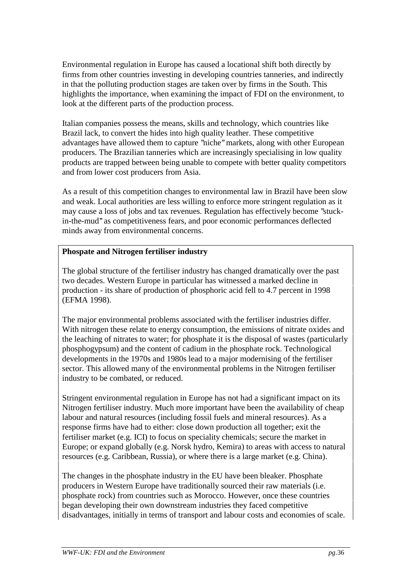Environmental regulation in Europe has caused a locational shift both directly by firms from other countries investing in developing countries tanneries, and indirectly in that the polluting production stages are taken over by firms in the South. This highlights the importance, when examining the impact of FDI on the environment, to look at the different parts of the production process.

Italian companies possess the means, skills and technology, which countries like Brazil lack, to convert the hides into high quality leather. These competitive advantages have allowed them to capture ''niche'' markets, along with other European producers. The Brazilian tanneries which are increasingly specialising in low quality products are trapped between being unable to compete with better quality competitors and from lower cost producers from Asia.

As a result of this competition changes to environmental law in Brazil have been slow and weak. Local authorities are less willing to enforce more stringent regulation as it may cause a loss of jobs and tax revenues. Regulation has effectively become ''stuckin-the-mud'' as competitiveness fears, and poor economic performances deflected minds away from environmental concerns.

#### **Phospate and Nitrogen fertiliser industry**

The global structure of the fertiliser industry has changed dramatically over the past two decades. Western Europe in particular has witnessed a marked decline in production - its share of production of phosphoric acid fell to 4.7 percent in 1998 (EFMA 1998).

The major environmental problems associated with the fertiliser industries differ. With nitrogen these relate to energy consumption, the emissions of nitrate oxides and the leaching of nitrates to water; for phosphate it is the disposal of wastes (particularly phosphogypsum) and the content of cadium in the phosphate rock. Technological developments in the 1970s and 1980s lead to a major modernising of the fertiliser sector. This allowed many of the environmental problems in the Nitrogen fertiliser industry to be combated, or reduced.

Stringent environmental regulation in Europe has not had a significant impact on its Nitrogen fertiliser industry. Much more important have been the availability of cheap labour and natural resources (including fossil fuels and mineral resources). As a response firms have had to either: close down production all together; exit the fertiliser market (e.g. ICI) to focus on speciality chemicals; secure the market in Europe; or expand globally (e.g. Norsk hydro, Kemira) to areas with access to natural resources (e.g. Caribbean, Russia), or where there is a large market (e.g. China).

The changes in the phosphate industry in the EU have been bleaker. Phosphate producers in Western Europe have traditionally sourced their raw materials (i.e. phosphate rock) from countries such as Morocco. However, once these countries began developing their own downstream industries they faced competitive disadvantages, initially in terms of transport and labour costs and economies of scale.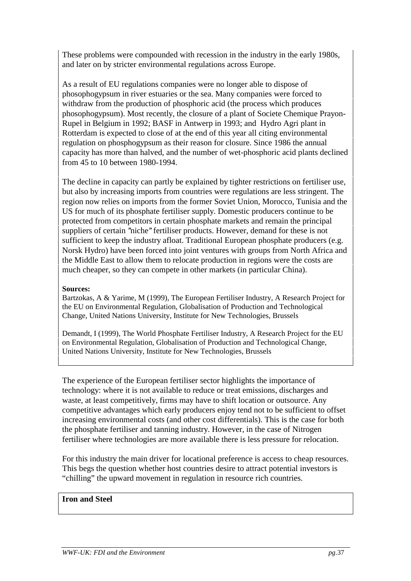These problems were compounded with recession in the industry in the early 1980s, and later on by stricter environmental regulations across Europe.

As a result of EU regulations companies were no longer able to dispose of phosophogypsum in river estuaries or the sea. Many companies were forced to withdraw from the production of phosphoric acid (the process which produces phosophogypsum). Most recently, the closure of a plant of Societe Chemique Prayon-Rupel in Belgium in 1992; BASF in Antwerp in 1993; and Hydro Agri plant in Rotterdam is expected to close of at the end of this year all citing environmental regulation on phosphogypsum as their reason for closure. Since 1986 the annual capacity has more than halved, and the number of wet-phosphoric acid plants declined from 45 to 10 between 1980-1994.

The decline in capacity can partly be explained by tighter restrictions on fertiliser use, but also by increasing imports from countries were regulations are less stringent. The region now relies on imports from the former Soviet Union, Morocco, Tunisia and the US for much of its phosphate fertiliser supply. Domestic producers continue to be protected from competitors in certain phosphate markets and remain the principal suppliers of certain "niche" fertiliser products. However, demand for these is not sufficient to keep the industry afloat. Traditional European phosphate producers (e.g. Norsk Hydro) have been forced into joint ventures with groups from North Africa and the Middle East to allow them to relocate production in regions were the costs are much cheaper, so they can compete in other markets (in particular China).

#### **Sources:**

Bartzokas, A & Yarime, M (1999), The European Fertiliser Industry, A Research Project for the EU on Environmental Regulation, Globalisation of Production and Technological Change, United Nations University, Institute for New Technologies, Brussels

Demandt, I (1999), The World Phosphate Fertiliser Industry, A Research Project for the EU on Environmental Regulation, Globalisation of Production and Technological Change, United Nations University, Institute for New Technologies, Brussels

The experience of the European fertiliser sector highlights the importance of technology: where it is not available to reduce or treat emissions, discharges and waste, at least competitively, firms may have to shift location or outsource. Any competitive advantages which early producers enjoy tend not to be sufficient to offset increasing environmental costs (and other cost differentials). This is the case for both the phosphate fertiliser and tanning industry. However, in the case of Nitrogen fertiliser where technologies are more available there is less pressure for relocation.

For this industry the main driver for locational preference is access to cheap resources. This begs the question whether host countries desire to attract potential investors is "chilling" the upward movement in regulation in resource rich countries.

#### **Iron and Steel**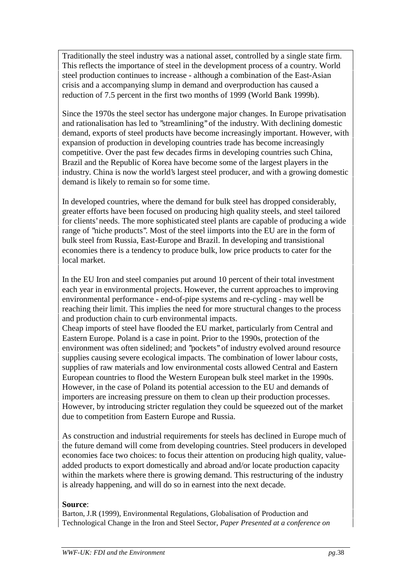Traditionally the steel industry was a national asset, controlled by a single state firm. This reflects the importance of steel in the development process of a country. World steel production continues to increase - although a combination of the East-Asian crisis and a accompanying slump in demand and overproduction has caused a reduction of 7.5 percent in the first two months of 1999 (World Bank 1999b).

Since the 1970s the steel sector has undergone major changes. In Europe privatisation and rationalisation has led to ''streamlining'' of the industry. With declining domestic demand, exports of steel products have become increasingly important. However, with expansion of production in developing countries trade has become increasingly competitive. Over the past few decades firms in developing countries such China, Brazil and the Republic of Korea have become some of the largest players in the industry. China is now the world's largest steel producer, and with a growing domestic demand is likely to remain so for some time.

In developed countries, where the demand for bulk steel has dropped considerably, greater efforts have been focused on producing high quality steels, and steel tailored for clients' needs. The more sophisticated steel plants are capable of producing a wide range of ''niche products''. Most of the steel iimports into the EU are in the form of bulk steel from Russia, East-Europe and Brazil. In developing and transistional economies there is a tendency to produce bulk, low price products to cater for the local market.

In the EU Iron and steel companies put around 10 percent of their total investment each year in environmental projects. However, the current approaches to improving environmental performance - end-of-pipe systems and re-cycling - may well be reaching their limit. This implies the need for more structural changes to the process and production chain to curb environmental impacts.

Cheap imports of steel have flooded the EU market, particularly from Central and Eastern Europe. Poland is a case in point. Prior to the 1990s, protection of the environment was often sidelined; and ''pockets'' of industry evolved around resource supplies causing severe ecological impacts. The combination of lower labour costs, supplies of raw materials and low environmental costs allowed Central and Eastern European countries to flood the Western European bulk steel market in the 1990s. However, in the case of Poland its potential accession to the EU and demands of importers are increasing pressure on them to clean up their production processes. However, by introducing stricter regulation they could be squeezed out of the market due to competition from Eastern Europe and Russia.

As construction and industrial requirements for steels has declined in Europe much of the future demand will come from developing countries. Steel producers in developed economies face two choices: to focus their attention on producing high quality, valueadded products to export domestically and abroad and/or locate production capacity within the markets where there is growing demand. This restructuring of the industry is already happening, and will do so in earnest into the next decade.

#### **Source**:

Barton, J.R (1999), Environmental Regulations, Globalisation of Production and Technological Change in the Iron and Steel Sector, *Paper Presented at a conference on*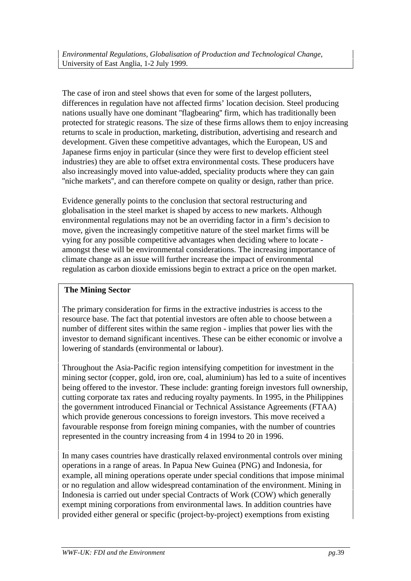The case of iron and steel shows that even for some of the largest polluters, differences in regulation have not affected firms' location decision. Steel producing nations usually have one dominant ''flagbearing'' firm, which has traditionally been protected for strategic reasons. The size of these firms allows them to enjoy increasing returns to scale in production, marketing, distribution, advertising and research and development. Given these competitive advantages, which the European, US and Japanese firms enjoy in particular (since they were first to develop efficient steel industries) they are able to offset extra environmental costs. These producers have also increasingly moved into value-added, speciality products where they can gain ''niche markets'', and can therefore compete on quality or design, rather than price.

Evidence generally points to the conclusion that sectoral restructuring and globalisation in the steel market is shaped by access to new markets. Although environmental regulations may not be an overriding factor in a firm's decision to move, given the increasingly competitive nature of the steel market firms will be vying for any possible competitive advantages when deciding where to locate amongst these will be environmental considerations. The increasing importance of climate change as an issue will further increase the impact of environmental regulation as carbon dioxide emissions begin to extract a price on the open market.

## **The Mining Sector**

The primary consideration for firms in the extractive industries is access to the resource base. The fact that potential investors are often able to choose between a number of different sites within the same region - implies that power lies with the investor to demand significant incentives. These can be either economic or involve a lowering of standards (environmental or labour).

Throughout the Asia-Pacific region intensifying competition for investment in the mining sector (copper, gold, iron ore, coal, aluminium) has led to a suite of incentives being offered to the investor. These include: granting foreign investors full ownership, cutting corporate tax rates and reducing royalty payments. In 1995, in the Philippines the government introduced Financial or Technical Assistance Agreements (FTAA) which provide generous concessions to foreign investors. This move received a favourable response from foreign mining companies, with the number of countries represented in the country increasing from 4 in 1994 to 20 in 1996.

In many cases countries have drastically relaxed environmental controls over mining operations in a range of areas. In Papua New Guinea (PNG) and Indonesia, for example, all mining operations operate under special conditions that impose minimal or no regulation and allow widespread contamination of the environment. Mining in Indonesia is carried out under special Contracts of Work (COW) which generally exempt mining corporations from environmental laws. In addition countries have provided either general or specific (project-by-project) exemptions from existing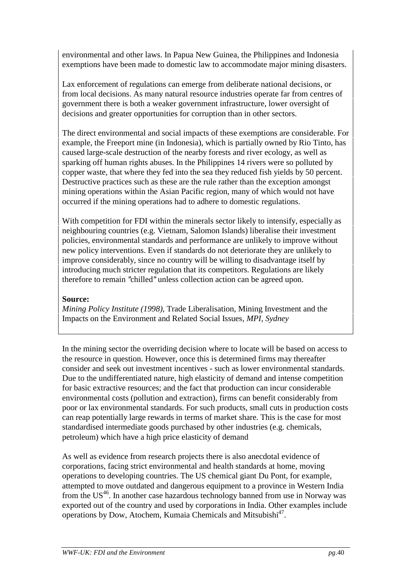environmental and other laws. In Papua New Guinea, the Philippines and Indonesia exemptions have been made to domestic law to accommodate major mining disasters.

Lax enforcement of regulations can emerge from deliberate national decisions, or from local decisions. As many natural resource industries operate far from centres of government there is both a weaker government infrastructure, lower oversight of decisions and greater opportunities for corruption than in other sectors.

The direct environmental and social impacts of these exemptions are considerable. For example, the Freeport mine (in Indonesia), which is partially owned by Rio Tinto, has caused large-scale destruction of the nearby forests and river ecology, as well as sparking off human rights abuses. In the Philippines 14 rivers were so polluted by copper waste, that where they fed into the sea they reduced fish yields by 50 percent. Destructive practices such as these are the rule rather than the exception amongst mining operations within the Asian Pacific region, many of which would not have occurred if the mining operations had to adhere to domestic regulations.

With competition for FDI within the minerals sector likely to intensify, especially as neighbouring countries (e.g. Vietnam, Salomon Islands) liberalise their investment policies, environmental standards and performance are unlikely to improve without new policy interventions. Even if standards do not deteriorate they are unlikely to improve considerably, since no country will be willing to disadvantage itself by introducing much stricter regulation that its competitors. Regulations are likely therefore to remain ''chilled'' unless collection action can be agreed upon.

### **Source:**

*Mining Policy Institute (1998),* Trade Liberalisation, Mining Investment and the Impacts on the Environment and Related Social Issues*, MPI, Sydney*

In the mining sector the overriding decision where to locate will be based on access to the resource in question. However, once this is determined firms may thereafter consider and seek out investment incentives - such as lower environmental standards. Due to the undifferentiated nature, high elasticity of demand and intense competition for basic extractive resources; and the fact that production can incur considerable environmental costs (pollution and extraction), firms can benefit considerably from poor or lax environmental standards. For such products, small cuts in production costs can reap potentially large rewards in terms of market share. This is the case for most standardised intermediate goods purchased by other industries (e.g. chemicals, petroleum) which have a high price elasticity of demand

As well as evidence from research projects there is also anecdotal evidence of corporations, facing strict environmental and health standards at home, moving operations to developing countries. The US chemical giant Du Pont, for example, attempted to move outdated and dangerous equipment to a province in Western India from the US<sup>46</sup>. In another case hazardous technology banned from use in Norway was exported out of the country and used by corporations in India. Other examples include operations by Dow, Atochem, Kumaia Chemicals and Mitsubishi<sup>47</sup>.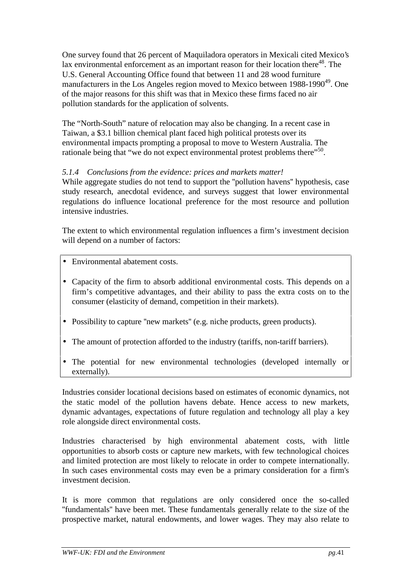One survey found that 26 percent of Maquiladora operators in Mexicali cited Mexico's lax environmental enforcement as an important reason for their location there $48$ . The U.S. General Accounting Office found that between 11 and 28 wood furniture manufacturers in the Los Angeles region moved to Mexico between  $1988-1990^{49}$ . One of the major reasons for this shift was that in Mexico these firms faced no air pollution standards for the application of solvents.

The "North-South" nature of relocation may also be changing. In a recent case in Taiwan, a \$3.1 billion chemical plant faced high political protests over its environmental impacts prompting a proposal to move to Western Australia. The rationale being that "we do not expect environmental protest problems there"<sup>50</sup>.

## *5.1.4 Conclusions from the evidence: prices and markets matter!*

While aggregate studies do not tend to support the ''pollution havens'' hypothesis, case study research, anecdotal evidence, and surveys suggest that lower environmental regulations do influence locational preference for the most resource and pollution intensive industries.

The extent to which environmental regulation influences a firm's investment decision will depend on a number of factors:

- Environmental abatement costs.
- Capacity of the firm to absorb additional environmental costs. This depends on a firm's competitive advantages, and their ability to pass the extra costs on to the consumer (elasticity of demand, competition in their markets).
- Possibility to capture "new markets" (e.g. niche products, green products).
- The amount of protection afforded to the industry (tariffs, non-tariff barriers).
- The potential for new environmental technologies (developed internally or externally).

Industries consider locational decisions based on estimates of economic dynamics, not the static model of the pollution havens debate. Hence access to new markets, dynamic advantages, expectations of future regulation and technology all play a key role alongside direct environmental costs.

Industries characterised by high environmental abatement costs, with little opportunities to absorb costs or capture new markets, with few technological choices and limited protection are most likely to relocate in order to compete internationally. In such cases environmental costs may even be a primary consideration for a firm's investment decision.

It is more common that regulations are only considered once the so-called ''fundamentals'' have been met. These fundamentals generally relate to the size of the prospective market, natural endowments, and lower wages. They may also relate to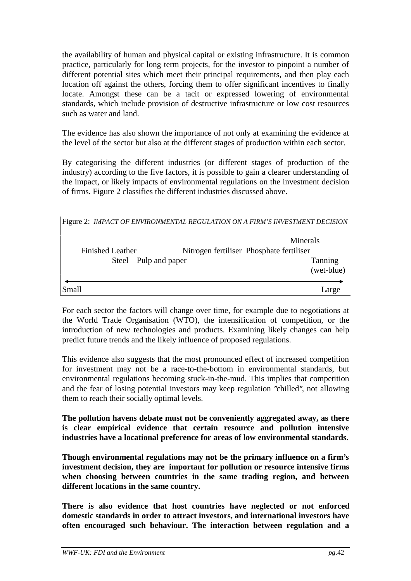the availability of human and physical capital or existing infrastructure. It is common practice, particularly for long term projects, for the investor to pinpoint a number of different potential sites which meet their principal requirements, and then play each location off against the others, forcing them to offer significant incentives to finally locate. Amongst these can be a tacit or expressed lowering of environmental standards, which include provision of destructive infrastructure or low cost resources such as water and land.

The evidence has also shown the importance of not only at examining the evidence at the level of the sector but also at the different stages of production within each sector.

By categorising the different industries (or different stages of production of the industry) according to the five factors, it is possible to gain a clearer understanding of the impact, or likely impacts of environmental regulations on the investment decision of firms. Figure 2 classifies the different industries discussed above.

| Figure 2: IMPACT OF ENVIRONMENTAL REGULATION ON A FIRM'S INVESTMENT DECISION |                       |
|------------------------------------------------------------------------------|-----------------------|
| <b>Finished Leather</b><br>Nitrogen fertiliser Phosphate fertiliser          | Minerals              |
| Pulp and paper<br>Steel                                                      | Tanning<br>(wet-blue) |
| Small                                                                        | arge                  |

For each sector the factors will change over time, for example due to negotiations at the World Trade Organisation (WTO), the intensification of competition, or the introduction of new technologies and products. Examining likely changes can help predict future trends and the likely influence of proposed regulations.

This evidence also suggests that the most pronounced effect of increased competition for investment may not be a race-to-the-bottom in environmental standards, but environmental regulations becoming stuck-in-the-mud. This implies that competition and the fear of losing potential investors may keep regulation ''chilled'', not allowing them to reach their socially optimal levels.

**The pollution havens debate must not be conveniently aggregated away, as there is clear empirical evidence that certain resource and pollution intensive industries have a locational preference for areas of low environmental standards.**

**Though environmental regulations may not be the primary influence on a firm's investment decision, they are important for pollution or resource intensive firms when choosing between countries in the same trading region, and between different locations in the same country.**

**There is also evidence that host countries have neglected or not enforced domestic standards in order to attract investors, and international investors have often encouraged such behaviour. The interaction between regulation and a**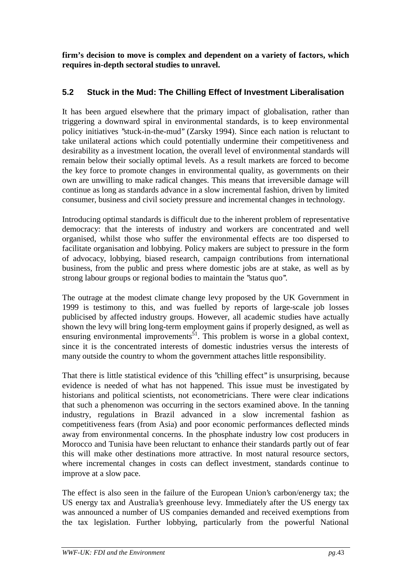**firm's decision to move is complex and dependent on a variety of factors, which requires in-depth sectoral studies to unravel.**

# **5.2 Stuck in the Mud: The Chilling Effect of Investment Liberalisation**

It has been argued elsewhere that the primary impact of globalisation, rather than triggering a downward spiral in environmental standards, is to keep environmental policy initiatives ''stuck-in-the-mud'' (Zarsky 1994). Since each nation is reluctant to take unilateral actions which could potentially undermine their competitiveness and desirability as a investment location, the overall level of environmental standards will remain below their socially optimal levels. As a result markets are forced to become the key force to promote changes in environmental quality, as governments on their own are unwilling to make radical changes. This means that irreversible damage will continue as long as standards advance in a slow incremental fashion, driven by limited consumer, business and civil society pressure and incremental changes in technology.

Introducing optimal standards is difficult due to the inherent problem of representative democracy: that the interests of industry and workers are concentrated and well organised, whilst those who suffer the environmental effects are too dispersed to facilitate organisation and lobbying. Policy makers are subject to pressure in the form of advocacy, lobbying, biased research, campaign contributions from international business, from the public and press where domestic jobs are at stake, as well as by strong labour groups or regional bodies to maintain the ''status quo''.

The outrage at the modest climate change levy proposed by the UK Government in 1999 is testimony to this, and was fuelled by reports of large-scale job losses publicised by affected industry groups. However, all academic studies have actually shown the levy will bring long-term employment gains if properly designed, as well as ensuring environmental improvements<sup>51</sup>. This problem is worse in a global context, since it is the concentrated interests of domestic industries versus the interests of many outside the country to whom the government attaches little responsibility.

That there is little statistical evidence of this "chilling effect" is unsurprising, because evidence is needed of what has not happened. This issue must be investigated by historians and political scientists, not econometricians. There were clear indications that such a phenomenon was occurring in the sectors examined above. In the tanning industry, regulations in Brazil advanced in a slow incremental fashion as competitiveness fears (from Asia) and poor economic performances deflected minds away from environmental concerns. In the phosphate industry low cost producers in Morocco and Tunisia have been reluctant to enhance their standards partly out of fear this will make other destinations more attractive. In most natural resource sectors, where incremental changes in costs can deflect investment, standards continue to improve at a slow pace.

The effect is also seen in the failure of the European Union's carbon/energy tax; the US energy tax and Australia's greenhouse levy. Immediately after the US energy tax was announced a number of US companies demanded and received exemptions from the tax legislation. Further lobbying, particularly from the powerful National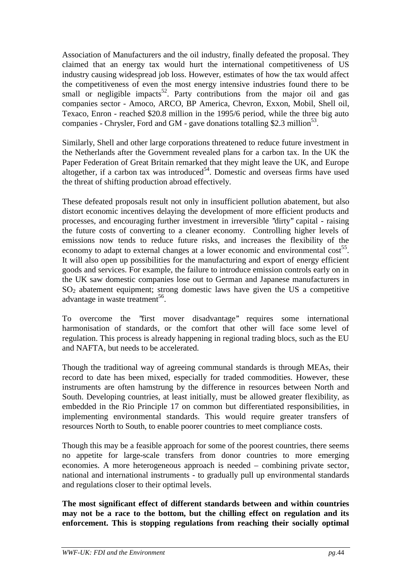Association of Manufacturers and the oil industry, finally defeated the proposal. They claimed that an energy tax would hurt the international competitiveness of US industry causing widespread job loss. However, estimates of how the tax would affect the competitiveness of even the most energy intensive industries found there to be small or negligible impacts<sup>52</sup>. Party contributions from the major oil and gas companies sector - Amoco, ARCO, BP America, Chevron, Exxon, Mobil, Shell oil, Texaco, Enron - reached \$20.8 million in the 1995/6 period, while the three big auto companies - Chrysler, Ford and GM - gave donations totalling \$2.3 million<sup>53</sup>.

Similarly, Shell and other large corporations threatened to reduce future investment in the Netherlands after the Government revealed plans for a carbon tax. In the UK the Paper Federation of Great Britain remarked that they might leave the UK, and Europe altogether, if a carbon tax was introduced<sup>54</sup>. Domestic and overseas firms have used the threat of shifting production abroad effectively.

These defeated proposals result not only in insufficient pollution abatement, but also distort economic incentives delaying the development of more efficient products and processes, and encouraging further investment in irreversible ''dirty'' capital - raising the future costs of converting to a cleaner economy. Controlling higher levels of emissions now tends to reduce future risks, and increases the flexibility of the economy to adapt to external changes at a lower economic and environmental cost<sup>55</sup>. It will also open up possibilities for the manufacturing and export of energy efficient goods and services. For example, the failure to introduce emission controls early on in the UK saw domestic companies lose out to German and Japanese manufacturers in SO2 abatement equipment; strong domestic laws have given the US a competitive advantage in waste treatment<sup>56</sup>.

To overcome the ''first mover disadvantage'' requires some international harmonisation of standards, or the comfort that other will face some level of regulation. This process is already happening in regional trading blocs, such as the EU and NAFTA, but needs to be accelerated.

Though the traditional way of agreeing communal standards is through MEAs, their record to date has been mixed, especially for traded commodities. However, these instruments are often hamstrung by the difference in resources between North and South. Developing countries, at least initially, must be allowed greater flexibility, as embedded in the Rio Principle 17 on common but differentiated responsibilities, in implementing environmental standards. This would require greater transfers of resources North to South, to enable poorer countries to meet compliance costs.

Though this may be a feasible approach for some of the poorest countries, there seems no appetite for large-scale transfers from donor countries to more emerging economies. A more heterogeneous approach is needed – combining private sector, national and international instruments - to gradually pull up environmental standards and regulations closer to their optimal levels.

**The most significant effect of different standards between and within countries may not be a race to the bottom, but the chilling effect on regulation and its enforcement. This is stopping regulations from reaching their socially optimal**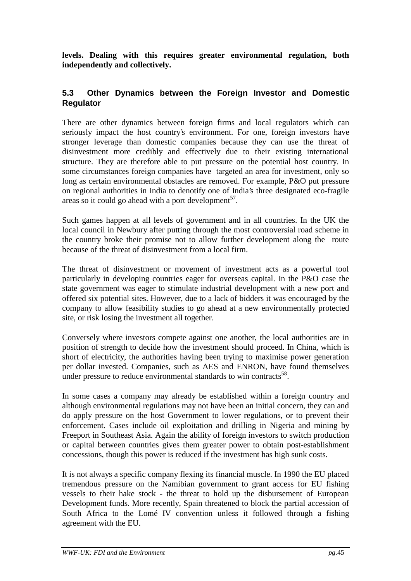**levels. Dealing with this requires greater environmental regulation, both independently and collectively.**

## **5.3 Other Dynamics between the Foreign Investor and Domestic Regulator**

There are other dynamics between foreign firms and local regulators which can seriously impact the host country's environment. For one, foreign investors have stronger leverage than domestic companies because they can use the threat of disinvestment more credibly and effectively due to their existing international structure. They are therefore able to put pressure on the potential host country. In some circumstances foreign companies have targeted an area for investment, only so long as certain environmental obstacles are removed. For example, P&O put pressure on regional authorities in India to denotify one of India's three designated eco-fragile areas so it could go ahead with a port development<sup>57</sup>.

Such games happen at all levels of government and in all countries. In the UK the local council in Newbury after putting through the most controversial road scheme in the country broke their promise not to allow further development along the route because of the threat of disinvestment from a local firm.

The threat of disinvestment or movement of investment acts as a powerful tool particularly in developing countries eager for overseas capital. In the P&O case the state government was eager to stimulate industrial development with a new port and offered six potential sites. However, due to a lack of bidders it was encouraged by the company to allow feasibility studies to go ahead at a new environmentally protected site, or risk losing the investment all together.

Conversely where investors compete against one another, the local authorities are in position of strength to decide how the investment should proceed. In China, which is short of electricity, the authorities having been trying to maximise power generation per dollar invested. Companies, such as AES and ENRON, have found themselves under pressure to reduce environmental standards to win contracts<sup>58</sup>.

In some cases a company may already be established within a foreign country and although environmental regulations may not have been an initial concern, they can and do apply pressure on the host Government to lower regulations, or to prevent their enforcement. Cases include oil exploitation and drilling in Nigeria and mining by Freeport in Southeast Asia. Again the ability of foreign investors to switch production or capital between countries gives them greater power to obtain post-establishment concessions, though this power is reduced if the investment has high sunk costs.

It is not always a specific company flexing its financial muscle. In 1990 the EU placed tremendous pressure on the Namibian government to grant access for EU fishing vessels to their hake stock - the threat to hold up the disbursement of European Development funds. More recently, Spain threatened to block the partial accession of South Africa to the Lomé IV convention unless it followed through a fishing agreement with the EU.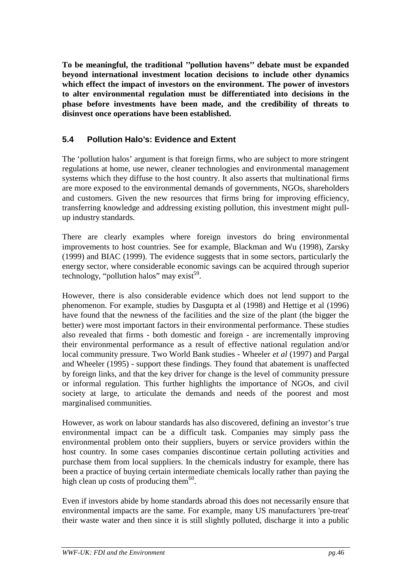**To be meaningful, the traditional ''pollution havens'' debate must be expanded beyond international investment location decisions to include other dynamics which effect the impact of investors on the environment. The power of investors to alter environmental regulation must be differentiated into decisions in the phase before investments have been made, and the credibility of threats to disinvest once operations have been established.**

# **5.4 Pollution Halo's: Evidence and Extent**

The 'pollution halos' argument is that foreign firms, who are subject to more stringent regulations at home, use newer, cleaner technologies and environmental management systems which they diffuse to the host country. It also asserts that multinational firms are more exposed to the environmental demands of governments, NGOs, shareholders and customers. Given the new resources that firms bring for improving efficiency, transferring knowledge and addressing existing pollution, this investment might pullup industry standards.

There are clearly examples where foreign investors do bring environmental improvements to host countries. See for example, Blackman and Wu (1998), Zarsky (1999) and BIAC (1999). The evidence suggests that in some sectors, particularly the energy sector, where considerable economic savings can be acquired through superior technology, "pollution halos" may exist<sup>59</sup>.

However, there is also considerable evidence which does not lend support to the phenomenon. For example, studies by Dasgupta et al (1998) and Hettige et al (1996) have found that the newness of the facilities and the size of the plant (the bigger the better) were most important factors in their environmental performance. These studies also revealed that firms - both domestic and foreign - are incrementally improving their environmental performance as a result of effective national regulation and/or local community pressure. Two World Bank studies - Wheeler *et al* (1997) and Pargal and Wheeler (1995) - support these findings. They found that abatement is unaffected by foreign links, and that the key driver for change is the level of community pressure or informal regulation. This further highlights the importance of NGOs, and civil society at large, to articulate the demands and needs of the poorest and most marginalised communities.

However, as work on labour standards has also discovered, defining an investor's true environmental impact can be a difficult task. Companies may simply pass the environmental problem onto their suppliers, buyers or service providers within the host country. In some cases companies discontinue certain polluting activities and purchase them from local suppliers. In the chemicals industry for example, there has been a practice of buying certain intermediate chemicals locally rather than paying the high clean up costs of producing them $^{60}$ .

Even if investors abide by home standards abroad this does not necessarily ensure that environmental impacts are the same. For example, many US manufacturers 'pre-treat' their waste water and then since it is still slightly polluted, discharge it into a public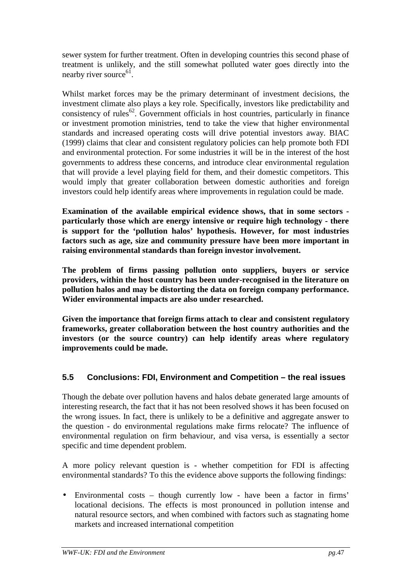sewer system for further treatment. Often in developing countries this second phase of treatment is unlikely, and the still somewhat polluted water goes directly into the nearby river source $61$ .

Whilst market forces may be the primary determinant of investment decisions, the investment climate also plays a key role. Specifically, investors like predictability and consistency of rules<sup>62</sup>. Government officials in host countries, particularly in finance or investment promotion ministries, tend to take the view that higher environmental standards and increased operating costs will drive potential investors away. BIAC (1999) claims that clear and consistent regulatory policies can help promote both FDI and environmental protection. For some industries it will be in the interest of the host governments to address these concerns, and introduce clear environmental regulation that will provide a level playing field for them, and their domestic competitors. This would imply that greater collaboration between domestic authorities and foreign investors could help identify areas where improvements in regulation could be made.

**Examination of the available empirical evidence shows, that in some sectors particularly those which are energy intensive or require high technology - there is support for the 'pollution halos' hypothesis. However, for most industries factors such as age, size and community pressure have been more important in raising environmental standards than foreign investor involvement.**

**The problem of firms passing pollution onto suppliers, buyers or service providers, within the host country has been under-recognised in the literature on pollution halos and may be distorting the data on foreign company performance. Wider environmental impacts are also under researched.**

**Given the importance that foreign firms attach to clear and consistent regulatory frameworks, greater collaboration between the host country authorities and the investors (or the source country) can help identify areas where regulatory improvements could be made.**

# **5.5 Conclusions: FDI, Environment and Competition – the real issues**

Though the debate over pollution havens and halos debate generated large amounts of interesting research, the fact that it has not been resolved shows it has been focused on the wrong issues. In fact, there is unlikely to be a definitive and aggregate answer to the question - do environmental regulations make firms relocate? The influence of environmental regulation on firm behaviour, and visa versa, is essentially a sector specific and time dependent problem.

A more policy relevant question is - whether competition for FDI is affecting environmental standards? To this the evidence above supports the following findings:

• Environmental costs – though currently low - have been a factor in firms' locational decisions. The effects is most pronounced in pollution intense and natural resource sectors, and when combined with factors such as stagnating home markets and increased international competition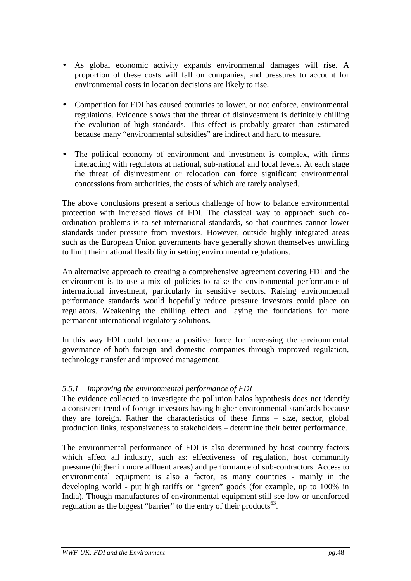- As global economic activity expands environmental damages will rise. A proportion of these costs will fall on companies, and pressures to account for environmental costs in location decisions are likely to rise.
- Competition for FDI has caused countries to lower, or not enforce, environmental regulations. Evidence shows that the threat of disinvestment is definitely chilling the evolution of high standards. This effect is probably greater than estimated because many "environmental subsidies" are indirect and hard to measure.
- The political economy of environment and investment is complex, with firms interacting with regulators at national, sub-national and local levels. At each stage the threat of disinvestment or relocation can force significant environmental concessions from authorities, the costs of which are rarely analysed.

The above conclusions present a serious challenge of how to balance environmental protection with increased flows of FDI. The classical way to approach such coordination problems is to set international standards, so that countries cannot lower standards under pressure from investors. However, outside highly integrated areas such as the European Union governments have generally shown themselves unwilling to limit their national flexibility in setting environmental regulations.

An alternative approach to creating a comprehensive agreement covering FDI and the environment is to use a mix of policies to raise the environmental performance of international investment, particularly in sensitive sectors. Raising environmental performance standards would hopefully reduce pressure investors could place on regulators. Weakening the chilling effect and laying the foundations for more permanent international regulatory solutions.

In this way FDI could become a positive force for increasing the environmental governance of both foreign and domestic companies through improved regulation, technology transfer and improved management.

## *5.5.1 Improving the environmental performance of FDI*

The evidence collected to investigate the pollution halos hypothesis does not identify a consistent trend of foreign investors having higher environmental standards because they are foreign. Rather the characteristics of these firms – size, sector, global production links, responsiveness to stakeholders – determine their better performance.

The environmental performance of FDI is also determined by host country factors which affect all industry, such as: effectiveness of regulation, host community pressure (higher in more affluent areas) and performance of sub-contractors. Access to environmental equipment is also a factor, as many countries - mainly in the developing world - put high tariffs on "green" goods (for example, up to 100% in India). Though manufactures of environmental equipment still see low or unenforced regulation as the biggest "barrier" to the entry of their products $^{63}$ .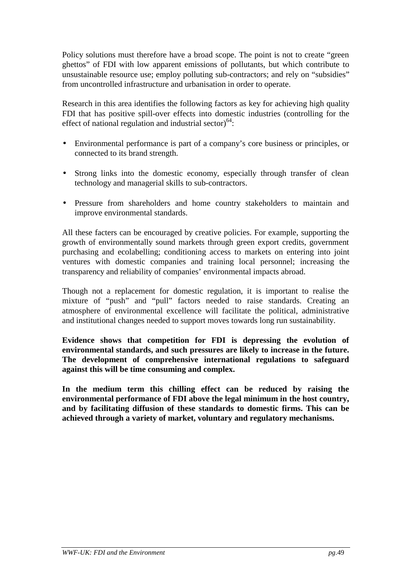Policy solutions must therefore have a broad scope. The point is not to create "green ghettos" of FDI with low apparent emissions of pollutants, but which contribute to unsustainable resource use; employ polluting sub-contractors; and rely on "subsidies" from uncontrolled infrastructure and urbanisation in order to operate.

Research in this area identifies the following factors as key for achieving high quality FDI that has positive spill-over effects into domestic industries (controlling for the effect of national regulation and industrial sector) $64$ :

- Environmental performance is part of a company's core business or principles, or connected to its brand strength.
- Strong links into the domestic economy, especially through transfer of clean technology and managerial skills to sub-contractors.
- Pressure from shareholders and home country stakeholders to maintain and improve environmental standards.

All these facters can be encouraged by creative policies. For example, supporting the growth of environmentally sound markets through green export credits, government purchasing and ecolabelling; conditioning access to markets on entering into joint ventures with domestic companies and training local personnel; increasing the transparency and reliability of companies' environmental impacts abroad.

Though not a replacement for domestic regulation, it is important to realise the mixture of "push" and "pull" factors needed to raise standards. Creating an atmosphere of environmental excellence will facilitate the political, administrative and institutional changes needed to support moves towards long run sustainability.

**Evidence shows that competition for FDI is depressing the evolution of environmental standards, and such pressures are likely to increase in the future. The development of comprehensive international regulations to safeguard against this will be time consuming and complex.**

**In the medium term this chilling effect can be reduced by raising the environmental performance of FDI above the legal minimum in the host country, and by facilitating diffusion of these standards to domestic firms. This can be achieved through a variety of market, voluntary and regulatory mechanisms.**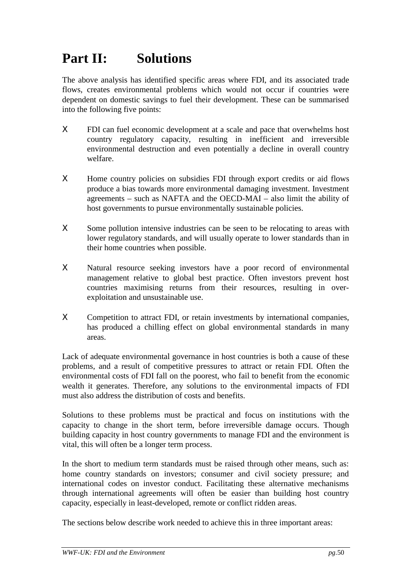# **Part II: Solutions**

The above analysis has identified specific areas where FDI, and its associated trade flows, creates environmental problems which would not occur if countries were dependent on domestic savings to fuel their development. These can be summarised into the following five points:

- Χ FDI can fuel economic development at a scale and pace that overwhelms host country regulatory capacity, resulting in inefficient and irreversible environmental destruction and even potentially a decline in overall country welfare.
- Χ Home country policies on subsidies FDI through export credits or aid flows produce a bias towards more environmental damaging investment. Investment agreements – such as NAFTA and the OECD-MAI – also limit the ability of host governments to pursue environmentally sustainable policies.
- X Some pollution intensive industries can be seen to be relocating to areas with lower regulatory standards, and will usually operate to lower standards than in their home countries when possible.
- Χ Natural resource seeking investors have a poor record of environmental management relative to global best practice. Often investors prevent host countries maximising returns from their resources, resulting in overexploitation and unsustainable use.
- Χ Competition to attract FDI, or retain investments by international companies, has produced a chilling effect on global environmental standards in many areas.

Lack of adequate environmental governance in host countries is both a cause of these problems, and a result of competitive pressures to attract or retain FDI. Often the environmental costs of FDI fall on the poorest, who fail to benefit from the economic wealth it generates. Therefore, any solutions to the environmental impacts of FDI must also address the distribution of costs and benefits.

Solutions to these problems must be practical and focus on institutions with the capacity to change in the short term, before irreversible damage occurs. Though building capacity in host country governments to manage FDI and the environment is vital, this will often be a longer term process.

In the short to medium term standards must be raised through other means, such as: home country standards on investors; consumer and civil society pressure; and international codes on investor conduct. Facilitating these alternative mechanisms through international agreements will often be easier than building host country capacity, especially in least-developed, remote or conflict ridden areas.

The sections below describe work needed to achieve this in three important areas: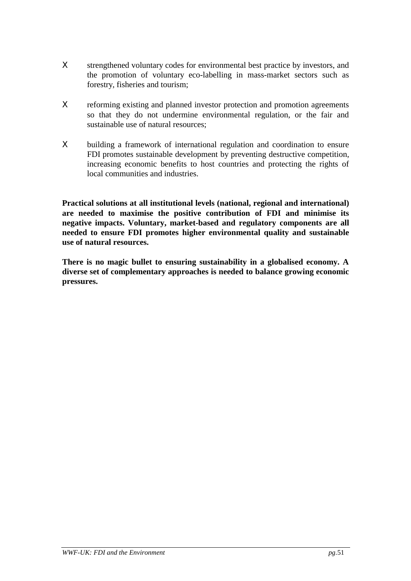- X strengthened voluntary codes for environmental best practice by investors, and the promotion of voluntary eco-labelling in mass-market sectors such as forestry, fisheries and tourism;
- Χ reforming existing and planned investor protection and promotion agreements so that they do not undermine environmental regulation, or the fair and sustainable use of natural resources;
- Χ building a framework of international regulation and coordination to ensure FDI promotes sustainable development by preventing destructive competition, increasing economic benefits to host countries and protecting the rights of local communities and industries.

**Practical solutions at all institutional levels (national, regional and international) are needed to maximise the positive contribution of FDI and minimise its negative impacts. Voluntary, market-based and regulatory components are all needed to ensure FDI promotes higher environmental quality and sustainable use of natural resources.**

**There is no magic bullet to ensuring sustainability in a globalised economy. A diverse set of complementary approaches is needed to balance growing economic pressures.**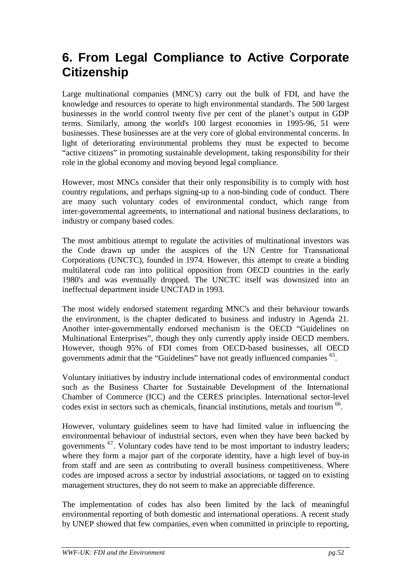# **6. From Legal Compliance to Active Corporate Citizenship**

Large multinational companies (MNC's) carry out the bulk of FDI, and have the knowledge and resources to operate to high environmental standards. The 500 largest businesses in the world control twenty five per cent of the planet's output in GDP terms. Similarly, among the world's 100 largest economies in 1995-96, 51 were businesses. These businesses are at the very core of global environmental concerns. In light of deteriorating environmental problems they must be expected to become "active citizens" in promoting sustainable development, taking responsibility for their role in the global economy and moving beyond legal compliance.

However, most MNCs consider that their only responsibility is to comply with host country regulations, and perhaps signing-up to a non-binding code of conduct. There are many such voluntary codes of environmental conduct, which range from inter-governmental agreements, to international and national business declarations, to industry or company based codes.

The most ambitious attempt to regulate the activities of multinational investors was the Code drawn up under the auspices of the UN Centre for Transnational Corporations (UNCTC), founded in 1974. However, this attempt to create a binding multilateral code ran into political opposition from OECD countries in the early 1980's and was eventually dropped. The UNCTC itself was downsized into an ineffectual department inside UNCTAD in 1993.

The most widely endorsed statement regarding MNC's and their behaviour towards the environment, is the chapter dedicated to business and industry in Agenda 21. Another inter-governmentally endorsed mechanism is the OECD "Guidelines on Multinational Enterprises", though they only currently apply inside OECD members. However, though 95% of FDI comes from OECD-based businesses, all OECD governments admit that the "Guidelines" have not greatly influenced companies <sup>65</sup>.

Voluntary initiatives by industry include international codes of environmental conduct such as the Business Charter for Sustainable Development of the International Chamber of Commerce (ICC) and the CERES principles. International sector-level codes exist in sectors such as chemicals, financial institutions, metals and tourism <sup>66</sup>.

However, voluntary guidelines seem to have had limited value in influencing the environmental behaviour of industrial sectors, even when they have been backed by governments <sup>67</sup>. Voluntary codes have tend to be most important to industry leaders; where they form a major part of the corporate identity, have a high level of buy-in from staff and are seen as contributing to overall business competitiveness. Where codes are imposed across a sector by industrial associations, or tagged on to existing management structures, they do not seem to make an appreciable difference.

The implementation of codes has also been limited by the lack of meaningful environmental reporting of both domestic and international operations. A recent study by UNEP showed that few companies, even when committed in principle to reporting,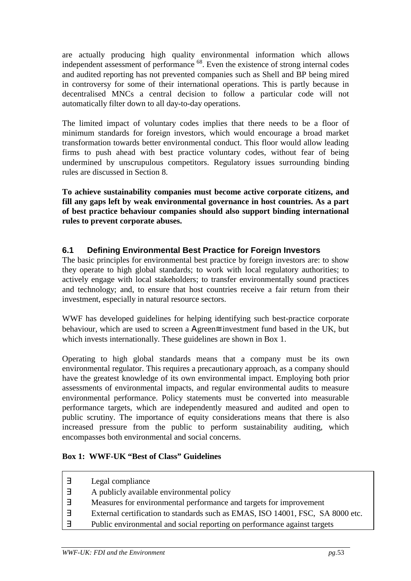are actually producing high quality environmental information which allows independent assessment of performance 68. Even the existence of strong internal codes and audited reporting has not prevented companies such as Shell and BP being mired in controversy for some of their international operations. This is partly because in decentralised MNCs a central decision to follow a particular code will not automatically filter down to all day-to-day operations.

The limited impact of voluntary codes implies that there needs to be a floor of minimum standards for foreign investors, which would encourage a broad market transformation towards better environmental conduct. This floor would allow leading firms to push ahead with best practice voluntary codes, without fear of being undermined by unscrupulous competitors. Regulatory issues surrounding binding rules are discussed in Section 8.

**To achieve sustainability companies must become active corporate citizens, and fill any gaps left by weak environmental governance in host countries. As a part of best practice behaviour companies should also support binding international rules to prevent corporate abuses.**

# **6.1 Defining Environmental Best Practice for Foreign Investors**

The basic principles for environmental best practice by foreign investors are: to show they operate to high global standards; to work with local regulatory authorities; to actively engage with local stakeholders; to transfer environmentally sound practices and technology; and, to ensure that host countries receive a fair return from their investment, especially in natural resource sectors.

WWF has developed guidelines for helping identifying such best-practice corporate behaviour, which are used to screen a Αgreen≅ investment fund based in the UK, but which invests internationally. These guidelines are shown in Box 1.

Operating to high global standards means that a company must be its own environmental regulator. This requires a precautionary approach, as a company should have the greatest knowledge of its own environmental impact. Employing both prior assessments of environmental impacts, and regular environmental audits to measure environmental performance. Policy statements must be converted into measurable performance targets, which are independently measured and audited and open to public scrutiny. The importance of equity considerations means that there is also increased pressure from the public to perform sustainability auditing, which encompasses both environmental and social concerns.

### **Box 1: WWF-UK "Best of Class" Guidelines**

| 3                        | Legal compliance                                                               |
|--------------------------|--------------------------------------------------------------------------------|
| $\overline{\phantom{0}}$ | A publicly available environmental policy                                      |
|                          | Measures for environmental performance and targets for improvement             |
|                          | External certification to standards such as EMAS, ISO 14001, FSC, SA 8000 etc. |
|                          | Public environmental and social reporting on performance against targets       |
|                          |                                                                                |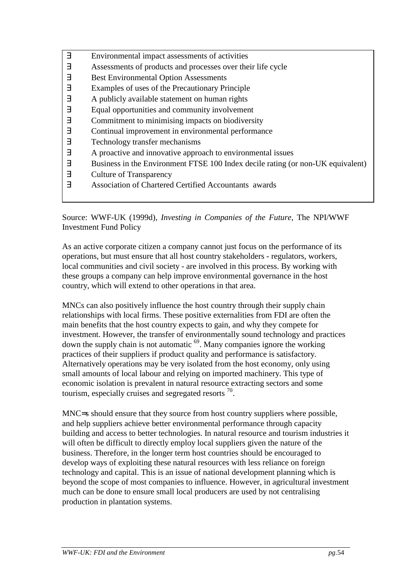| $\exists$ | Environmental impact assessments of activities                                  |
|-----------|---------------------------------------------------------------------------------|
| Е         | Assessments of products and processes over their life cycle                     |
| Ε         | <b>Best Environmental Option Assessments</b>                                    |
| Е         | Examples of uses of the Precautionary Principle                                 |
| Е         | A publicly available statement on human rights                                  |
| Е         | Equal opportunities and community involvement                                   |
| Е         | Commitment to minimising impacts on biodiversity                                |
| Е         | Continual improvement in environmental performance                              |
| Ε         | Technology transfer mechanisms                                                  |
| Е         | A proactive and innovative approach to environmental issues                     |
| Е         | Business in the Environment FTSE 100 Index decile rating (or non-UK equivalent) |
| Е         | <b>Culture of Transparency</b>                                                  |
| ㅋ         | Association of Chartered Certified Accountants awards                           |
|           |                                                                                 |

Source: WWF-UK (1999d), *Investing in Companies of the Future*, The NPI/WWF Investment Fund Policy

As an active corporate citizen a company cannot just focus on the performance of its operations, but must ensure that all host country stakeholders - regulators, workers, local communities and civil society - are involved in this process. By working with these groups a company can help improve environmental governance in the host country, which will extend to other operations in that area.

MNCs can also positively influence the host country through their supply chain relationships with local firms. These positive externalities from FDI are often the main benefits that the host country expects to gain, and why they compete for investment. However, the transfer of environmentally sound technology and practices down the supply chain is not automatic 69. Many companies ignore the working practices of their suppliers if product quality and performance is satisfactory. Alternatively operations may be very isolated from the host economy, only using small amounts of local labour and relying on imported machinery. This type of economic isolation is prevalent in natural resource extracting sectors and some tourism, especially cruises and segregated resorts  $\frac{70}{10}$ .

MNC=s should ensure that they source from host country suppliers where possible, and help suppliers achieve better environmental performance through capacity building and access to better technologies. In natural resource and tourism industries it will often be difficult to directly employ local suppliers given the nature of the business. Therefore, in the longer term host countries should be encouraged to develop ways of exploiting these natural resources with less reliance on foreign technology and capital. This is an issue of national development planning which is beyond the scope of most companies to influence. However, in agricultural investment much can be done to ensure small local producers are used by not centralising production in plantation systems.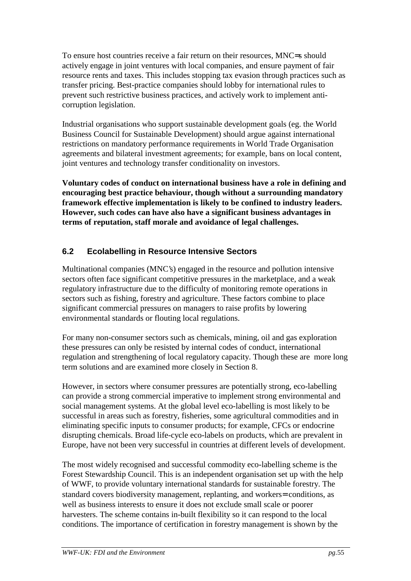To ensure host countries receive a fair return on their resources, MNC=s should actively engage in joint ventures with local companies, and ensure payment of fair resource rents and taxes. This includes stopping tax evasion through practices such as transfer pricing. Best-practice companies should lobby for international rules to prevent such restrictive business practices, and actively work to implement anticorruption legislation.

Industrial organisations who support sustainable development goals (eg. the World Business Council for Sustainable Development) should argue against international restrictions on mandatory performance requirements in World Trade Organisation agreements and bilateral investment agreements; for example, bans on local content, joint ventures and technology transfer conditionality on investors.

**Voluntary codes of conduct on international business have a role in defining and encouraging best practice behaviour, though without a surrounding mandatory framework effective implementation is likely to be confined to industry leaders. However, such codes can have also have a significant business advantages in terms of reputation, staff morale and avoidance of legal challenges.**

# **6.2 Ecolabelling in Resource Intensive Sectors**

Multinational companies (MNC's) engaged in the resource and pollution intensive sectors often face significant competitive pressures in the marketplace, and a weak regulatory infrastructure due to the difficulty of monitoring remote operations in sectors such as fishing, forestry and agriculture. These factors combine to place significant commercial pressures on managers to raise profits by lowering environmental standards or flouting local regulations.

For many non-consumer sectors such as chemicals, mining, oil and gas exploration these pressures can only be resisted by internal codes of conduct, international regulation and strengthening of local regulatory capacity. Though these are more long term solutions and are examined more closely in Section 8.

However, in sectors where consumer pressures are potentially strong, eco-labelling can provide a strong commercial imperative to implement strong environmental and social management systems. At the global level eco-labelling is most likely to be successful in areas such as forestry, fisheries, some agricultural commodities and in eliminating specific inputs to consumer products; for example, CFCs or endocrine disrupting chemicals. Broad life-cycle eco-labels on products, which are prevalent in Europe, have not been very successful in countries at different levels of development.

The most widely recognised and successful commodity eco-labelling scheme is the Forest Stewardship Council. This is an independent organisation set up with the help of WWF, to provide voluntary international standards for sustainable forestry. The standard covers biodiversity management, replanting, and workers= conditions, as well as business interests to ensure it does not exclude small scale or poorer harvesters. The scheme contains in-built flexibility so it can respond to the local conditions. The importance of certification in forestry management is shown by the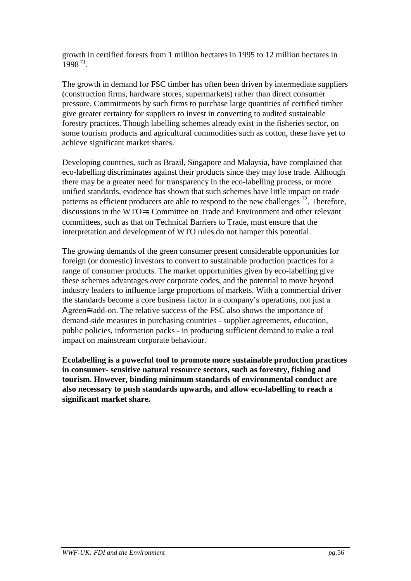growth in certified forests from 1 million hectares in 1995 to 12 million hectares in 1998 71.

The growth in demand for FSC timber has often been driven by intermediate suppliers (construction firms, hardware stores, supermarkets) rather than direct consumer pressure. Commitments by such firms to purchase large quantities of certified timber give greater certainty for suppliers to invest in converting to audited sustainable forestry practices. Though labelling schemes already exist in the fisheries sector, on some tourism products and agricultural commodities such as cotton, these have yet to achieve significant market shares.

Developing countries, such as Brazil, Singapore and Malaysia, have complained that eco-labelling discriminates against their products since they may lose trade. Although there may be a greater need for transparency in the eco-labelling process, or more unified standards, evidence has shown that such schemes have little impact on trade patterns as efficient producers are able to respond to the new challenges  $72$ . Therefore, discussions in the WTO=s Committee on Trade and Environment and other relevant committees, such as that on Technical Barriers to Trade, must ensure that the interpretation and development of WTO rules do not hamper this potential.

The growing demands of the green consumer present considerable opportunities for foreign (or domestic) investors to convert to sustainable production practices for a range of consumer products. The market opportunities given by eco-labelling give these schemes advantages over corporate codes, and the potential to move beyond industry leaders to influence large proportions of markets. With a commercial driver the standards become a core business factor in a company's operations, not just a Αgreen≅ add-on. The relative success of the FSC also shows the importance of demand-side measures in purchasing countries - supplier agreements, education, public policies, information packs - in producing sufficient demand to make a real impact on mainstream corporate behaviour.

**Ecolabelling is a powerful tool to promote more sustainable production practices in consumer- sensitive natural resource sectors, such as forestry, fishing and tourism. However, binding minimum standards of environmental conduct are also necessary to push standards upwards, and allow eco-labelling to reach a significant market share.**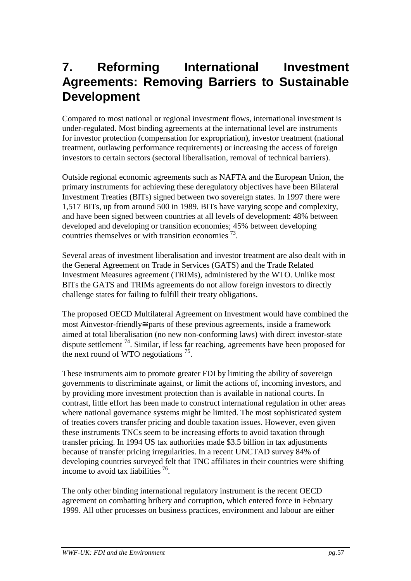# **7. Reforming International Investment Agreements: Removing Barriers to Sustainable Development**

Compared to most national or regional investment flows, international investment is under-regulated. Most binding agreements at the international level are instruments for investor protection (compensation for expropriation), investor treatment (national treatment, outlawing performance requirements) or increasing the access of foreign investors to certain sectors (sectoral liberalisation, removal of technical barriers).

Outside regional economic agreements such as NAFTA and the European Union, the primary instruments for achieving these deregulatory objectives have been Bilateral Investment Treaties (BITs) signed between two sovereign states. In 1997 there were 1,517 BITs, up from around 500 in 1989. BITs have varying scope and complexity, and have been signed between countries at all levels of development: 48% between developed and developing or transition economies; 45% between developing countries themselves or with transition economies  $^{73}$ .

Several areas of investment liberalisation and investor treatment are also dealt with in the General Agreement on Trade in Services (GATS) and the Trade Related Investment Measures agreement (TRIMs), administered by the WTO. Unlike most BITs the GATS and TRIMs agreements do not allow foreign investors to directly challenge states for failing to fulfill their treaty obligations.

The proposed OECD Multilateral Agreement on Investment would have combined the most Αinvestor-friendly≅ parts of these previous agreements, inside a framework aimed at total liberalisation (no new non-conforming laws) with direct investor-state dispute settlement  $74$ . Similar, if less far reaching, agreements have been proposed for the next round of WTO negotiations  $^{75}$ .

These instruments aim to promote greater FDI by limiting the ability of sovereign governments to discriminate against, or limit the actions of, incoming investors, and by providing more investment protection than is available in national courts. In contrast, little effort has been made to construct international regulation in other areas where national governance systems might be limited. The most sophisticated system of treaties covers transfer pricing and double taxation issues. However, even given these instruments TNCs seem to be increasing efforts to avoid taxation through transfer pricing. In 1994 US tax authorities made \$3.5 billion in tax adjustments because of transfer pricing irregularities. In a recent UNCTAD survey 84% of developing countries surveyed felt that TNC affiliates in their countries were shifting income to avoid tax liabilities 76.

The only other binding international regulatory instrument is the recent OECD agreement on combatting bribery and corruption, which entered force in February 1999. All other processes on business practices, environment and labour are either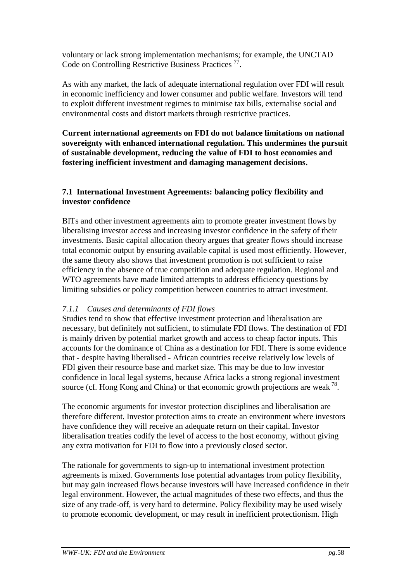voluntary or lack strong implementation mechanisms; for example, the UNCTAD Code on Controlling Restrictive Business Practices 77.

As with any market, the lack of adequate international regulation over FDI will result in economic inefficiency and lower consumer and public welfare. Investors will tend to exploit different investment regimes to minimise tax bills, externalise social and environmental costs and distort markets through restrictive practices.

**Current international agreements on FDI do not balance limitations on national sovereignty with enhanced international regulation. This undermines the pursuit of sustainable development, reducing the value of FDI to host economies and fostering inefficient investment and damaging management decisions.**

## **7.1 International Investment Agreements: balancing policy flexibility and investor confidence**

BITs and other investment agreements aim to promote greater investment flows by liberalising investor access and increasing investor confidence in the safety of their investments. Basic capital allocation theory argues that greater flows should increase total economic output by ensuring available capital is used most efficiently. However, the same theory also shows that investment promotion is not sufficient to raise efficiency in the absence of true competition and adequate regulation. Regional and WTO agreements have made limited attempts to address efficiency questions by limiting subsidies or policy competition between countries to attract investment.

## *7.1.1 Causes and determinants of FDI flows*

Studies tend to show that effective investment protection and liberalisation are necessary, but definitely not sufficient, to stimulate FDI flows. The destination of FDI is mainly driven by potential market growth and access to cheap factor inputs. This accounts for the dominance of China as a destination for FDI. There is some evidence that - despite having liberalised - African countries receive relatively low levels of FDI given their resource base and market size. This may be due to low investor confidence in local legal systems, because Africa lacks a strong regional investment source (cf. Hong Kong and China) or that economic growth projections are weak  $^{78}$ .

The economic arguments for investor protection disciplines and liberalisation are therefore different. Investor protection aims to create an environment where investors have confidence they will receive an adequate return on their capital. Investor liberalisation treaties codify the level of access to the host economy, without giving any extra motivation for FDI to flow into a previously closed sector.

The rationale for governments to sign-up to international investment protection agreements is mixed. Governments lose potential advantages from policy flexibility, but may gain increased flows because investors will have increased confidence in their legal environment. However, the actual magnitudes of these two effects, and thus the size of any trade-off, is very hard to determine. Policy flexibility may be used wisely to promote economic development, or may result in inefficient protectionism. High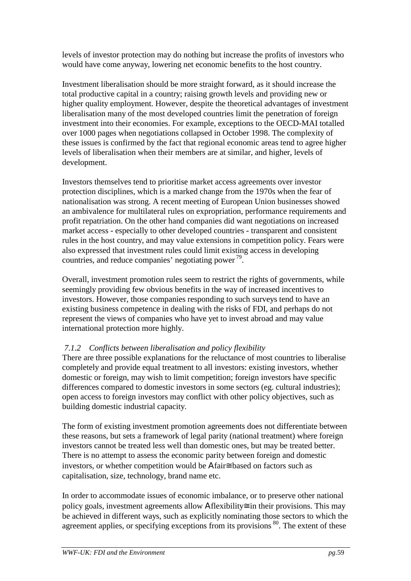levels of investor protection may do nothing but increase the profits of investors who would have come anyway, lowering net economic benefits to the host country.

Investment liberalisation should be more straight forward, as it should increase the total productive capital in a country; raising growth levels and providing new or higher quality employment. However, despite the theoretical advantages of investment liberalisation many of the most developed countries limit the penetration of foreign investment into their economies. For example, exceptions to the OECD-MAI totalled over 1000 pages when negotiations collapsed in October 1998. The complexity of these issues is confirmed by the fact that regional economic areas tend to agree higher levels of liberalisation when their members are at similar, and higher, levels of development.

Investors themselves tend to prioritise market access agreements over investor protection disciplines, which is a marked change from the 1970s when the fear of nationalisation was strong. A recent meeting of European Union businesses showed an ambivalence for multilateral rules on expropriation, performance requirements and profit repatriation. On the other hand companies did want negotiations on increased market access - especially to other developed countries - transparent and consistent rules in the host country, and may value extensions in competition policy. Fears were also expressed that investment rules could limit existing access in developing countries, and reduce companies' negotiating power 79.

Overall, investment promotion rules seem to restrict the rights of governments, while seemingly providing few obvious benefits in the way of increased incentives to investors. However, those companies responding to such surveys tend to have an existing business competence in dealing with the risks of FDI, and perhaps do not represent the views of companies who have yet to invest abroad and may value international protection more highly.

# *7.1.2 Conflicts between liberalisation and policy flexibility*

There are three possible explanations for the reluctance of most countries to liberalise completely and provide equal treatment to all investors: existing investors, whether domestic or foreign, may wish to limit competition; foreign investors have specific differences compared to domestic investors in some sectors (eg. cultural industries); open access to foreign investors may conflict with other policy objectives, such as building domestic industrial capacity.

The form of existing investment promotion agreements does not differentiate between these reasons, but sets a framework of legal parity (national treatment) where foreign investors cannot be treated less well than domestic ones, but may be treated better. There is no attempt to assess the economic parity between foreign and domestic investors, or whether competition would be Αfair≅ based on factors such as capitalisation, size, technology, brand name etc.

In order to accommodate issues of economic imbalance, or to preserve other national policy goals, investment agreements allow Aflexibility≅ in their provisions. This may be achieved in different ways, such as explicitly nominating those sectors to which the agreement applies, or specifying exceptions from its provisions  $80$ . The extent of these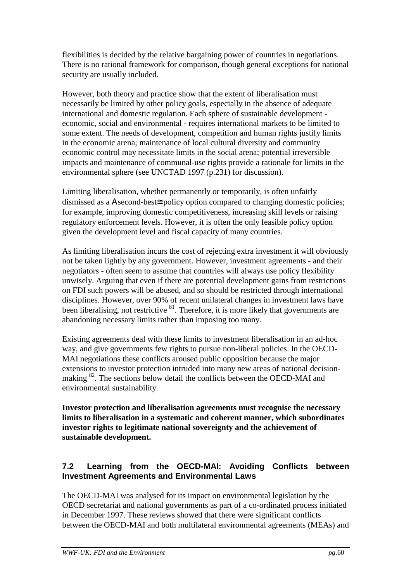flexibilities is decided by the relative bargaining power of countries in negotiations. There is no rational framework for comparison, though general exceptions for national security are usually included.

However, both theory and practice show that the extent of liberalisation must necessarily be limited by other policy goals, especially in the absence of adequate international and domestic regulation. Each sphere of sustainable development economic, social and environmental - requires international markets to be limited to some extent. The needs of development, competition and human rights justify limits in the economic arena; maintenance of local cultural diversity and community economic control may necessitate limits in the social arena; potential irreversible impacts and maintenance of communal-use rights provide a rationale for limits in the environmental sphere (see UNCTAD 1997 (p.231) for discussion).

Limiting liberalisation, whether permanently or temporarily, is often unfairly dismissed as a Αsecond-best≅ policy option compared to changing domestic policies; for example, improving domestic competitiveness, increasing skill levels or raising regulatory enforcement levels. However, it is often the only feasible policy option given the development level and fiscal capacity of many countries.

As limiting liberalisation incurs the cost of rejecting extra investment it will obviously not be taken lightly by any government. However, investment agreements - and their negotiators - often seem to assume that countries will always use policy flexibility unwisely. Arguing that even if there are potential development gains from restrictions on FDI such powers will be abused, and so should be restricted through international disciplines. However, over 90% of recent unilateral changes in investment laws have been liberalising, not restrictive  $81$ . Therefore, it is more likely that governments are abandoning necessary limits rather than imposing too many.

Existing agreements deal with these limits to investment liberalisation in an ad-hoc way, and give governments few rights to pursue non-liberal policies. In the OECD-MAI negotiations these conflicts aroused public opposition because the major extensions to investor protection intruded into many new areas of national decisionmaking 82. The sections below detail the conflicts between the OECD-MAI and environmental sustainability.

**Investor protection and liberalisation agreements must recognise the necessary limits to liberalisation in a systematic and coherent manner, which subordinates investor rights to legitimate national sovereignty and the achievement of sustainable development.**

# **7.2 Learning from the OECD-MAI: Avoiding Conflicts between Investment Agreements and Environmental Laws**

The OECD-MAI was analysed for its impact on environmental legislation by the OECD secretariat and national governments as part of a co-ordinated process initiated in December 1997. These reviews showed that there were significant conflicts between the OECD-MAI and both multilateral environmental agreements (MEAs) and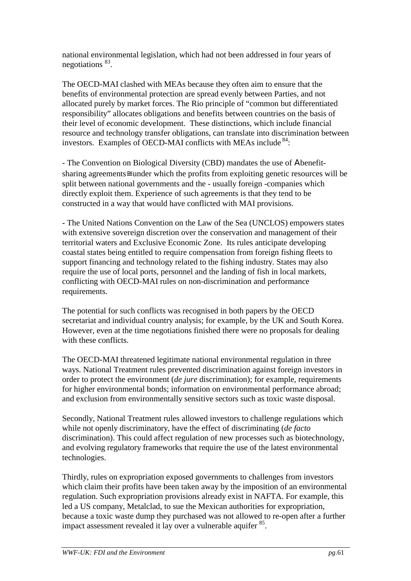national environmental legislation, which had not been addressed in four years of negotiations 83.

The OECD-MAI clashed with MEAs because they often aim to ensure that the benefits of environmental protection are spread evenly between Parties, and not allocated purely by market forces. The Rio principle of "common but differentiated responsibility" allocates obligations and benefits between countries on the basis of their level of economic development. These distinctions, which include financial resource and technology transfer obligations, can translate into discrimination between investors. Examples of OECD-MAI conflicts with MEAs include <sup>84</sup>:

- The Convention on Biological Diversity (CBD) mandates the use of Αbenefitsharing agreements≅ under which the profits from exploiting genetic resources will be split between national governments and the - usually foreign -companies which directly exploit them. Experience of such agreements is that they tend to be constructed in a way that would have conflicted with MAI provisions.

- The United Nations Convention on the Law of the Sea (UNCLOS) empowers states with extensive sovereign discretion over the conservation and management of their territorial waters and Exclusive Economic Zone. Its rules anticipate developing coastal states being entitled to require compensation from foreign fishing fleets to support financing and technology related to the fishing industry. States may also require the use of local ports, personnel and the landing of fish in local markets, conflicting with OECD-MAI rules on non-discrimination and performance requirements.

The potential for such conflicts was recognised in both papers by the OECD secretariat and individual country analysis; for example, by the UK and South Korea. However, even at the time negotiations finished there were no proposals for dealing with these conflicts.

The OECD-MAI threatened legitimate national environmental regulation in three ways. National Treatment rules prevented discrimination against foreign investors in order to protect the environment (*de jure* discrimination); for example, requirements for higher environmental bonds; information on environmental performance abroad; and exclusion from environmentally sensitive sectors such as toxic waste disposal.

Secondly, National Treatment rules allowed investors to challenge regulations which while not openly discriminatory, have the effect of discriminating (*de facto* discrimination). This could affect regulation of new processes such as biotechnology, and evolving regulatory frameworks that require the use of the latest environmental technologies.

Thirdly, rules on expropriation exposed governments to challenges from investors which claim their profits have been taken away by the imposition of an environmental regulation. Such expropriation provisions already exist in NAFTA. For example, this led a US company, Metalclad, to sue the Mexican authorities for expropriation, because a toxic waste dump they purchased was not allowed to re-open after a further impact assessment revealed it lay over a vulnerable aquifer 85.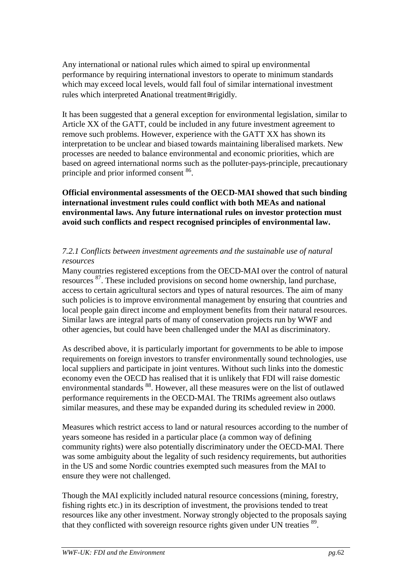Any international or national rules which aimed to spiral up environmental performance by requiring international investors to operate to minimum standards which may exceed local levels, would fall foul of similar international investment rules which interpreted Αnational treatment≅ rigidly.

It has been suggested that a general exception for environmental legislation, similar to Article XX of the GATT, could be included in any future investment agreement to remove such problems. However, experience with the GATT XX has shown its interpretation to be unclear and biased towards maintaining liberalised markets. New processes are needed to balance environmental and economic priorities, which are based on agreed international norms such as the polluter-pays-principle, precautionary principle and prior informed consent 86.

**Official environmental assessments of the OECD-MAI showed that such binding international investment rules could conflict with both MEAs and national environmental laws. Any future international rules on investor protection must avoid such conflicts and respect recognised principles of environmental law.**

### *7.2.1 Conflicts between investment agreements and the sustainable use of natural resources*

Many countries registered exceptions from the OECD-MAI over the control of natural resources 87. These included provisions on second home ownership, land purchase, access to certain agricultural sectors and types of natural resources. The aim of many such policies is to improve environmental management by ensuring that countries and local people gain direct income and employment benefits from their natural resources. Similar laws are integral parts of many of conservation projects run by WWF and other agencies, but could have been challenged under the MAI as discriminatory.

As described above, it is particularly important for governments to be able to impose requirements on foreign investors to transfer environmentally sound technologies, use local suppliers and participate in joint ventures. Without such links into the domestic economy even the OECD has realised that it is unlikely that FDI will raise domestic environmental standards 88. However, all these measures were on the list of outlawed performance requirements in the OECD-MAI. The TRIMs agreement also outlaws similar measures, and these may be expanded during its scheduled review in 2000.

Measures which restrict access to land or natural resources according to the number of years someone has resided in a particular place (a common way of defining community rights) were also potentially discriminatory under the OECD-MAI. There was some ambiguity about the legality of such residency requirements, but authorities in the US and some Nordic countries exempted such measures from the MAI to ensure they were not challenged.

Though the MAI explicitly included natural resource concessions (mining, forestry, fishing rights etc.) in its description of investment, the provisions tended to treat resources like any other investment. Norway strongly objected to the proposals saying that they conflicted with sovereign resource rights given under UN treaties <sup>89</sup>.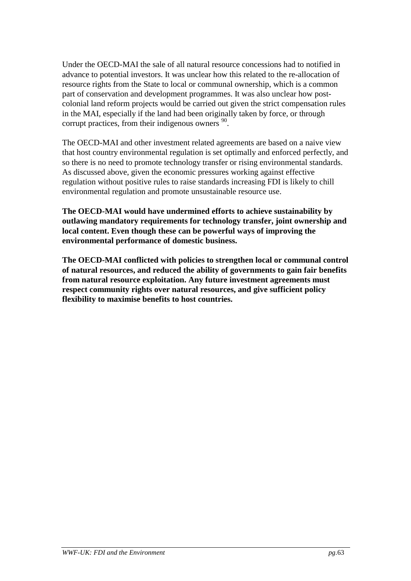Under the OECD-MAI the sale of all natural resource concessions had to notified in advance to potential investors. It was unclear how this related to the re-allocation of resource rights from the State to local or communal ownership, which is a common part of conservation and development programmes. It was also unclear how postcolonial land reform projects would be carried out given the strict compensation rules in the MAI, especially if the land had been originally taken by force, or through corrupt practices, from their indigenous owners  $90$ .

The OECD-MAI and other investment related agreements are based on a naive view that host country environmental regulation is set optimally and enforced perfectly, and so there is no need to promote technology transfer or rising environmental standards. As discussed above, given the economic pressures working against effective regulation without positive rules to raise standards increasing FDI is likely to chill environmental regulation and promote unsustainable resource use.

**The OECD-MAI would have undermined efforts to achieve sustainability by outlawing mandatory requirements for technology transfer, joint ownership and local content. Even though these can be powerful ways of improving the environmental performance of domestic business.**

**The OECD-MAI conflicted with policies to strengthen local or communal control of natural resources, and reduced the ability of governments to gain fair benefits from natural resource exploitation. Any future investment agreements must respect community rights over natural resources, and give sufficient policy flexibility to maximise benefits to host countries.**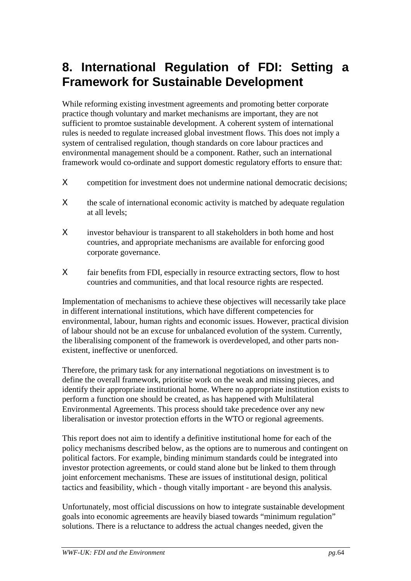# **8. International Regulation of FDI: Setting a Framework for Sustainable Development**

While reforming existing investment agreements and promoting better corporate practice though voluntary and market mechanisms are important, they are not sufficient to promtoe sustainable development. A coherent system of international rules is needed to regulate increased global investment flows. This does not imply a system of centralised regulation, though standards on core labour practices and environmental management should be a component. Rather, such an international framework would co-ordinate and support domestic regulatory efforts to ensure that:

- Χ competition for investment does not undermine national democratic decisions;
- X the scale of international economic activity is matched by adequate regulation at all levels;
- Χ investor behaviour is transparent to all stakeholders in both home and host countries, and appropriate mechanisms are available for enforcing good corporate governance.
- Χ fair benefits from FDI, especially in resource extracting sectors, flow to host countries and communities, and that local resource rights are respected.

Implementation of mechanisms to achieve these objectives will necessarily take place in different international institutions, which have different competencies for environmental, labour, human rights and economic issues. However, practical division of labour should not be an excuse for unbalanced evolution of the system. Currently, the liberalising component of the framework is overdeveloped, and other parts nonexistent, ineffective or unenforced.

Therefore, the primary task for any international negotiations on investment is to define the overall framework, prioritise work on the weak and missing pieces, and identify their appropriate institutional home. Where no appropriate institution exists to perform a function one should be created, as has happened with Multilateral Environmental Agreements. This process should take precedence over any new liberalisation or investor protection efforts in the WTO or regional agreements.

This report does not aim to identify a definitive institutional home for each of the policy mechanisms described below, as the options are to numerous and contingent on political factors. For example, binding minimum standards could be integrated into investor protection agreements, or could stand alone but be linked to them through joint enforcement mechanisms. These are issues of institutional design, political tactics and feasibility, which - though vitally important - are beyond this analysis.

Unfortunately, most official discussions on how to integrate sustainable development goals into economic agreements are heavily biased towards "minimum regulation" solutions. There is a reluctance to address the actual changes needed, given the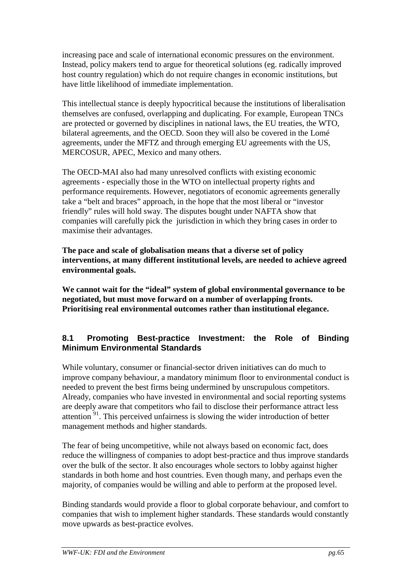increasing pace and scale of international economic pressures on the environment. Instead, policy makers tend to argue for theoretical solutions (eg. radically improved host country regulation) which do not require changes in economic institutions, but have little likelihood of immediate implementation.

This intellectual stance is deeply hypocritical because the institutions of liberalisation themselves are confused, overlapping and duplicating. For example, European TNCs are protected or governed by disciplines in national laws, the EU treaties, the WTO, bilateral agreements, and the OECD. Soon they will also be covered in the Lomé agreements, under the MFTZ and through emerging EU agreements with the US, MERCOSUR, APEC, Mexico and many others.

The OECD-MAI also had many unresolved conflicts with existing economic agreements - especially those in the WTO on intellectual property rights and performance requirements. However, negotiators of economic agreements generally take a "belt and braces" approach, in the hope that the most liberal or "investor friendly" rules will hold sway. The disputes bought under NAFTA show that companies will carefully pick the jurisdiction in which they bring cases in order to maximise their advantages.

**The pace and scale of globalisation means that a diverse set of policy interventions, at many different institutional levels, are needed to achieve agreed environmental goals.**

**We cannot wait for the "ideal" system of global environmental governance to be negotiated, but must move forward on a number of overlapping fronts. Prioritising real environmental outcomes rather than institutional elegance.**

# **8.1 Promoting Best-practice Investment: the Role of Binding Minimum Environmental Standards**

While voluntary, consumer or financial-sector driven initiatives can do much to improve company behaviour, a mandatory minimum floor to environmental conduct is needed to prevent the best firms being undermined by unscrupulous competitors. Already, companies who have invested in environmental and social reporting systems are deeply aware that competitors who fail to disclose their performance attract less attention  $91$ . This perceived unfairness is slowing the wider introduction of better management methods and higher standards.

The fear of being uncompetitive, while not always based on economic fact, does reduce the willingness of companies to adopt best-practice and thus improve standards over the bulk of the sector. It also encourages whole sectors to lobby against higher standards in both home and host countries. Even though many, and perhaps even the majority, of companies would be willing and able to perform at the proposed level.

Binding standards would provide a floor to global corporate behaviour, and comfort to companies that wish to implement higher standards. These standards would constantly move upwards as best-practice evolves.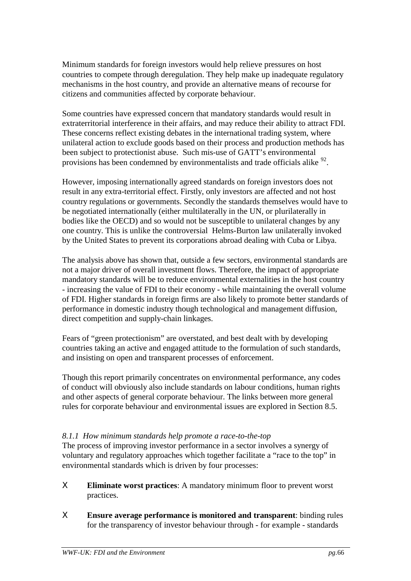Minimum standards for foreign investors would help relieve pressures on host countries to compete through deregulation. They help make up inadequate regulatory mechanisms in the host country, and provide an alternative means of recourse for citizens and communities affected by corporate behaviour.

Some countries have expressed concern that mandatory standards would result in extraterritorial interference in their affairs, and may reduce their ability to attract FDI. These concerns reflect existing debates in the international trading system, where unilateral action to exclude goods based on their process and production methods has been subject to protectionist abuse. Such mis-use of GATT's environmental provisions has been condemned by environmentalists and trade officials alike  $^{92}$ .

However, imposing internationally agreed standards on foreign investors does not result in any extra-territorial effect. Firstly, only investors are affected and not host country regulations or governments. Secondly the standards themselves would have to be negotiated internationally (either multilaterally in the UN, or plurilaterally in bodies like the OECD) and so would not be susceptible to unilateral changes by any one country. This is unlike the controversial Helms-Burton law unilaterally invoked by the United States to prevent its corporations abroad dealing with Cuba or Libya.

The analysis above has shown that, outside a few sectors, environmental standards are not a major driver of overall investment flows. Therefore, the impact of appropriate mandatory standards will be to reduce environmental externalities in the host country - increasing the value of FDI to their economy - while maintaining the overall volume of FDI. Higher standards in foreign firms are also likely to promote better standards of performance in domestic industry though technological and management diffusion, direct competition and supply-chain linkages.

Fears of "green protectionism" are overstated, and best dealt with by developing countries taking an active and engaged attitude to the formulation of such standards, and insisting on open and transparent processes of enforcement.

Though this report primarily concentrates on environmental performance, any codes of conduct will obviously also include standards on labour conditions, human rights and other aspects of general corporate behaviour. The links between more general rules for corporate behaviour and environmental issues are explored in Section 8.5.

### *8.1.1 How minimum standards help promote a race-to-the-top*

The process of improving investor performance in a sector involves a synergy of voluntary and regulatory approaches which together facilitate a "race to the top" in environmental standards which is driven by four processes:

- Χ **Eliminate worst practices**: A mandatory minimum floor to prevent worst practices.
- Χ **Ensure average performance is monitored and transparent**: binding rules for the transparency of investor behaviour through - for example - standards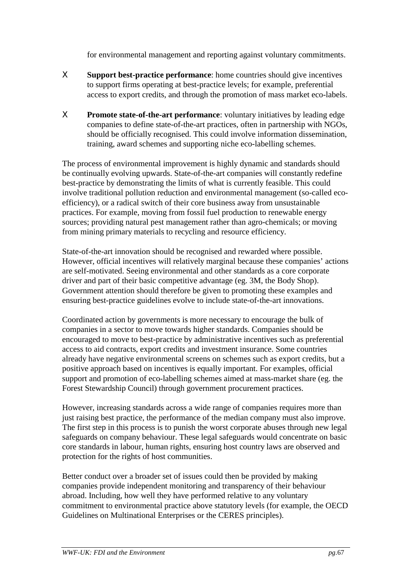for environmental management and reporting against voluntary commitments.

- Χ **Support best-practice performance**: home countries should give incentives to support firms operating at best-practice levels; for example, preferential access to export credits, and through the promotion of mass market eco-labels.
- Χ **Promote state-of-the-art performance**: voluntary initiatives by leading edge companies to define state-of-the-art practices, often in partnership with NGOs, should be officially recognised. This could involve information dissemination, training, award schemes and supporting niche eco-labelling schemes.

The process of environmental improvement is highly dynamic and standards should be continually evolving upwards. State-of-the-art companies will constantly redefine best-practice by demonstrating the limits of what is currently feasible. This could involve traditional pollution reduction and environmental management (so-called ecoefficiency), or a radical switch of their core business away from unsustainable practices. For example, moving from fossil fuel production to renewable energy sources; providing natural pest management rather than agro-chemicals; or moving from mining primary materials to recycling and resource efficiency.

State-of-the-art innovation should be recognised and rewarded where possible. However, official incentives will relatively marginal because these companies' actions are self-motivated. Seeing environmental and other standards as a core corporate driver and part of their basic competitive advantage (eg. 3M, the Body Shop). Government attention should therefore be given to promoting these examples and ensuring best-practice guidelines evolve to include state-of-the-art innovations.

Coordinated action by governments is more necessary to encourage the bulk of companies in a sector to move towards higher standards. Companies should be encouraged to move to best-practice by administrative incentives such as preferential access to aid contracts, export credits and investment insurance. Some countries already have negative environmental screens on schemes such as export credits, but a positive approach based on incentives is equally important. For examples, official support and promotion of eco-labelling schemes aimed at mass-market share (eg. the Forest Stewardship Council) through government procurement practices.

However, increasing standards across a wide range of companies requires more than just raising best practice, the performance of the median company must also improve. The first step in this process is to punish the worst corporate abuses through new legal safeguards on company behaviour. These legal safeguards would concentrate on basic core standards in labour, human rights, ensuring host country laws are observed and protection for the rights of host communities.

Better conduct over a broader set of issues could then be provided by making companies provide independent monitoring and transparency of their behaviour abroad. Including, how well they have performed relative to any voluntary commitment to environmental practice above statutory levels (for example, the OECD Guidelines on Multinational Enterprises or the CERES principles).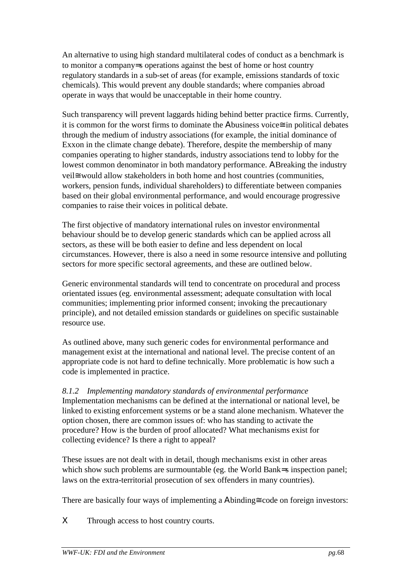An alternative to using high standard multilateral codes of conduct as a benchmark is to monitor a company=s operations against the best of home or host country regulatory standards in a sub-set of areas (for example, emissions standards of toxic chemicals). This would prevent any double standards; where companies abroad operate in ways that would be unacceptable in their home country.

Such transparency will prevent laggards hiding behind better practice firms. Currently, it is common for the worst firms to dominate the Αbusiness voice≅ in political debates through the medium of industry associations (for example, the initial dominance of Exxon in the climate change debate). Therefore, despite the membership of many companies operating to higher standards, industry associations tend to lobby for the lowest common denominator in both mandatory performance. ΑBreaking the industry veil≅ would allow stakeholders in both home and host countries (communities, workers, pension funds, individual shareholders) to differentiate between companies based on their global environmental performance, and would encourage progressive companies to raise their voices in political debate.

The first objective of mandatory international rules on investor environmental behaviour should be to develop generic standards which can be applied across all sectors, as these will be both easier to define and less dependent on local circumstances. However, there is also a need in some resource intensive and polluting sectors for more specific sectoral agreements, and these are outlined below.

Generic environmental standards will tend to concentrate on procedural and process orientated issues (eg. environmental assessment; adequate consultation with local communities; implementing prior informed consent; invoking the precautionary principle), and not detailed emission standards or guidelines on specific sustainable resource use.

As outlined above, many such generic codes for environmental performance and management exist at the international and national level. The precise content of an appropriate code is not hard to define technically. More problematic is how such a code is implemented in practice.

*8.1.2 Implementing mandatory standards of environmental performance* Implementation mechanisms can be defined at the international or national level, be linked to existing enforcement systems or be a stand alone mechanism. Whatever the option chosen, there are common issues of: who has standing to activate the procedure? How is the burden of proof allocated? What mechanisms exist for collecting evidence? Is there a right to appeal?

These issues are not dealt with in detail, though mechanisms exist in other areas which show such problems are surmountable (eg. the World Bank=s inspection panel; laws on the extra-territorial prosecution of sex offenders in many countries).

There are basically four ways of implementing a Abinding≅ code on foreign investors:

Χ Through access to host country courts.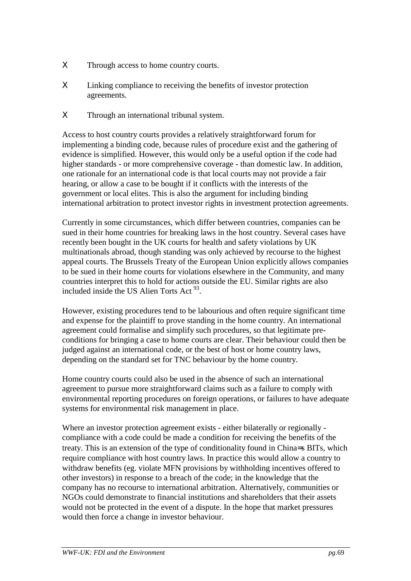- Χ Through access to home country courts.
- Χ Linking compliance to receiving the benefits of investor protection agreements.
- Χ Through an international tribunal system.

Access to host country courts provides a relatively straightforward forum for implementing a binding code, because rules of procedure exist and the gathering of evidence is simplified. However, this would only be a useful option if the code had higher standards - or more comprehensive coverage - than domestic law. In addition, one rationale for an international code is that local courts may not provide a fair hearing, or allow a case to be bought if it conflicts with the interests of the government or local elites. This is also the argument for including binding international arbitration to protect investor rights in investment protection agreements.

Currently in some circumstances, which differ between countries, companies can be sued in their home countries for breaking laws in the host country. Several cases have recently been bought in the UK courts for health and safety violations by UK multinationals abroad, though standing was only achieved by recourse to the highest appeal courts. The Brussels Treaty of the European Union explicitly allows companies to be sued in their home courts for violations elsewhere in the Community, and many countries interpret this to hold for actions outside the EU. Similar rights are also included inside the US Alien Torts Act <sup>93</sup>.

However, existing procedures tend to be labourious and often require significant time and expense for the plaintiff to prove standing in the home country. An international agreement could formalise and simplify such procedures, so that legitimate preconditions for bringing a case to home courts are clear. Their behaviour could then be judged against an international code, or the best of host or home country laws, depending on the standard set for TNC behaviour by the home country.

Home country courts could also be used in the absence of such an international agreement to pursue more straightforward claims such as a failure to comply with environmental reporting procedures on foreign operations, or failures to have adequate systems for environmental risk management in place.

Where an investor protection agreement exists - either bilaterally or regionally compliance with a code could be made a condition for receiving the benefits of the treaty. This is an extension of the type of conditionality found in China=s BITs, which require compliance with host country laws. In practice this would allow a country to withdraw benefits (eg. violate MFN provisions by withholding incentives offered to other investors) in response to a breach of the code; in the knowledge that the company has no recourse to international arbitration. Alternatively, communities or NGOs could demonstrate to financial institutions and shareholders that their assets would not be protected in the event of a dispute. In the hope that market pressures would then force a change in investor behaviour.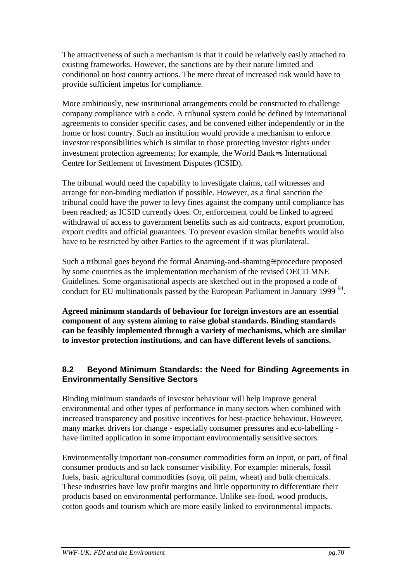The attractiveness of such a mechanism is that it could be relatively easily attached to existing frameworks. However, the sanctions are by their nature limited and conditional on host country actions. The mere threat of increased risk would have to provide sufficient impetus for compliance.

More ambitiously, new institutional arrangements could be constructed to challenge company compliance with a code. A tribunal system could be defined by international agreements to consider specific cases, and be convened either independently or in the home or host country. Such an institution would provide a mechanism to enforce investor responsibilities which is similar to those protecting investor rights under investment protection agreements; for example, the World Bank=s International Centre for Settlement of Investment Disputes (ICSID).

The tribunal would need the capability to investigate claims, call witnesses and arrange for non-binding mediation if possible. However, as a final sanction the tribunal could have the power to levy fines against the company until compliance has been reached; as ICSID currently does. Or, enforcement could be linked to agreed withdrawal of access to government benefits such as aid contracts, export promotion, export credits and official guarantees. To prevent evasion similar benefits would also have to be restricted by other Parties to the agreement if it was plurilateral.

Such a tribunal goes beyond the formal Αnaming-and-shaming≅ procedure proposed by some countries as the implementation mechanism of the revised OECD MNE Guidelines. Some organisational aspects are sketched out in the proposed a code of conduct for EU multinationals passed by the European Parliament in January 1999<sup>94</sup>.

**Agreed minimum standards of behaviour for foreign investors are an essential component of any system aiming to raise global standards. Binding standards can be feasibly implemented through a variety of mechanisms, which are similar to investor protection institutions, and can have different levels of sanctions.**

# **8.2 Beyond Minimum Standards: the Need for Binding Agreements in Environmentally Sensitive Sectors**

Binding minimum standards of investor behaviour will help improve general environmental and other types of performance in many sectors when combined with increased transparency and positive incentives for best-practice behaviour. However, many market drivers for change - especially consumer pressures and eco-labelling have limited application in some important environmentally sensitive sectors.

Environmentally important non-consumer commodities form an input, or part, of final consumer products and so lack consumer visibility. For example: minerals, fossil fuels, basic agricultural commodities (soya, oil palm, wheat) and bulk chemicals. These industries have low profit margins and little opportunity to differentiate their products based on environmental performance. Unlike sea-food, wood products, cotton goods and tourism which are more easily linked to environmental impacts.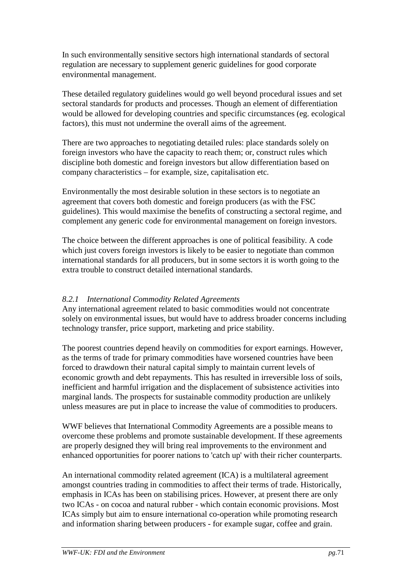In such environmentally sensitive sectors high international standards of sectoral regulation are necessary to supplement generic guidelines for good corporate environmental management.

These detailed regulatory guidelines would go well beyond procedural issues and set sectoral standards for products and processes. Though an element of differentiation would be allowed for developing countries and specific circumstances (eg. ecological factors), this must not undermine the overall aims of the agreement.

There are two approaches to negotiating detailed rules: place standards solely on foreign investors who have the capacity to reach them; or, construct rules which discipline both domestic and foreign investors but allow differentiation based on company characteristics – for example, size, capitalisation etc.

Environmentally the most desirable solution in these sectors is to negotiate an agreement that covers both domestic and foreign producers (as with the FSC guidelines). This would maximise the benefits of constructing a sectoral regime, and complement any generic code for environmental management on foreign investors.

The choice between the different approaches is one of political feasibility. A code which just covers foreign investors is likely to be easier to negotiate than common international standards for all producers, but in some sectors it is worth going to the extra trouble to construct detailed international standards.

## *8.2.1 International Commodity Related Agreements*

Any international agreement related to basic commodities would not concentrate solely on environmental issues, but would have to address broader concerns including technology transfer, price support, marketing and price stability.

The poorest countries depend heavily on commodities for export earnings. However, as the terms of trade for primary commodities have worsened countries have been forced to drawdown their natural capital simply to maintain current levels of economic growth and debt repayments. This has resulted in irreversible loss of soils, inefficient and harmful irrigation and the displacement of subsistence activities into marginal lands. The prospects for sustainable commodity production are unlikely unless measures are put in place to increase the value of commodities to producers.

WWF believes that International Commodity Agreements are a possible means to overcome these problems and promote sustainable development. If these agreements are properly designed they will bring real improvements to the environment and enhanced opportunities for poorer nations to 'catch up' with their richer counterparts.

An international commodity related agreement (ICA) is a multilateral agreement amongst countries trading in commodities to affect their terms of trade. Historically, emphasis in ICAs has been on stabilising prices. However, at present there are only two ICAs - on cocoa and natural rubber - which contain economic provisions. Most ICAs simply but aim to ensure international co-operation while promoting research and information sharing between producers - for example sugar, coffee and grain.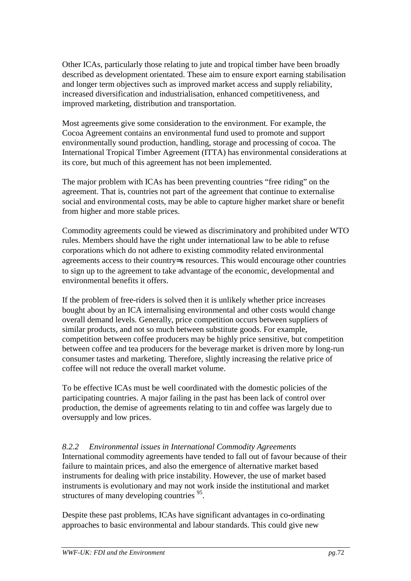Other ICAs, particularly those relating to jute and tropical timber have been broadly described as development orientated. These aim to ensure export earning stabilisation and longer term objectives such as improved market access and supply reliability, increased diversification and industrialisation, enhanced competitiveness, and improved marketing, distribution and transportation.

Most agreements give some consideration to the environment. For example, the Cocoa Agreement contains an environmental fund used to promote and support environmentally sound production, handling, storage and processing of cocoa. The International Tropical Timber Agreement (ITTA) has environmental considerations at its core, but much of this agreement has not been implemented.

The major problem with ICAs has been preventing countries "free riding" on the agreement. That is, countries not part of the agreement that continue to externalise social and environmental costs, may be able to capture higher market share or benefit from higher and more stable prices.

Commodity agreements could be viewed as discriminatory and prohibited under WTO rules. Members should have the right under international law to be able to refuse corporations which do not adhere to existing commodity related environmental agreements access to their country=s resources. This would encourage other countries to sign up to the agreement to take advantage of the economic, developmental and environmental benefits it offers.

If the problem of free-riders is solved then it is unlikely whether price increases bought about by an ICA internalising environmental and other costs would change overall demand levels. Generally, price competition occurs between suppliers of similar products, and not so much between substitute goods. For example, competition between coffee producers may be highly price sensitive, but competition between coffee and tea producers for the beverage market is driven more by long-run consumer tastes and marketing. Therefore, slightly increasing the relative price of coffee will not reduce the overall market volume.

To be effective ICAs must be well coordinated with the domestic policies of the participating countries. A major failing in the past has been lack of control over production, the demise of agreements relating to tin and coffee was largely due to oversupply and low prices.

### *8.2.2 Environmental issues in International Commodity Agreements*

International commodity agreements have tended to fall out of favour because of their failure to maintain prices, and also the emergence of alternative market based instruments for dealing with price instability. However, the use of market based instruments is evolutionary and may not work inside the institutional and market structures of many developing countries <sup>95</sup>.

Despite these past problems, ICAs have significant advantages in co-ordinating approaches to basic environmental and labour standards. This could give new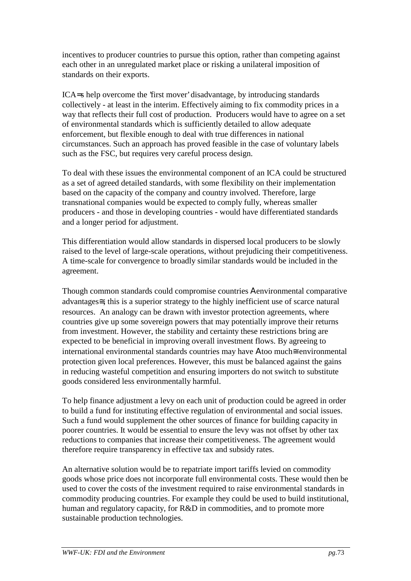incentives to producer countries to pursue this option, rather than competing against each other in an unregulated market place or risking a unilateral imposition of standards on their exports.

ICA=s help overcome the 'first mover' disadvantage, by introducing standards collectively - at least in the interim. Effectively aiming to fix commodity prices in a way that reflects their full cost of production. Producers would have to agree on a set of environmental standards which is sufficiently detailed to allow adequate enforcement, but flexible enough to deal with true differences in national circumstances. Such an approach has proved feasible in the case of voluntary labels such as the FSC, but requires very careful process design.

To deal with these issues the environmental component of an ICA could be structured as a set of agreed detailed standards, with some flexibility on their implementation based on the capacity of the company and country involved. Therefore, large transnational companies would be expected to comply fully, whereas smaller producers - and those in developing countries - would have differentiated standards and a longer period for adjustment.

This differentiation would allow standards in dispersed local producers to be slowly raised to the level of large-scale operations, without prejudicing their competitiveness. A time-scale for convergence to broadly similar standards would be included in the agreement.

Though common standards could compromise countries Αenvironmental comparative advantages≅, this is a superior strategy to the highly inefficient use of scarce natural resources. An analogy can be drawn with investor protection agreements, where countries give up some sovereign powers that may potentially improve their returns from investment. However, the stability and certainty these restrictions bring are expected to be beneficial in improving overall investment flows. By agreeing to international environmental standards countries may have Αtoo much≅ environmental protection given local preferences. However, this must be balanced against the gains in reducing wasteful competition and ensuring importers do not switch to substitute goods considered less environmentally harmful.

To help finance adjustment a levy on each unit of production could be agreed in order to build a fund for instituting effective regulation of environmental and social issues. Such a fund would supplement the other sources of finance for building capacity in poorer countries. It would be essential to ensure the levy was not offset by other tax reductions to companies that increase their competitiveness. The agreement would therefore require transparency in effective tax and subsidy rates.

An alternative solution would be to repatriate import tariffs levied on commodity goods whose price does not incorporate full environmental costs. These would then be used to cover the costs of the investment required to raise environmental standards in commodity producing countries. For example they could be used to build institutional, human and regulatory capacity, for R&D in commodities, and to promote more sustainable production technologies.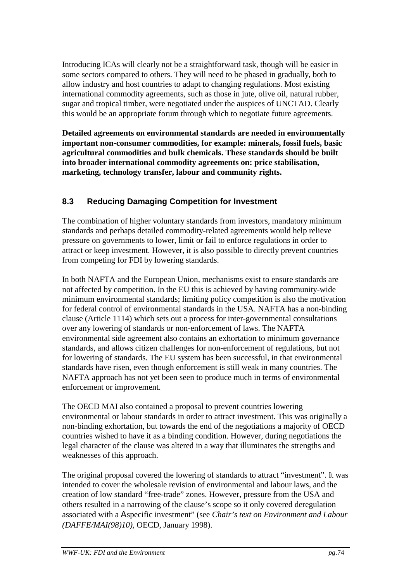Introducing ICAs will clearly not be a straightforward task, though will be easier in some sectors compared to others. They will need to be phased in gradually, both to allow industry and host countries to adapt to changing regulations. Most existing international commodity agreements, such as those in jute, olive oil, natural rubber, sugar and tropical timber, were negotiated under the auspices of UNCTAD. Clearly this would be an appropriate forum through which to negotiate future agreements.

**Detailed agreements on environmental standards are needed in environmentally important non-consumer commodities, for example: minerals, fossil fuels, basic agricultural commodities and bulk chemicals. These standards should be built into broader international commodity agreements on: price stabilisation, marketing, technology transfer, labour and community rights.**

### **8.3 Reducing Damaging Competition for Investment**

The combination of higher voluntary standards from investors, mandatory minimum standards and perhaps detailed commodity-related agreements would help relieve pressure on governments to lower, limit or fail to enforce regulations in order to attract or keep investment. However, it is also possible to directly prevent countries from competing for FDI by lowering standards.

In both NAFTA and the European Union, mechanisms exist to ensure standards are not affected by competition. In the EU this is achieved by having community-wide minimum environmental standards; limiting policy competition is also the motivation for federal control of environmental standards in the USA. NAFTA has a non-binding clause (Article 1114) which sets out a process for inter-governmental consultations over any lowering of standards or non-enforcement of laws. The NAFTA environmental side agreement also contains an exhortation to minimum governance standards, and allows citizen challenges for non-enforcement of regulations, but not for lowering of standards. The EU system has been successful, in that environmental standards have risen, even though enforcement is still weak in many countries. The NAFTA approach has not yet been seen to produce much in terms of environmental enforcement or improvement.

The OECD MAI also contained a proposal to prevent countries lowering environmental or labour standards in order to attract investment. This was originally a non-binding exhortation, but towards the end of the negotiations a majority of OECD countries wished to have it as a binding condition. However, during negotiations the legal character of the clause was altered in a way that illuminates the strengths and weaknesses of this approach.

The original proposal covered the lowering of standards to attract "investment". It was intended to cover the wholesale revision of environmental and labour laws, and the creation of low standard "free-trade" zones. However, pressure from the USA and others resulted in a narrowing of the clause's scope so it only covered deregulation associated with a Αspecific investment" (see *Chair's text on Environment and Labour (DAFFE/MAI(98)10),* OECD, January 1998).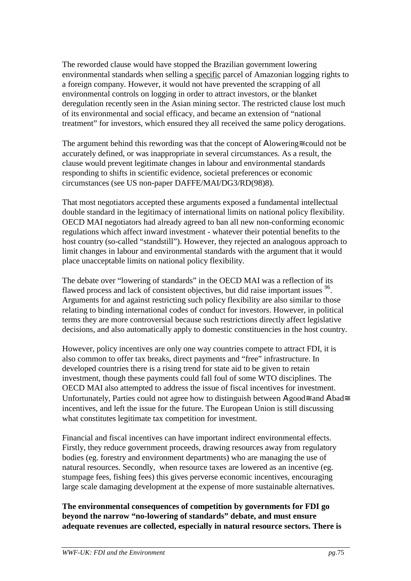The reworded clause would have stopped the Brazilian government lowering environmental standards when selling a specific parcel of Amazonian logging rights to a foreign company. However, it would not have prevented the scrapping of all environmental controls on logging in order to attract investors, or the blanket deregulation recently seen in the Asian mining sector. The restricted clause lost much of its environmental and social efficacy, and became an extension of "national treatment" for investors, which ensured they all received the same policy derogations.

The argument behind this rewording was that the concept of Αlowering≅ could not be accurately defined, or was inappropriate in several circumstances. As a result, the clause would prevent legitimate changes in labour and environmental standards responding to shifts in scientific evidence, societal preferences or economic circumstances (see US non-paper DAFFE/MAI/DG3/RD(98)8).

That most negotiators accepted these arguments exposed a fundamental intellectual double standard in the legitimacy of international limits on national policy flexibility. OECD MAI negotiators had already agreed to ban all new non-conforming economic regulations which affect inward investment - whatever their potential benefits to the host country (so-called "standstill"). However, they rejected an analogous approach to limit changes in labour and environmental standards with the argument that it would place unacceptable limits on national policy flexibility.

The debate over "lowering of standards" in the OECD MAI was a reflection of its flawed process and lack of consistent objectives, but did raise important issues <sup>96</sup>. Arguments for and against restricting such policy flexibility are also similar to those relating to binding international codes of conduct for investors. However, in political terms they are more controversial because such restrictions directly affect legislative decisions, and also automatically apply to domestic constituencies in the host country.

However, policy incentives are only one way countries compete to attract FDI, it is also common to offer tax breaks, direct payments and "free" infrastructure. In developed countries there is a rising trend for state aid to be given to retain investment, though these payments could fall foul of some WTO disciplines. The OECD MAI also attempted to address the issue of fiscal incentives for investment. Unfortunately, Parties could not agree how to distinguish between Agood≅ and Abad≅ incentives, and left the issue for the future. The European Union is still discussing what constitutes legitimate tax competition for investment.

Financial and fiscal incentives can have important indirect environmental effects. Firstly, they reduce government proceeds, drawing resources away from regulatory bodies (eg. forestry and environment departments) who are managing the use of natural resources. Secondly, when resource taxes are lowered as an incentive (eg. stumpage fees, fishing fees) this gives perverse economic incentives, encouraging large scale damaging development at the expense of more sustainable alternatives.

**The environmental consequences of competition by governments for FDI go beyond the narrow "no-lowering of standards" debate, and must ensure adequate revenues are collected, especially in natural resource sectors. There is**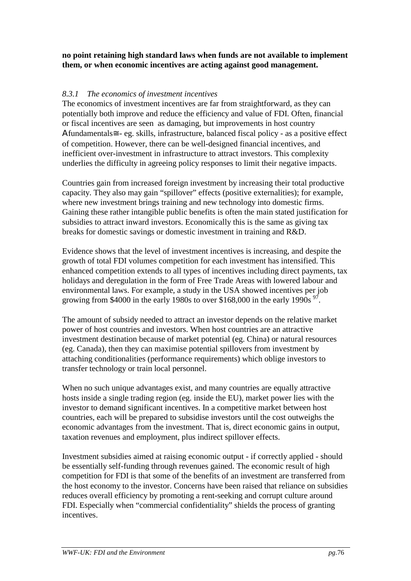#### **no point retaining high standard laws when funds are not available to implement them, or when economic incentives are acting against good management.**

#### *8.3.1 The economics of investment incentives*

The economics of investment incentives are far from straightforward, as they can potentially both improve and reduce the efficiency and value of FDI. Often, financial or fiscal incentives are seen as damaging, but improvements in host country Αfundamentals≅ - eg. skills, infrastructure, balanced fiscal policy - as a positive effect of competition. However, there can be well-designed financial incentives, and inefficient over-investment in infrastructure to attract investors. This complexity underlies the difficulty in agreeing policy responses to limit their negative impacts.

Countries gain from increased foreign investment by increasing their total productive capacity. They also may gain "spillover" effects (positive externalities); for example, where new investment brings training and new technology into domestic firms. Gaining these rather intangible public benefits is often the main stated justification for subsidies to attract inward investors. Economically this is the same as giving tax breaks for domestic savings or domestic investment in training and R&D.

Evidence shows that the level of investment incentives is increasing, and despite the growth of total FDI volumes competition for each investment has intensified. This enhanced competition extends to all types of incentives including direct payments, tax holidays and deregulation in the form of Free Trade Areas with lowered labour and environmental laws. For example, a study in the USA showed incentives per job growing from \$4000 in the early 1980s to over \$168,000 in the early 1990s  $^{97}$ .

The amount of subsidy needed to attract an investor depends on the relative market power of host countries and investors. When host countries are an attractive investment destination because of market potential (eg. China) or natural resources (eg. Canada), then they can maximise potential spillovers from investment by attaching conditionalities (performance requirements) which oblige investors to transfer technology or train local personnel.

When no such unique advantages exist, and many countries are equally attractive hosts inside a single trading region (eg. inside the EU), market power lies with the investor to demand significant incentives. In a competitive market between host countries, each will be prepared to subsidise investors until the cost outweighs the economic advantages from the investment. That is, direct economic gains in output, taxation revenues and employment, plus indirect spillover effects.

Investment subsidies aimed at raising economic output - if correctly applied - should be essentially self-funding through revenues gained. The economic result of high competition for FDI is that some of the benefits of an investment are transferred from the host economy to the investor. Concerns have been raised that reliance on subsidies reduces overall efficiency by promoting a rent-seeking and corrupt culture around FDI. Especially when "commercial confidentiality" shields the process of granting incentives.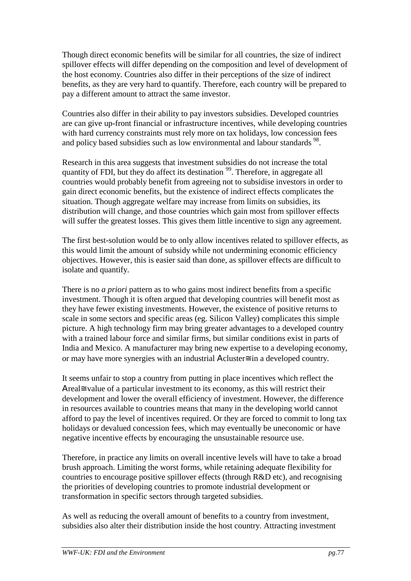Though direct economic benefits will be similar for all countries, the size of indirect spillover effects will differ depending on the composition and level of development of the host economy. Countries also differ in their perceptions of the size of indirect benefits, as they are very hard to quantify. Therefore, each country will be prepared to pay a different amount to attract the same investor.

Countries also differ in their ability to pay investors subsidies. Developed countries are can give up-front financial or infrastructure incentives, while developing countries with hard currency constraints must rely more on tax holidays, low concession fees and policy based subsidies such as low environmental and labour standards  $^{98}$ .

Research in this area suggests that investment subsidies do not increase the total quantity of FDI, but they do affect its destination  $99$ . Therefore, in aggregate all countries would probably benefit from agreeing not to subsidise investors in order to gain direct economic benefits, but the existence of indirect effects complicates the situation. Though aggregate welfare may increase from limits on subsidies, its distribution will change, and those countries which gain most from spillover effects will suffer the greatest losses. This gives them little incentive to sign any agreement.

The first best-solution would be to only allow incentives related to spillover effects, as this would limit the amount of subsidy while not undermining economic efficiency objectives. However, this is easier said than done, as spillover effects are difficult to isolate and quantify.

There is no *a priori* pattern as to who gains most indirect benefits from a specific investment. Though it is often argued that developing countries will benefit most as they have fewer existing investments. However, the existence of positive returns to scale in some sectors and specific areas (eg. Silicon Valley) complicates this simple picture. A high technology firm may bring greater advantages to a developed country with a trained labour force and similar firms, but similar conditions exist in parts of India and Mexico. A manufacturer may bring new expertise to a developing economy, or may have more synergies with an industrial Αcluster≅ in a developed country.

It seems unfair to stop a country from putting in place incentives which reflect the Αreal≅ value of a particular investment to its economy, as this will restrict their development and lower the overall efficiency of investment. However, the difference in resources available to countries means that many in the developing world cannot afford to pay the level of incentives required. Or they are forced to commit to long tax holidays or devalued concession fees, which may eventually be uneconomic or have negative incentive effects by encouraging the unsustainable resource use.

Therefore, in practice any limits on overall incentive levels will have to take a broad brush approach. Limiting the worst forms, while retaining adequate flexibility for countries to encourage positive spillover effects (through R&D etc), and recognising the priorities of developing countries to promote industrial development or transformation in specific sectors through targeted subsidies.

As well as reducing the overall amount of benefits to a country from investment, subsidies also alter their distribution inside the host country. Attracting investment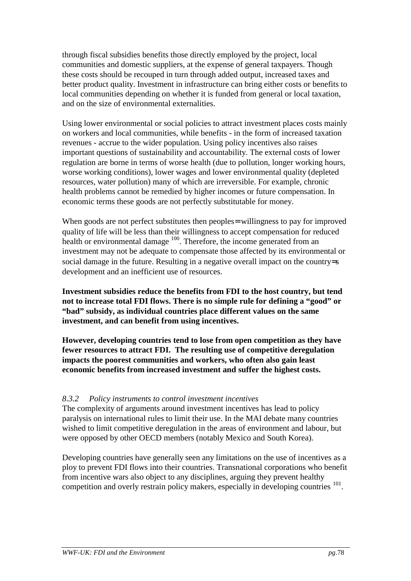through fiscal subsidies benefits those directly employed by the project, local communities and domestic suppliers, at the expense of general taxpayers. Though these costs should be recouped in turn through added output, increased taxes and better product quality. Investment in infrastructure can bring either costs or benefits to local communities depending on whether it is funded from general or local taxation, and on the size of environmental externalities.

Using lower environmental or social policies to attract investment places costs mainly on workers and local communities, while benefits - in the form of increased taxation revenues - accrue to the wider population. Using policy incentives also raises important questions of sustainability and accountability. The external costs of lower regulation are borne in terms of worse health (due to pollution, longer working hours, worse working conditions), lower wages and lower environmental quality (depleted resources, water pollution) many of which are irreversible. For example, chronic health problems cannot be remedied by higher incomes or future compensation. In economic terms these goods are not perfectly substitutable for money.

When goods are not perfect substitutes then peoples= willingness to pay for improved quality of life will be less than their willingness to accept compensation for reduced health or environmental damage  $100$ . Therefore, the income generated from an investment may not be adequate to compensate those affected by its environmental or social damage in the future. Resulting in a negative overall impact on the country=s development and an inefficient use of resources.

**Investment subsidies reduce the benefits from FDI to the host country, but tend not to increase total FDI flows. There is no simple rule for defining a "good" or "bad" subsidy, as individual countries place different values on the same investment, and can benefit from using incentives.**

**However, developing countries tend to lose from open competition as they have fewer resources to attract FDI. The resulting use of competitive deregulation impacts the poorest communities and workers, who often also gain least economic benefits from increased investment and suffer the highest costs.**

#### *8.3.2 Policy instruments to control investment incentives*

The complexity of arguments around investment incentives has lead to policy paralysis on international rules to limit their use. In the MAI debate many countries wished to limit competitive deregulation in the areas of environment and labour, but were opposed by other OECD members (notably Mexico and South Korea).

Developing countries have generally seen any limitations on the use of incentives as a ploy to prevent FDI flows into their countries. Transnational corporations who benefit from incentive wars also object to any disciplines, arguing they prevent healthy competition and overly restrain policy makers, especially in developing countries <sup>101</sup>.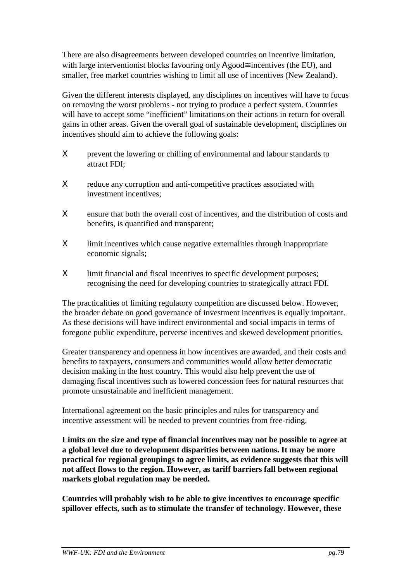There are also disagreements between developed countries on incentive limitation, with large interventionist blocks favouring only  $A$ good $\cong$  incentives (the EU), and smaller, free market countries wishing to limit all use of incentives (New Zealand).

Given the different interests displayed, any disciplines on incentives will have to focus on removing the worst problems - not trying to produce a perfect system. Countries will have to accept some "inefficient" limitations on their actions in return for overall gains in other areas. Given the overall goal of sustainable development, disciplines on incentives should aim to achieve the following goals:

- X prevent the lowering or chilling of environmental and labour standards to attract FDI;
- X reduce any corruption and anti-competitive practices associated with investment incentives;
- Χ ensure that both the overall cost of incentives, and the distribution of costs and benefits, is quantified and transparent;
- Χ limit incentives which cause negative externalities through inappropriate economic signals;
- Χ limit financial and fiscal incentives to specific development purposes; recognising the need for developing countries to strategically attract FDI.

The practicalities of limiting regulatory competition are discussed below. However, the broader debate on good governance of investment incentives is equally important. As these decisions will have indirect environmental and social impacts in terms of foregone public expenditure, perverse incentives and skewed development priorities.

Greater transparency and openness in how incentives are awarded, and their costs and benefits to taxpayers, consumers and communities would allow better democratic decision making in the host country. This would also help prevent the use of damaging fiscal incentives such as lowered concession fees for natural resources that promote unsustainable and inefficient management.

International agreement on the basic principles and rules for transparency and incentive assessment will be needed to prevent countries from free-riding.

**Limits on the size and type of financial incentives may not be possible to agree at a global level due to development disparities between nations. It may be more practical for regional groupings to agree limits, as evidence suggests that this will not affect flows to the region. However, as tariff barriers fall between regional markets global regulation may be needed.**

**Countries will probably wish to be able to give incentives to encourage specific spillover effects, such as to stimulate the transfer of technology. However, these**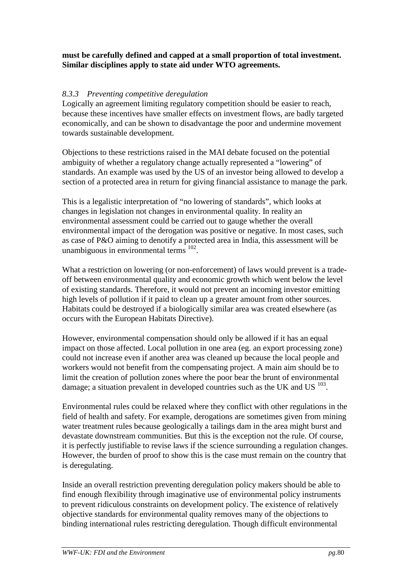#### **must be carefully defined and capped at a small proportion of total investment. Similar disciplines apply to state aid under WTO agreements.**

#### *8.3.3 Preventing competitive deregulation*

Logically an agreement limiting regulatory competition should be easier to reach, because these incentives have smaller effects on investment flows, are badly targeted economically, and can be shown to disadvantage the poor and undermine movement towards sustainable development.

Objections to these restrictions raised in the MAI debate focused on the potential ambiguity of whether a regulatory change actually represented a "lowering" of standards. An example was used by the US of an investor being allowed to develop a section of a protected area in return for giving financial assistance to manage the park.

This is a legalistic interpretation of "no lowering of standards", which looks at changes in legislation not changes in environmental quality. In reality an environmental assessment could be carried out to gauge whether the overall environmental impact of the derogation was positive or negative. In most cases, such as case of P&O aiming to denotify a protected area in India, this assessment will be unambiguous in environmental terms <sup>102</sup>.

What a restriction on lowering (or non-enforcement) of laws would prevent is a tradeoff between environmental quality and economic growth which went below the level of existing standards. Therefore, it would not prevent an incoming investor emitting high levels of pollution if it paid to clean up a greater amount from other sources. Habitats could be destroyed if a biologically similar area was created elsewhere (as occurs with the European Habitats Directive).

However, environmental compensation should only be allowed if it has an equal impact on those affected. Local pollution in one area (eg. an export processing zone) could not increase even if another area was cleaned up because the local people and workers would not benefit from the compensating project. A main aim should be to limit the creation of pollution zones where the poor bear the brunt of environmental damage; a situation prevalent in developed countries such as the UK and US  $^{103}$ .

Environmental rules could be relaxed where they conflict with other regulations in the field of health and safety. For example, derogations are sometimes given from mining water treatment rules because geologically a tailings dam in the area might burst and devastate downstream communities. But this is the exception not the rule. Of course, it is perfectly justifiable to revise laws if the science surrounding a regulation changes. However, the burden of proof to show this is the case must remain on the country that is deregulating.

Inside an overall restriction preventing deregulation policy makers should be able to find enough flexibility through imaginative use of environmental policy instruments to prevent ridiculous constraints on development policy. The existence of relatively objective standards for environmental quality removes many of the objections to binding international rules restricting deregulation. Though difficult environmental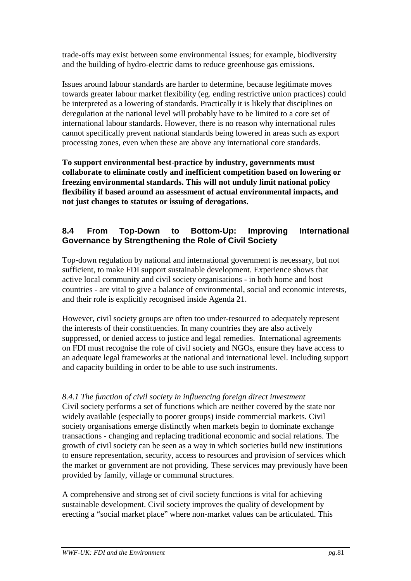trade-offs may exist between some environmental issues; for example, biodiversity and the building of hydro-electric dams to reduce greenhouse gas emissions.

Issues around labour standards are harder to determine, because legitimate moves towards greater labour market flexibility (eg. ending restrictive union practices) could be interpreted as a lowering of standards. Practically it is likely that disciplines on deregulation at the national level will probably have to be limited to a core set of international labour standards. However, there is no reason why international rules cannot specifically prevent national standards being lowered in areas such as export processing zones, even when these are above any international core standards.

**To support environmental best-practice by industry, governments must collaborate to eliminate costly and inefficient competition based on lowering or freezing environmental standards. This will not unduly limit national policy flexibility if based around an assessment of actual environmental impacts, and not just changes to statutes or issuing of derogations.**

#### **8.4 From Top-Down to Bottom-Up: Improving International Governance by Strengthening the Role of Civil Society**

Top-down regulation by national and international government is necessary, but not sufficient, to make FDI support sustainable development. Experience shows that active local community and civil society organisations - in both home and host countries - are vital to give a balance of environmental, social and economic interests, and their role is explicitly recognised inside Agenda 21.

However, civil society groups are often too under-resourced to adequately represent the interests of their constituencies. In many countries they are also actively suppressed, or denied access to justice and legal remedies. International agreements on FDI must recognise the role of civil society and NGOs, ensure they have access to an adequate legal frameworks at the national and international level. Including support and capacity building in order to be able to use such instruments.

#### *8.4.1 The function of civil society in influencing foreign direct investment* Civil society performs a set of functions which are neither covered by the state nor widely available (especially to poorer groups) inside commercial markets. Civil society organisations emerge distinctly when markets begin to dominate exchange transactions - changing and replacing traditional economic and social relations. The growth of civil society can be seen as a way in which societies build new institutions to ensure representation, security, access to resources and provision of services which the market or government are not providing. These services may previously have been provided by family, village or communal structures.

A comprehensive and strong set of civil society functions is vital for achieving sustainable development. Civil society improves the quality of development by erecting a "social market place" where non-market values can be articulated. This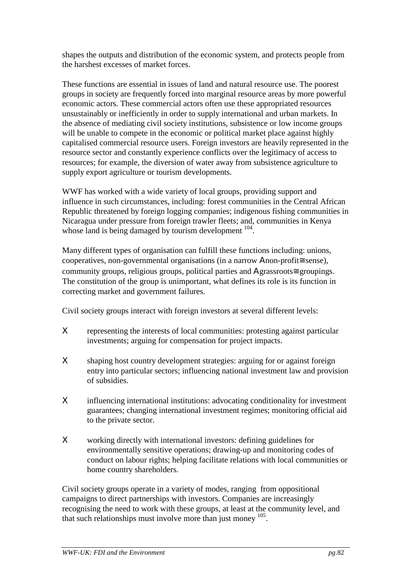shapes the outputs and distribution of the economic system, and protects people from the harshest excesses of market forces.

These functions are essential in issues of land and natural resource use. The poorest groups in society are frequently forced into marginal resource areas by more powerful economic actors. These commercial actors often use these appropriated resources unsustainably or inefficiently in order to supply international and urban markets. In the absence of mediating civil society institutions, subsistence or low income groups will be unable to compete in the economic or political market place against highly capitalised commercial resource users. Foreign investors are heavily represented in the resource sector and constantly experience conflicts over the legitimacy of access to resources; for example, the diversion of water away from subsistence agriculture to supply export agriculture or tourism developments.

WWF has worked with a wide variety of local groups, providing support and influence in such circumstances, including: forest communities in the Central African Republic threatened by foreign logging companies; indigenous fishing communities in Nicaragua under pressure from foreign trawler fleets; and, communities in Kenya whose land is being damaged by tourism development <sup>104</sup>.

Many different types of organisation can fulfill these functions including: unions, cooperatives, non-governmental organisations (in a narrow Αnon-profit≅ sense), community groups, religious groups, political parties and Αgrassroots≅ groupings. The constitution of the group is unimportant, what defines its role is its function in correcting market and government failures.

Civil society groups interact with foreign investors at several different levels:

- Χ representing the interests of local communities: protesting against particular investments; arguing for compensation for project impacts.
- Χ shaping host country development strategies: arguing for or against foreign entry into particular sectors; influencing national investment law and provision of subsidies.
- Χ influencing international institutions: advocating conditionality for investment guarantees; changing international investment regimes; monitoring official aid to the private sector.
- Χ working directly with international investors: defining guidelines for environmentally sensitive operations; drawing-up and monitoring codes of conduct on labour rights; helping facilitate relations with local communities or home country shareholders.

Civil society groups operate in a variety of modes, ranging from oppositional campaigns to direct partnerships with investors. Companies are increasingly recognising the need to work with these groups, at least at the community level, and that such relationships must involve more than just money 105.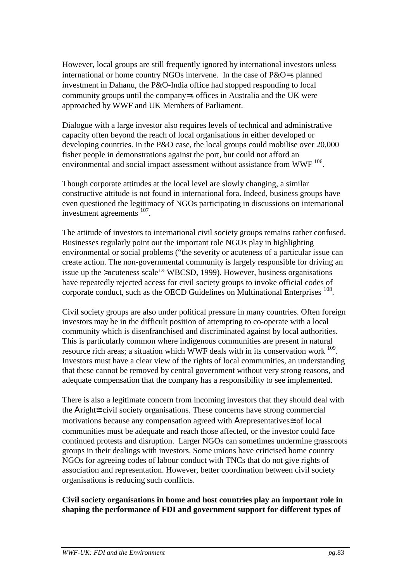However, local groups are still frequently ignored by international investors unless international or home country NGOs intervene. In the case of P&O=s planned investment in Dahanu, the P&O-India office had stopped responding to local community groups until the company=s offices in Australia and the UK were approached by WWF and UK Members of Parliament.

Dialogue with a large investor also requires levels of technical and administrative capacity often beyond the reach of local organisations in either developed or developing countries. In the P&O case, the local groups could mobilise over 20,000 fisher people in demonstrations against the port, but could not afford an environmental and social impact assessment without assistance from WWF  $^{106}$ .

Though corporate attitudes at the local level are slowly changing, a similar constructive attitude is not found in international fora. Indeed, business groups have even questioned the legitimacy of NGOs participating in discussions on international investment agreements 107.

The attitude of investors to international civil society groups remains rather confused. Businesses regularly point out the important role NGOs play in highlighting environmental or social problems ("the severity or acuteness of a particular issue can create action. The non-governmental community is largely responsible for driving an issue up the >acuteness scale'" WBCSD, 1999). However, business organisations have repeatedly rejected access for civil society groups to invoke official codes of corporate conduct, such as the OECD Guidelines on Multinational Enterprises <sup>108</sup>.

Civil society groups are also under political pressure in many countries. Often foreign investors may be in the difficult position of attempting to co-operate with a local community which is disenfranchised and discriminated against by local authorities. This is particularly common where indigenous communities are present in natural resource rich areas; a situation which WWF deals with in its conservation work 109. Investors must have a clear view of the rights of local communities, an understanding that these cannot be removed by central government without very strong reasons, and adequate compensation that the company has a responsibility to see implemented.

There is also a legitimate concern from incoming investors that they should deal with the Αright≅ civil society organisations. These concerns have strong commercial motivations because any compensation agreed with Αrepresentatives≅ of local communities must be adequate and reach those affected, or the investor could face continued protests and disruption. Larger NGOs can sometimes undermine grassroots groups in their dealings with investors. Some unions have criticised home country NGOs for agreeing codes of labour conduct with TNCs that do not give rights of association and representation. However, better coordination between civil society organisations is reducing such conflicts.

#### **Civil society organisations in home and host countries play an important role in shaping the performance of FDI and government support for different types of**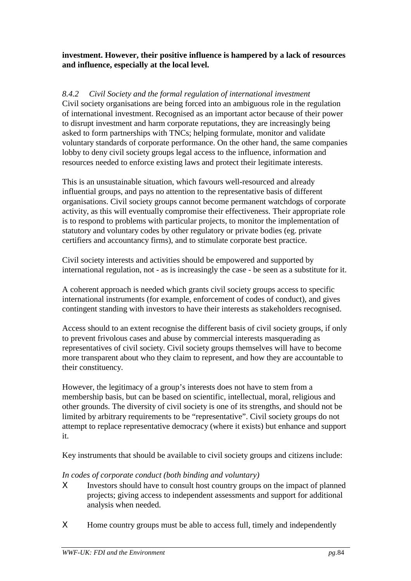#### **investment. However, their positive influence is hampered by a lack of resources and influence, especially at the local level.**

#### *8.4.2 Civil Society and the formal regulation of international investment*

Civil society organisations are being forced into an ambiguous role in the regulation of international investment. Recognised as an important actor because of their power to disrupt investment and harm corporate reputations, they are increasingly being asked to form partnerships with TNCs; helping formulate, monitor and validate voluntary standards of corporate performance. On the other hand, the same companies lobby to deny civil society groups legal access to the influence, information and resources needed to enforce existing laws and protect their legitimate interests.

This is an unsustainable situation, which favours well-resourced and already influential groups, and pays no attention to the representative basis of different organisations. Civil society groups cannot become permanent watchdogs of corporate activity, as this will eventually compromise their effectiveness. Their appropriate role is to respond to problems with particular projects, to monitor the implementation of statutory and voluntary codes by other regulatory or private bodies (eg. private certifiers and accountancy firms), and to stimulate corporate best practice.

Civil society interests and activities should be empowered and supported by international regulation, not - as is increasingly the case - be seen as a substitute for it.

A coherent approach is needed which grants civil society groups access to specific international instruments (for example, enforcement of codes of conduct), and gives contingent standing with investors to have their interests as stakeholders recognised.

Access should to an extent recognise the different basis of civil society groups, if only to prevent frivolous cases and abuse by commercial interests masquerading as representatives of civil society. Civil society groups themselves will have to become more transparent about who they claim to represent, and how they are accountable to their constituency.

However, the legitimacy of a group's interests does not have to stem from a membership basis, but can be based on scientific, intellectual, moral, religious and other grounds. The diversity of civil society is one of its strengths, and should not be limited by arbitrary requirements to be "representative". Civil society groups do not attempt to replace representative democracy (where it exists) but enhance and support it.

Key instruments that should be available to civil society groups and citizens include:

#### *In codes of corporate conduct (both binding and voluntary)*

- X Investors should have to consult host country groups on the impact of planned projects; giving access to independent assessments and support for additional analysis when needed.
- X Home country groups must be able to access full, timely and independently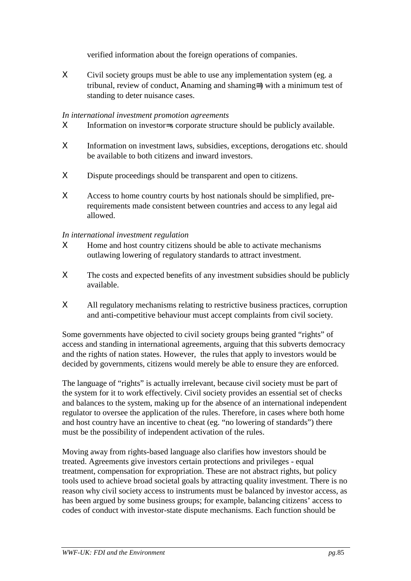verified information about the foreign operations of companies.

Χ Civil society groups must be able to use any implementation system (eg. a tribunal, review of conduct, Αnaming and shaming≅) with a minimum test of standing to deter nuisance cases.

#### *In international investment promotion agreements*

- Χ Information on investor=s corporate structure should be publicly available.
- Χ Information on investment laws, subsidies, exceptions, derogations etc. should be available to both citizens and inward investors.
- X Dispute proceedings should be transparent and open to citizens.
- X Access to home country courts by host nationals should be simplified, prerequirements made consistent between countries and access to any legal aid allowed.

#### *In international investment regulation*

- X Home and host country citizens should be able to activate mechanisms outlawing lowering of regulatory standards to attract investment.
- Χ The costs and expected benefits of any investment subsidies should be publicly available.
- Χ All regulatory mechanisms relating to restrictive business practices, corruption and anti-competitive behaviour must accept complaints from civil society.

Some governments have objected to civil society groups being granted "rights" of access and standing in international agreements, arguing that this subverts democracy and the rights of nation states. However, the rules that apply to investors would be decided by governments, citizens would merely be able to ensure they are enforced.

The language of "rights" is actually irrelevant, because civil society must be part of the system for it to work effectively. Civil society provides an essential set of checks and balances to the system, making up for the absence of an international independent regulator to oversee the application of the rules. Therefore, in cases where both home and host country have an incentive to cheat (eg. "no lowering of standards") there must be the possibility of independent activation of the rules.

Moving away from rights-based language also clarifies how investors should be treated. Agreements give investors certain protections and privileges - equal treatment, compensation for expropriation. These are not abstract rights, but policy tools used to achieve broad societal goals by attracting quality investment. There is no reason why civil society access to instruments must be balanced by investor access, as has been argued by some business groups; for example, balancing citizens' access to codes of conduct with investor-state dispute mechanisms. Each function should be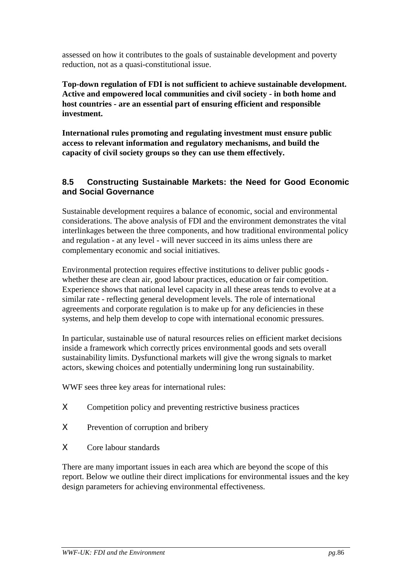assessed on how it contributes to the goals of sustainable development and poverty reduction, not as a quasi-constitutional issue.

**Top-down regulation of FDI is not sufficient to achieve sustainable development. Active and empowered local communities and civil society - in both home and host countries - are an essential part of ensuring efficient and responsible investment.**

**International rules promoting and regulating investment must ensure public access to relevant information and regulatory mechanisms, and build the capacity of civil society groups so they can use them effectively.**

#### **8.5 Constructing Sustainable Markets: the Need for Good Economic and Social Governance**

Sustainable development requires a balance of economic, social and environmental considerations. The above analysis of FDI and the environment demonstrates the vital interlinkages between the three components, and how traditional environmental policy and regulation - at any level - will never succeed in its aims unless there are complementary economic and social initiatives.

Environmental protection requires effective institutions to deliver public goods whether these are clean air, good labour practices, education or fair competition. Experience shows that national level capacity in all these areas tends to evolve at a similar rate - reflecting general development levels. The role of international agreements and corporate regulation is to make up for any deficiencies in these systems, and help them develop to cope with international economic pressures.

In particular, sustainable use of natural resources relies on efficient market decisions inside a framework which correctly prices environmental goods and sets overall sustainability limits. Dysfunctional markets will give the wrong signals to market actors, skewing choices and potentially undermining long run sustainability.

WWF sees three key areas for international rules:

- Χ Competition policy and preventing restrictive business practices
- Χ Prevention of corruption and bribery
- Χ Core labour standards

There are many important issues in each area which are beyond the scope of this report. Below we outline their direct implications for environmental issues and the key design parameters for achieving environmental effectiveness.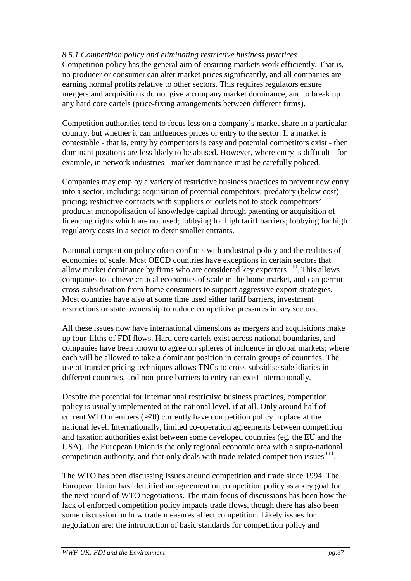#### *8.5.1 Competition policy and eliminating restrictive business practices*

Competition policy has the general aim of ensuring markets work efficiently. That is, no producer or consumer can alter market prices significantly, and all companies are earning normal profits relative to other sectors. This requires regulators ensure mergers and acquisitions do not give a company market dominance, and to break up any hard core cartels (price-fixing arrangements between different firms).

Competition authorities tend to focus less on a company's market share in a particular country, but whether it can influences prices or entry to the sector. If a market is contestable - that is, entry by competitors is easy and potential competitors exist - then dominant positions are less likely to be abused. However, where entry is difficult - for example, in network industries - market dominance must be carefully policed.

Companies may employ a variety of restrictive business practices to prevent new entry into a sector, including: acquisition of potential competitors; predatory (below cost) pricing; restrictive contracts with suppliers or outlets not to stock competitors' products; monopolisation of knowledge capital through patenting or acquisition of licencing rights which are not used; lobbying for high tariff barriers; lobbying for high regulatory costs in a sector to deter smaller entrants.

National competition policy often conflicts with industrial policy and the realities of economies of scale. Most OECD countries have exceptions in certain sectors that allow market dominance by firms who are considered key exporters  $110$ . This allows companies to achieve critical economies of scale in the home market, and can permit cross-subsidisation from home consumers to support aggressive export strategies. Most countries have also at some time used either tariff barriers, investment restrictions or state ownership to reduce competitive pressures in key sectors.

All these issues now have international dimensions as mergers and acquisitions make up four-fifths of FDI flows. Hard core cartels exist across national boundaries, and companies have been known to agree on spheres of influence in global markets; where each will be allowed to take a dominant position in certain groups of countries. The use of transfer pricing techniques allows TNCs to cross-subsidise subsidiaries in different countries, and non-price barriers to entry can exist internationally.

Despite the potential for international restrictive business practices, competition policy is usually implemented at the national level, if at all. Only around half of current WTO members  $(\approx 70)$  currently have competition policy in place at the national level. Internationally, limited co-operation agreements between competition and taxation authorities exist between some developed countries (eg. the EU and the USA). The European Union is the only regional economic area with a supra-national competition authority, and that only deals with trade-related competition issues  $<sup>11</sup>$ .</sup>

The WTO has been discussing issues around competition and trade since 1994. The European Union has identified an agreement on competition policy as a key goal for the next round of WTO negotiations. The main focus of discussions has been how the lack of enforced competition policy impacts trade flows, though there has also been some discussion on how trade measures affect competition. Likely issues for negotiation are: the introduction of basic standards for competition policy and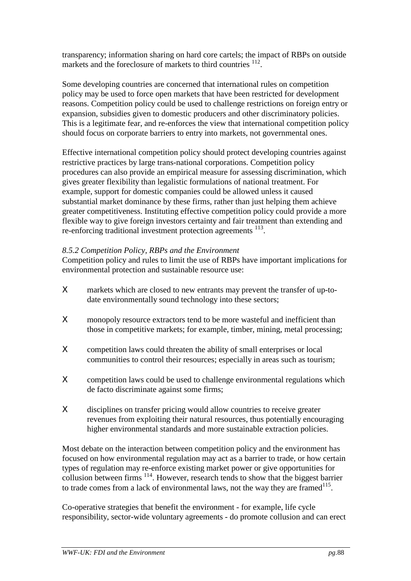transparency; information sharing on hard core cartels; the impact of RBPs on outside markets and the foreclosure of markets to third countries <sup>112</sup>.

Some developing countries are concerned that international rules on competition policy may be used to force open markets that have been restricted for development reasons. Competition policy could be used to challenge restrictions on foreign entry or expansion, subsidies given to domestic producers and other discriminatory policies. This is a legitimate fear, and re-enforces the view that international competition policy should focus on corporate barriers to entry into markets, not governmental ones.

Effective international competition policy should protect developing countries against restrictive practices by large trans-national corporations. Competition policy procedures can also provide an empirical measure for assessing discrimination, which gives greater flexibility than legalistic formulations of national treatment. For example, support for domestic companies could be allowed unless it caused substantial market dominance by these firms, rather than just helping them achieve greater competitiveness. Instituting effective competition policy could provide a more flexible way to give foreign investors certainty and fair treatment than extending and re-enforcing traditional investment protection agreements <sup>113</sup>.

#### *8.5.2 Competition Policy, RBPs and the Environment*

Competition policy and rules to limit the use of RBPs have important implications for environmental protection and sustainable resource use:

- Χ markets which are closed to new entrants may prevent the transfer of up-todate environmentally sound technology into these sectors;
- X monopoly resource extractors tend to be more wasteful and inefficient than those in competitive markets; for example, timber, mining, metal processing;
- Χ competition laws could threaten the ability of small enterprises or local communities to control their resources; especially in areas such as tourism;
- Χ competition laws could be used to challenge environmental regulations which de facto discriminate against some firms;
- Χ disciplines on transfer pricing would allow countries to receive greater revenues from exploiting their natural resources, thus potentially encouraging higher environmental standards and more sustainable extraction policies.

Most debate on the interaction between competition policy and the environment has focused on how environmental regulation may act as a barrier to trade, or how certain types of regulation may re-enforce existing market power or give opportunities for collusion between firms  $114$ . However, research tends to show that the biggest barrier to trade comes from a lack of environmental laws, not the way they are framed  $115$ .

Co-operative strategies that benefit the environment - for example, life cycle responsibility, sector-wide voluntary agreements - do promote collusion and can erect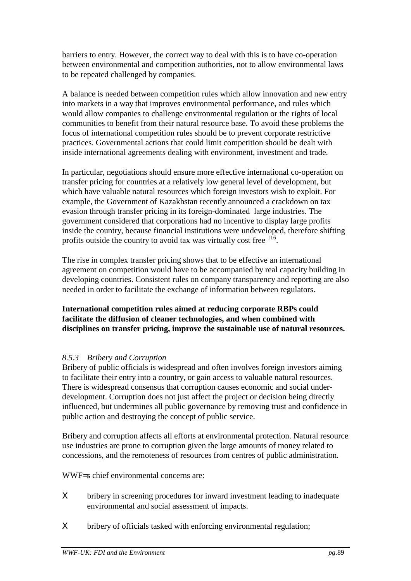barriers to entry. However, the correct way to deal with this is to have co-operation between environmental and competition authorities, not to allow environmental laws to be repeated challenged by companies.

A balance is needed between competition rules which allow innovation and new entry into markets in a way that improves environmental performance, and rules which would allow companies to challenge environmental regulation or the rights of local communities to benefit from their natural resource base. To avoid these problems the focus of international competition rules should be to prevent corporate restrictive practices. Governmental actions that could limit competition should be dealt with inside international agreements dealing with environment, investment and trade.

In particular, negotiations should ensure more effective international co-operation on transfer pricing for countries at a relatively low general level of development, but which have valuable natural resources which foreign investors wish to exploit. For example, the Government of Kazakhstan recently announced a crackdown on tax evasion through transfer pricing in its foreign-dominated large industries. The government considered that corporations had no incentive to display large profits inside the country, because financial institutions were undeveloped, therefore shifting profits outside the country to avoid tax was virtually cost free  $1^{16}$ .

The rise in complex transfer pricing shows that to be effective an international agreement on competition would have to be accompanied by real capacity building in developing countries. Consistent rules on company transparency and reporting are also needed in order to facilitate the exchange of information between regulators.

**International competition rules aimed at reducing corporate RBPs could facilitate the diffusion of cleaner technologies, and when combined with disciplines on transfer pricing, improve the sustainable use of natural resources.**

#### *8.5.3 Bribery and Corruption*

Bribery of public officials is widespread and often involves foreign investors aiming to facilitate their entry into a country, or gain access to valuable natural resources. There is widespread consensus that corruption causes economic and social underdevelopment. Corruption does not just affect the project or decision being directly influenced, but undermines all public governance by removing trust and confidence in public action and destroying the concept of public service.

Bribery and corruption affects all efforts at environmental protection. Natural resource use industries are prone to corruption given the large amounts of money related to concessions, and the remoteness of resources from centres of public administration.

WWF=s chief environmental concerns are:

- Χ bribery in screening procedures for inward investment leading to inadequate environmental and social assessment of impacts.
- Χ bribery of officials tasked with enforcing environmental regulation;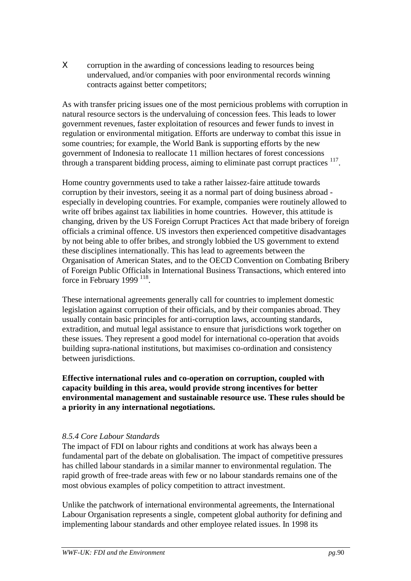X corruption in the awarding of concessions leading to resources being undervalued, and/or companies with poor environmental records winning contracts against better competitors;

As with transfer pricing issues one of the most pernicious problems with corruption in natural resource sectors is the undervaluing of concession fees. This leads to lower government revenues, faster exploitation of resources and fewer funds to invest in regulation or environmental mitigation. Efforts are underway to combat this issue in some countries; for example, the World Bank is supporting efforts by the new government of Indonesia to reallocate 11 million hectares of forest concessions through a transparent bidding process, aiming to eliminate past corrupt practices <sup>117</sup>.

Home country governments used to take a rather laissez-faire attitude towards corruption by their investors, seeing it as a normal part of doing business abroad especially in developing countries. For example, companies were routinely allowed to write off bribes against tax liabilities in home countries. However, this attitude is changing, driven by the US Foreign Corrupt Practices Act that made bribery of foreign officials a criminal offence. US investors then experienced competitive disadvantages by not being able to offer bribes, and strongly lobbied the US government to extend these disciplines internationally. This has lead to agreements between the Organisation of American States, and to the OECD Convention on Combating Bribery of Foreign Public Officials in International Business Transactions, which entered into force in February 1999  $^{118}$ .

These international agreements generally call for countries to implement domestic legislation against corruption of their officials, and by their companies abroad. They usually contain basic principles for anti-corruption laws, accounting standards, extradition, and mutual legal assistance to ensure that jurisdictions work together on these issues. They represent a good model for international co-operation that avoids building supra-national institutions, but maximises co-ordination and consistency between jurisdictions.

**Effective international rules and co-operation on corruption, coupled with capacity building in this area, would provide strong incentives for better environmental management and sustainable resource use. These rules should be a priority in any international negotiations.**

#### *8.5.4 Core Labour Standards*

The impact of FDI on labour rights and conditions at work has always been a fundamental part of the debate on globalisation. The impact of competitive pressures has chilled labour standards in a similar manner to environmental regulation. The rapid growth of free-trade areas with few or no labour standards remains one of the most obvious examples of policy competition to attract investment.

Unlike the patchwork of international environmental agreements, the International Labour Organisation represents a single, competent global authority for defining and implementing labour standards and other employee related issues. In 1998 its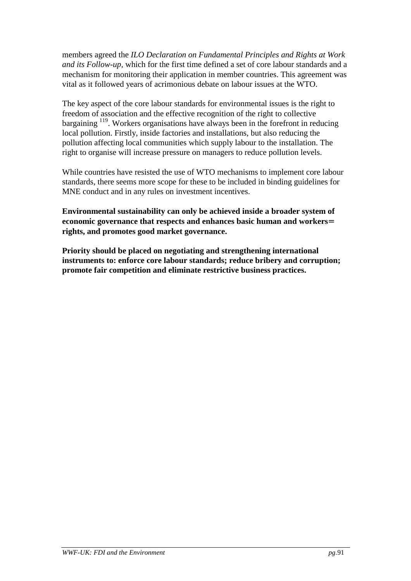members agreed the *ILO Declaration on Fundamental Principles and Rights at Work and its Follow-up,* which for the first time defined a set of core labour standards and a mechanism for monitoring their application in member countries. This agreement was vital as it followed years of acrimonious debate on labour issues at the WTO.

The key aspect of the core labour standards for environmental issues is the right to freedom of association and the effective recognition of the right to collective bargaining <sup>119</sup>. Workers organisations have always been in the forefront in reducing local pollution. Firstly, inside factories and installations, but also reducing the pollution affecting local communities which supply labour to the installation. The right to organise will increase pressure on managers to reduce pollution levels.

While countries have resisted the use of WTO mechanisms to implement core labour standards, there seems more scope for these to be included in binding guidelines for MNE conduct and in any rules on investment incentives.

**Environmental sustainability can only be achieved inside a broader system of economic governance that respects and enhances basic human and workers**= **rights, and promotes good market governance.**

**Priority should be placed on negotiating and strengthening international instruments to: enforce core labour standards; reduce bribery and corruption; promote fair competition and eliminate restrictive business practices.**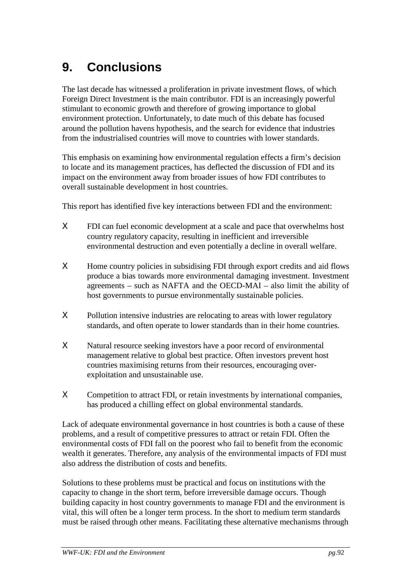# **9. Conclusions**

The last decade has witnessed a proliferation in private investment flows, of which Foreign Direct Investment is the main contributor. FDI is an increasingly powerful stimulant to economic growth and therefore of growing importance to global environment protection. Unfortunately, to date much of this debate has focused around the pollution havens hypothesis, and the search for evidence that industries from the industrialised countries will move to countries with lower standards.

This emphasis on examining how environmental regulation effects a firm's decision to locate and its management practices, has deflected the discussion of FDI and its impact on the environment away from broader issues of how FDI contributes to overall sustainable development in host countries.

This report has identified five key interactions between FDI and the environment:

- Χ FDI can fuel economic development at a scale and pace that overwhelms host country regulatory capacity, resulting in inefficient and irreversible environmental destruction and even potentially a decline in overall welfare.
- Χ Home country policies in subsidising FDI through export credits and aid flows produce a bias towards more environmental damaging investment. Investment agreements – such as NAFTA and the OECD-MAI – also limit the ability of host governments to pursue environmentally sustainable policies.
- Χ Pollution intensive industries are relocating to areas with lower regulatory standards, and often operate to lower standards than in their home countries.
- Χ Natural resource seeking investors have a poor record of environmental management relative to global best practice. Often investors prevent host countries maximising returns from their resources, encouraging overexploitation and unsustainable use.
- Χ Competition to attract FDI, or retain investments by international companies, has produced a chilling effect on global environmental standards.

Lack of adequate environmental governance in host countries is both a cause of these problems, and a result of competitive pressures to attract or retain FDI. Often the environmental costs of FDI fall on the poorest who fail to benefit from the economic wealth it generates. Therefore, any analysis of the environmental impacts of FDI must also address the distribution of costs and benefits.

Solutions to these problems must be practical and focus on institutions with the capacity to change in the short term, before irreversible damage occurs. Though building capacity in host country governments to manage FDI and the environment is vital, this will often be a longer term process. In the short to medium term standards must be raised through other means. Facilitating these alternative mechanisms through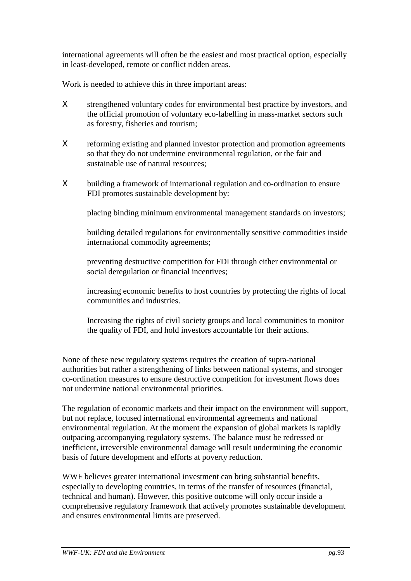international agreements will often be the easiest and most practical option, especially in least-developed, remote or conflict ridden areas.

Work is needed to achieve this in three important areas:

- X strengthened voluntary codes for environmental best practice by investors, and the official promotion of voluntary eco-labelling in mass-market sectors such as forestry, fisheries and tourism;
- Χ reforming existing and planned investor protection and promotion agreements so that they do not undermine environmental regulation, or the fair and sustainable use of natural resources;
- Χ building a framework of international regulation and co-ordination to ensure FDI promotes sustainable development by:

placing binding minimum environmental management standards on investors;

building detailed regulations for environmentally sensitive commodities inside international commodity agreements;

preventing destructive competition for FDI through either environmental or social deregulation or financial incentives;

increasing economic benefits to host countries by protecting the rights of local communities and industries.

Increasing the rights of civil society groups and local communities to monitor the quality of FDI, and hold investors accountable for their actions.

None of these new regulatory systems requires the creation of supra-national authorities but rather a strengthening of links between national systems, and stronger co-ordination measures to ensure destructive competition for investment flows does not undermine national environmental priorities.

The regulation of economic markets and their impact on the environment will support, but not replace, focused international environmental agreements and national environmental regulation. At the moment the expansion of global markets is rapidly outpacing accompanying regulatory systems. The balance must be redressed or inefficient, irreversible environmental damage will result undermining the economic basis of future development and efforts at poverty reduction.

WWF believes greater international investment can bring substantial benefits, especially to developing countries, in terms of the transfer of resources (financial, technical and human). However, this positive outcome will only occur inside a comprehensive regulatory framework that actively promotes sustainable development and ensures environmental limits are preserved.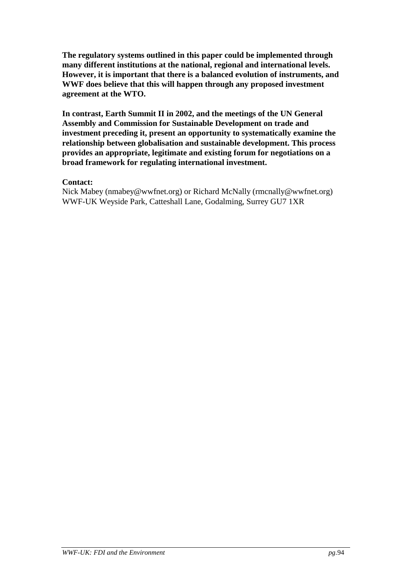**The regulatory systems outlined in this paper could be implemented through many different institutions at the national, regional and international levels. However, it is important that there is a balanced evolution of instruments, and WWF does believe that this will happen through any proposed investment agreement at the WTO.**

**In contrast, Earth Summit II in 2002, and the meetings of the UN General Assembly and Commission for Sustainable Development on trade and investment preceding it, present an opportunity to systematically examine the relationship between globalisation and sustainable development. This process provides an appropriate, legitimate and existing forum for negotiations on a broad framework for regulating international investment.**

#### **Contact:**

Nick Mabey (nmabey@wwfnet.org) or Richard McNally (rmcnally@wwfnet.org) WWF-UK Weyside Park, Catteshall Lane, Godalming, Surrey GU7 1XR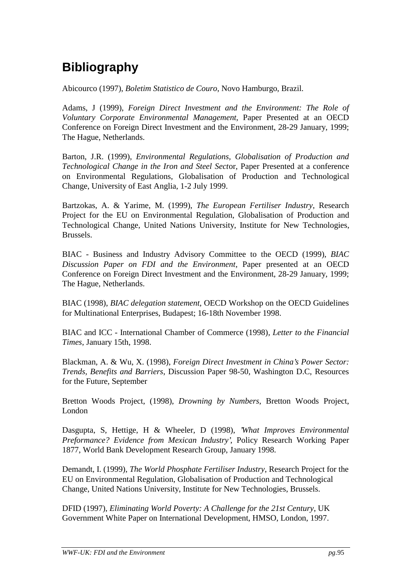# **Bibliography**

Abicourco (1997), *Boletim Statistico de Couro*, Novo Hamburgo, Brazil.

Adams, J (1999), *Foreign Direct Investment and the Environment: The Role of Voluntary Corporate Environmental Management*, Paper Presented at an OECD Conference on Foreign Direct Investment and the Environment, 28-29 January, 1999; The Hague, Netherlands.

Barton, J.R. (1999), *Environmental Regulations, Globalisation of Production and Technological Change in the Iron and Steel Sect*or, Paper Presented at a conference on Environmental Regulations, Globalisation of Production and Technological Change, University of East Anglia, 1-2 July 1999.

Bartzokas, A. & Yarime, M. (1999), *The European Fertiliser Industry*, Research Project for the EU on Environmental Regulation, Globalisation of Production and Technological Change, United Nations University, Institute for New Technologies, Brussels.

BIAC - Business and Industry Advisory Committee to the OECD (1999), *BIAC Discussion Paper on FDI and the Environment*, Paper presented at an OECD Conference on Foreign Direct Investment and the Environment, 28-29 January, 1999; The Hague, Netherlands.

BIAC (1998), *BIAC delegation statement*, OECD Workshop on the OECD Guidelines for Multinational Enterprises, Budapest; 16-18th November 1998.

BIAC and ICC - International Chamber of Commerce (1998)*, Letter to the Financial Times*, January 15th, 1998.

Blackman, A. & Wu, X. (1998), *Foreign Direct Investment in China's Power Sector: Trends, Benefits and Barriers*, Discussion Paper 98-50, Washington D.C, Resources for the Future, September

Bretton Woods Project, (1998), *Drowning by Numbers*, Bretton Woods Project, London

Dasgupta, S, Hettige, H & Wheeler, D (1998), *'What Improves Environmental Preformance? Evidence from Mexican Industry'*, Policy Research Working Paper 1877, World Bank Development Research Group, January 1998.

Demandt, I. (1999), *The World Phosphate Fertiliser Industry*, Research Project for the EU on Environmental Regulation, Globalisation of Production and Technological Change, United Nations University, Institute for New Technologies, Brussels.

DFID (1997), *Eliminating World Poverty: A Challenge for the 21st Century*, UK Government White Paper on International Development, HMSO, London, 1997.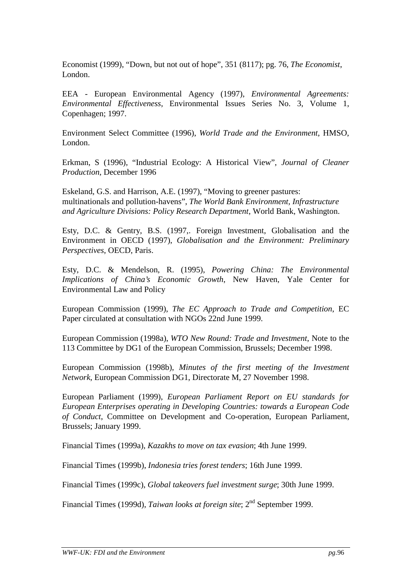Economist (1999), "Down, but not out of hope", 351 (8117); pg. 76, *The Economist*, London.

EEA - European Environmental Agency (1997), *Environmental Agreements: Environmental Effectiveness*, Environmental Issues Series No. 3, Volume 1, Copenhagen; 1997.

Environment Select Committee (1996), *World Trade and the Environment*, HMSO, London.

Erkman, S (1996), "Industrial Ecology: A Historical View", *Journal of Cleaner Production*, December 1996

Eskeland, G.S. and Harrison, A.E. (1997), "Moving to greener pastures: multinationals and pollution-havens", *The World Bank Environment, Infrastructure and Agriculture Divisions: Policy Research Department*, World Bank, Washington.

Esty, D.C. & Gentry, B.S. (1997,. Foreign Investment, Globalisation and the Environment in OECD (1997), *Globalisation and the Environment: Preliminary Perspectives*, OECD, Paris.

Esty, D.C. & Mendelson, R. (1995), *Powering China: The Environmental Implications of China's Economic Growth*, New Haven, Yale Center for Environmental Law and Policy

European Commission (1999), *The EC Approach to Trade and Competition*, EC Paper circulated at consultation with NGOs 22nd June 1999.

European Commission (1998a), *WTO New Round: Trade and Investment*, Note to the 113 Committee by DG1 of the European Commission, Brussels; December 1998.

European Commission (1998b), *Minutes of the first meeting of the Investment Network*, European Commission DG1, Directorate M, 27 November 1998.

European Parliament (1999), *European Parliament Report on EU standards for European Enterprises operating in Developing Countries: towards a European Code of Conduct*, Committee on Development and Co-operation, European Parliament, Brussels; January 1999.

Financial Times (1999a), *Kazakhs to move on tax evasion*; 4th June 1999.

Financial Times (1999b), *Indonesia tries forest tenders*; 16th June 1999.

Financial Times (1999c), *Global takeovers fuel investment surge*; 30th June 1999.

Financial Times (1999d), *Taiwan looks at foreign site*; 2<sup>nd</sup> September 1999.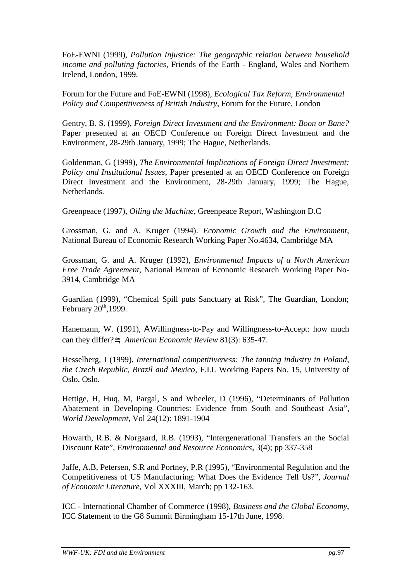FoE-EWNI (1999), *Pollution Injustice: The geographic relation between household income and polluting factories*, Friends of the Earth - England, Wales and Northern Irelend, London, 1999.

Forum for the Future and FoE-EWNI (1998), *Ecological Tax Reform, Environmental Policy and Competitiveness of British Industry*, Forum for the Future, London

Gentry, B. S. (1999), *Foreign Direct Investment and the Environment: Boon or Bane?* Paper presented at an OECD Conference on Foreign Direct Investment and the Environment, 28-29th January, 1999; The Hague, Netherlands.

Goldenman, G (1999), *The Environmental Implications of Foreign Direct Investment: Policy and Institutional Issues*, Paper presented at an OECD Conference on Foreign Direct Investment and the Environment, 28-29th January, 1999; The Hague, Netherlands.

Greenpeace (1997), *Oiling the Machine*, Greenpeace Report, Washington D.C

Grossman, G. and A. Kruger (1994). *Economic Growth and the Environment*, National Bureau of Economic Research Working Paper No.4634, Cambridge MA

Grossman, G. and A. Kruger (1992), *Environmental Impacts of a North American Free Trade Agreement*, National Bureau of Economic Research Working Paper No-3914, Cambridge MA

Guardian (1999), "Chemical Spill puts Sanctuary at Risk", The Guardian, London; February  $20<sup>th</sup>$ , 1999.

Hanemann, W. (1991), ΑWillingness-to-Pay and Willingness-to-Accept: how much can they differ?≅, *American Economic Review* 81(3): 635-47.

Hesselberg, J (1999), *International competitiveness: The tanning industry in Poland, the Czech Republic, Brazil and Mexico*, F.I.L Working Papers No. 15, University of Oslo, Oslo.

Hettige, H, Huq, M, Pargal, S and Wheeler, D (1996), "Determinants of Pollution Abatement in Developing Countries: Evidence from South and Southeast Asia", *World Development*, Vol 24(12): 1891-1904

Howarth, R.B. & Norgaard, R.B. (1993), "Intergenerational Transfers an the Social Discount Rate", *Environmental and Resource Economics*, 3(4); pp 337-358

Jaffe, A.B, Petersen, S.R and Portney, P.R (1995), "Environmental Regulation and the Competitiveness of US Manufacturing: What Does the Evidence Tell Us?"*, Journal of Economic Literature*, Vol XXXIII, March; pp 132-163.

ICC - International Chamber of Commerce (1998), *Business and the Global Economy*, ICC Statement to the G8 Summit Birmingham 15-17th June, 1998.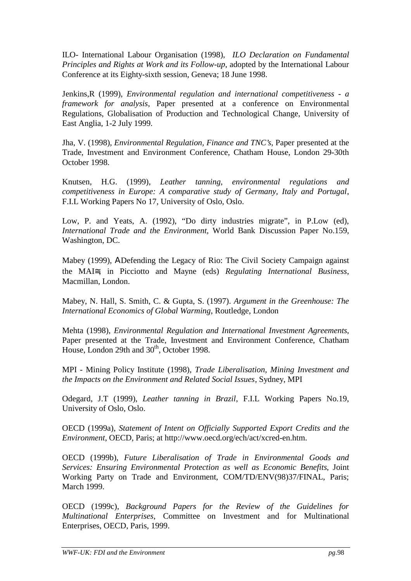ILO- International Labour Organisation (1998), *ILO Declaration on Fundamental Principles and Rights at Work and its Follow-up*, adopted by the International Labour Conference at its Eighty-sixth session, Geneva; 18 June 1998.

Jenkins,R (1999), *Environmental regulation and international competitiveness - a framework for analysis*, Paper presented at a conference on Environmental Regulations, Globalisation of Production and Technological Change, University of East Anglia, 1-2 July 1999.

Jha, V. (1998), *Environmental Regulation, Finance and TNC's*, Paper presented at the Trade, Investment and Environment Conference, Chatham House, London 29-30th October 1998.

Knutsen, H.G. (1999), *Leather tanning, environmental regulations and competitiveness in Europe: A comparative study of Germany, Italy and Portugal*, F.I.L Working Papers No 17*,* University of Oslo, Oslo.

Low, P. and Yeats, A. (1992), "Do dirty industries migrate", in P.Low (ed), *International Trade and the Environment,* World Bank Discussion Paper No.159, Washington, DC.

Mabey (1999), ΑDefending the Legacy of Rio: The Civil Society Campaign against the MAI≅, in Picciotto and Mayne (eds) *Regulating International Business*, Macmillan, London.

Mabey, N. Hall, S. Smith, C. & Gupta, S. (1997). *Argument in the Greenhouse: The International Economics of Global Warming*, Routledge, London

Mehta (1998), *Environmental Regulation and International Investment Agreements*, Paper presented at the Trade, Investment and Environment Conference, Chatham House, London 29th and 30<sup>th</sup>, October 1998.

MPI - Mining Policy Institute (1998), *Trade Liberalisation, Mining Investment and the Impacts on the Environment and Related Social Issues*, Sydney, MPI

Odegard, J.T (1999), *Leather tanning in Brazil*, F.I.L Working Papers No.19, University of Oslo, Oslo.

OECD (1999a), *Statement of Intent on Officially Supported Export Credits and the Environment*, OECD, Paris; at http://www.oecd.org/ech/act/xcred-en.htm.

OECD (1999b), *Future Liberalisation of Trade in Environmental Goods and Services: Ensuring Environmental Protection as well as Economic Benefits*, Joint Working Party on Trade and Environment, COM/TD/ENV(98)37/FINAL, Paris; March 1999.

OECD (1999c), *Background Papers for the Review of the Guidelines for Multinational Enterprises*, Committee on Investment and for Multinational Enterprises, OECD, Paris, 1999.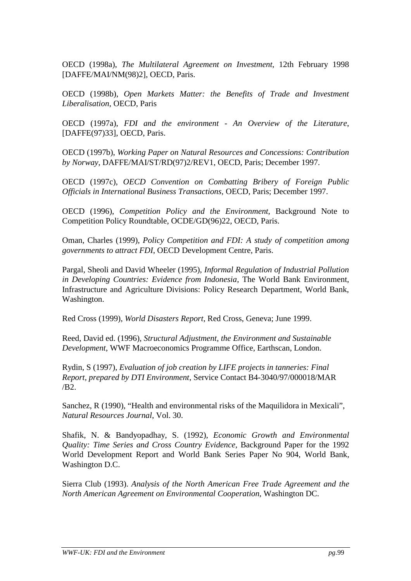OECD (1998a), *The Multilateral Agreement on Investment*, 12th February 1998 [DAFFE/MAI/NM(98)2], OECD, Paris.

OECD (1998b), *Open Markets Matter: the Benefits of Trade and Investment Liberalisation*, OECD, Paris

OECD (1997a), *FDI and the environment - An Overview of the Literature*, [DAFFE(97)33], OECD, Paris.

OECD (1997b), *Working Paper on Natural Resources and Concessions: Contribution by Norway*, DAFFE/MAI/ST/RD(97)2/REV1, OECD, Paris; December 1997.

OECD (1997c), *OECD Convention on Combatting Bribery of Foreign Public Officials in International Business Transactions,* OECD, Paris; December 1997.

OECD (1996), *Competition Policy and the Environment*, Background Note to Competition Policy Roundtable, OCDE/GD(96)22, OECD, Paris.

Oman, Charles (1999)*, Policy Competition and FDI: A study of competition among governments to attract FDI*, OECD Development Centre, Paris.

Pargal, Sheoli and David Wheeler (1995), *Informal Regulation of Industrial Pollution in Developing Countries: Evidence from Indonesia*, The World Bank Environment, Infrastructure and Agriculture Divisions: Policy Research Department, World Bank, Washington.

Red Cross (1999), *World Disasters Report*, Red Cross, Geneva; June 1999.

Reed, David ed. (1996), *Structural Adjustment, the Environment and Sustainable Development*, WWF Macroeconomics Programme Office, Earthscan, London.

Rydin, S (1997), *Evaluation of job creation by LIFE projects in tanneries: Final Report, prepared by DTI Environment*, Service Contact B4-3040/97/000018/MAR /B2.

Sanchez, R (1990), "Health and environmental risks of the Maquilidora in Mexicali", *Natural Resources Journal*, Vol. 30.

Shafik, N. & Bandyopadhay, S. (1992), *Economic Growth and Environmental Quality: Time Series and Cross Country Evidence,* Background Paper for the 1992 World Development Report and World Bank Series Paper No 904, World Bank, Washington D.C.

Sierra Club (1993). *Analysis of the North American Free Trade Agreement and the North American Agreement on Environmental Cooperation*, Washington DC.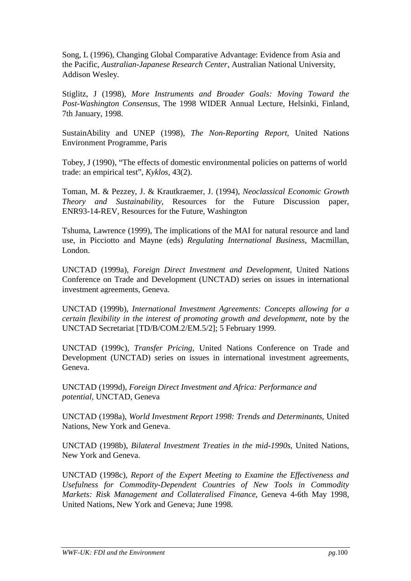Song, L (1996), Changing Global Comparative Advantage: Evidence from Asia and the Pacific, *Australian-Japanese Research Center*, Australian National University, Addison Wesley.

Stiglitz, J (1998), *More Instruments and Broader Goals: Moving Toward the Post-Washington Consensus*, The 1998 WIDER Annual Lecture, Helsinki, Finland, 7th January, 1998.

SustainAbility and UNEP (1998), *The Non-Reporting Report*, United Nations Environment Programme, Paris

Tobey, J (1990), "The effects of domestic environmental policies on patterns of world trade: an empirical test", *Kyklos,* 43(2).

Toman, M. & Pezzey, J. & Krautkraemer, J. (1994), *Neoclassical Economic Growth Theory and Sustainability*, Resources for the Future Discussion paper, ENR93-14-REV, Resources for the Future, Washington

Tshuma, Lawrence (1999), The implications of the MAI for natural resource and land use, in Picciotto and Mayne (eds) *Regulating International Business*, Macmillan, London.

UNCTAD (1999a), *Foreign Direct Investment and Development*, United Nations Conference on Trade and Development (UNCTAD) series on issues in international investment agreements, Geneva.

UNCTAD (1999b), *International Investment Agreements: Concepts allowing for a certain flexibility in the interest of promoting growth and development*, note by the UNCTAD Secretariat [TD/B/COM.2/EM.5/2]; 5 February 1999.

UNCTAD (1999c), *Transfer Pricing*, United Nations Conference on Trade and Development (UNCTAD) series on issues in international investment agreements, Geneva.

UNCTAD (1999d), *Foreign Direct Investment and Africa: Performance and potential,* UNCTAD, Geneva

UNCTAD (1998a), *World Investment Report 1998: Trends and Determinants*, United Nations, New York and Geneva.

UNCTAD (1998b), *Bilateral Investment Treaties in the mid-1990s*, United Nations, New York and Geneva.

UNCTAD (1998c), *Report of the Expert Meeting to Examine the Effectiveness and Usefulness for Commodity-Dependent Countries of New Tools in Commodity Markets: Risk Management and Collateralised Finance*, Geneva 4-6th May 1998, United Nations, New York and Geneva; June 1998.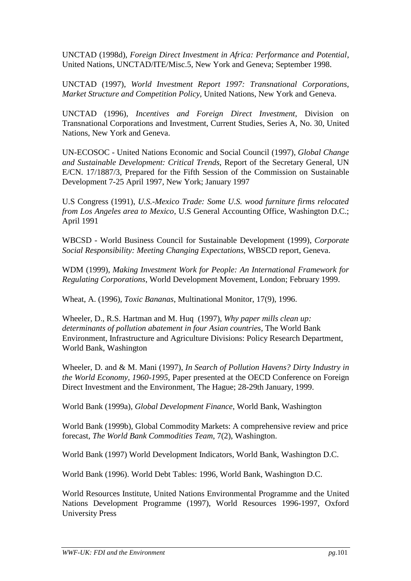UNCTAD (1998d), *Foreign Direct Investment in Africa: Performance and Potential*, United Nations, UNCTAD/ITE/Misc.5, New York and Geneva; September 1998.

UNCTAD (1997), *World Investment Report 1997: Transnational Corporations, Market Structure and Competition Policy*, United Nations, New York and Geneva.

UNCTAD (1996), *Incentives and Foreign Direct Investment*, Division on Transnational Corporations and Investment, Current Studies, Series A, No. 30, United Nations, New York and Geneva.

UN-ECOSOC - United Nations Economic and Social Council (1997), *Global Change and Sustainable Development: Critical Trends*, Report of the Secretary General, UN E/CN. 17/1887/3, Prepared for the Fifth Session of the Commission on Sustainable Development 7-25 April 1997, New York; January 1997

U.S Congress (1991), *U.S.-Mexico Trade: Some U.S. wood furniture firms relocated from Los Angeles area to Mexico*, U.S General Accounting Office, Washington D.C.; April 1991

WBCSD - World Business Council for Sustainable Development (1999), *Corporate Social Responsibility: Meeting Changing Expectations*, WBSCD report, Geneva.

WDM (1999), *Making Investment Work for People: An International Framework for Regulating Corporations*, World Development Movement, London; February 1999.

Wheat, A. (1996), *Toxic Bananas*, Multinational Monitor, 17(9), 1996.

Wheeler, D., R.S. Hartman and M. Huq (1997), *Why paper mills clean up: determinants of pollution abatement in four Asian countries*, The World Bank Environment, Infrastructure and Agriculture Divisions: Policy Research Department, World Bank, Washington

Wheeler, D. and & M. Mani (1997), *In Search of Pollution Havens? Dirty Industry in the World Economy, 1960-1995*, Paper presented at the OECD Conference on Foreign Direct Investment and the Environment, The Hague; 28-29th January, 1999.

World Bank (1999a), *Global Development Finance*, World Bank, Washington

World Bank (1999b), Global Commodity Markets: A comprehensive review and price forecast, *The World Bank Commodities Team*, 7(2), Washington.

World Bank (1997) World Development Indicators, World Bank, Washington D.C.

World Bank (1996). World Debt Tables: 1996, World Bank, Washington D.C.

World Resources Institute, United Nations Environmental Programme and the United Nations Development Programme (1997), World Resources 1996-1997, Oxford University Press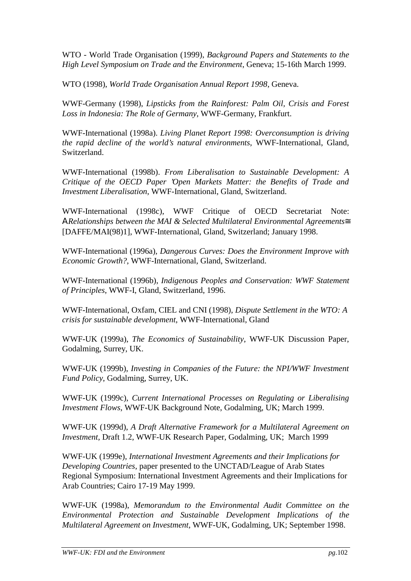WTO - World Trade Organisation (1999), *Background Papers and Statements to the High Level Symposium on Trade and the Environment*, Geneva; 15-16th March 1999.

WTO (1998), *World Trade Organisation Annual Report 1998*, Geneva.

WWF-Germany (1998), *Lipsticks from the Rainforest: Palm Oil, Crisis and Forest Loss in Indonesia: The Role of Germany*, WWF-Germany, Frankfurt.

WWF-International (1998a). *Living Planet Report 1998: Overconsumption is driving the rapid decline of the world's natural environments*, WWF-International, Gland, Switzerland.

WWF-International (1998b). *From Liberalisation to Sustainable Development: A Critique of the OECD Paper 'Open Markets Matter: the Benefits of Trade and Investment Liberalisation*, WWF-International, Gland, Switzerland.

WWF-International (1998c), WWF Critique of OECD Secretariat Note: Α*Relationships between the MAI & Selected Multilateral Environmental Agreements*≅ [DAFFE/MAI(98)1], WWF-International, Gland, Switzerland; January 1998.

WWF-International (1996a)*, Dangerous Curves: Does the Environment Improve with Economic Growth?*, WWF-International, Gland, Switzerland.

WWF-International (1996b), *Indigenous Peoples and Conservation: WWF Statement of Principles*, WWF-I, Gland, Switzerland, 1996.

WWF-International, Oxfam, CIEL and CNI (1998), *Dispute Settlement in the WTO: A crisis for sustainable development*, WWF-International, Gland

WWF-UK (1999a), *The Economics of Sustainability*, WWF-UK Discussion Paper, Godalming, Surrey, UK.

WWF-UK (1999b), *Investing in Companies of the Future: the NPI/WWF Investment Fund Policy*, Godalming, Surrey, UK.

WWF-UK (1999c), *Current International Processes on Regulating or Liberalising Investment Flows*, WWF-UK Background Note, Godalming, UK; March 1999.

WWF-UK (1999d), *A Draft Alternative Framework for a Multilateral Agreement on Investment,* Draft 1.2, WWF-UK Research Paper, Godalming, UK; March 1999

WWF-UK (1999e)*, International Investment Agreements and their Implications for Developing Countries*, paper presented to the UNCTAD/League of Arab States Regional Symposium: International Investment Agreements and their Implications for Arab Countries; Cairo 17-19 May 1999.

WWF-UK (1998a), *Memorandum to the Environmental Audit Committee on the Environmental Protection and Sustainable Development Implications of the Multilateral Agreement on Investment,* WWF-UK, Godalming, UK; September 1998.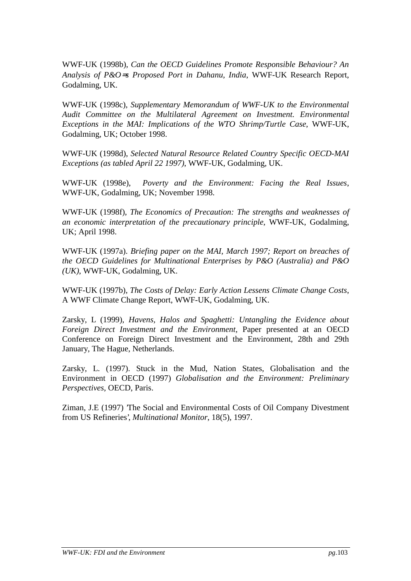WWF-UK (1998b), *Can the OECD Guidelines Promote Responsible Behaviour? An Analysis of P&O*=*s Proposed Port in Dahanu, India*, WWF-UK Research Report, Godalming, UK.

WWF-UK (1998c), *Supplementary Memorandum of WWF-UK to the Environmental Audit Committee on the Multilateral Agreement on Investment. Environmental Exceptions in the MAI: Implications of the WTO Shrimp/Turtle Case*, WWF-UK, Godalming, UK; October 1998.

WWF-UK (1998d), *Selected Natural Resource Related Country Specific OECD-MAI Exceptions (as tabled April 22 1997)*, WWF-UK, Godalming, UK.

WWF-UK (1998e), *Poverty and the Environment: Facing the Real Issues*, WWF-UK, Godalming, UK; November 1998.

WWF-UK (1998f), *The Economics of Precaution: The strengths and weaknesses of an economic interpretation of the precautionary principle*, WWF-UK, Godalming, UK; April 1998.

WWF-UK (1997a). *Briefing paper on the MAI, March 1997; Report on breaches of the OECD Guidelines for Multinational Enterprises by P&O (Australia) and P&O (UK)*, WWF-UK, Godalming, UK.

WWF-UK (1997b), *The Costs of Delay: Early Action Lessens Climate Change Costs*, A WWF Climate Change Report, WWF-UK, Godalming, UK.

Zarsky, L (1999), *Havens, Halos and Spaghetti: Untangling the Evidence about Foreign Direct Investment and the Environment*, Paper presented at an OECD Conference on Foreign Direct Investment and the Environment, 28th and 29th January, The Hague, Netherlands.

Zarsky, L. (1997). Stuck in the Mud, Nation States, Globalisation and the Environment in OECD (1997) *Globalisation and the Environment: Preliminary Perspectives*, OECD, Paris.

Ziman, J.E (1997) 'The Social and Environmental Costs of Oil Company Divestment from US Refineries', *Multinational Monitor*, 18(5), 1997.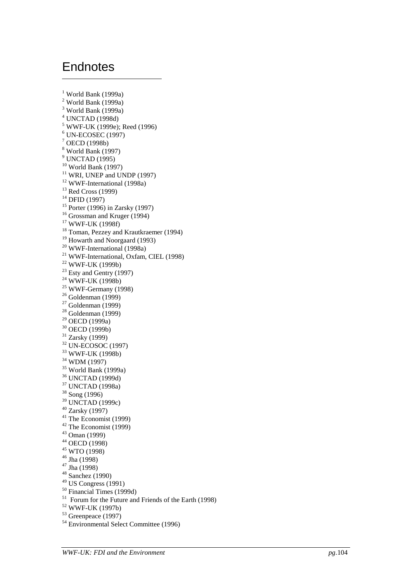### **Endnotes**

 $\overline{a}$ 

<sup>1</sup> World Bank (1999a) <sup>2</sup> World Bank (1999a) <sup>3</sup> World Bank (1999a) 4 UNCTAD (1998d) 5 WWF-UK (1999e); Reed (1996) 6 UN-ECOSEC (1997)  $1$ <sup>7</sup> OECD (1998b) 8 World Bank (1997) <sup>9</sup> UNCTAD (1995) 10 World Bank (1997) <sup>11</sup> WRI, UNEP and UNDP (1997) 12 WWF-International (1998a) 13 Red Cross (1999) 14 DFID (1997)  $15$  Porter (1996) in Zarsky (1997) <sup>16</sup> Grossman and Kruger (1994) 17 WWF-UK (1998f) <sup>18</sup> Toman, Pezzey and Krautkraemer (1994) 19 Howarth and Noorgaard (1993) 20 WWF-International (1998a) 21 WWF-International, Oxfam, CIEL (1998) 22 WWF-UK (1999b)  $23$  Esty and Gentry (1997)  $24$  WWF-UK (1998b)  $25$  WWF-Germany (1998)  $26$  Goldenman (1999)  $27$  Goldenman (1999)  $28$  Goldenman (1999) 29 OECD (1999a) 30 OECD (1999b) 31 Zarsky (1999) 32 UN-ECOSOC (1997) 33 WWF-UK (1998b) 34 WDM (1997) 35 World Bank (1999a) 36 UNCTAD (1999d) 37 UNCTAD (1998a) 38 Song (1996) 39 UNCTAD (1999c) 40 Zarsky (1997)  $41$  The Economist (1999) 42 The Economist (1999) 43 Oman (1999) 44 OECD (1998) 45 WTO (1998) 46 Jha (1998) 47 Jha (1998) 48 Sanchez (1990) 49 US Congress (1991) 50 Financial Times (1999d)  $51$  Forum for the Future and Friends of the Earth (1998) 52 WWF-UK (1997b) 53 Greenpeace (1997) 54 Environmental Select Committee (1996)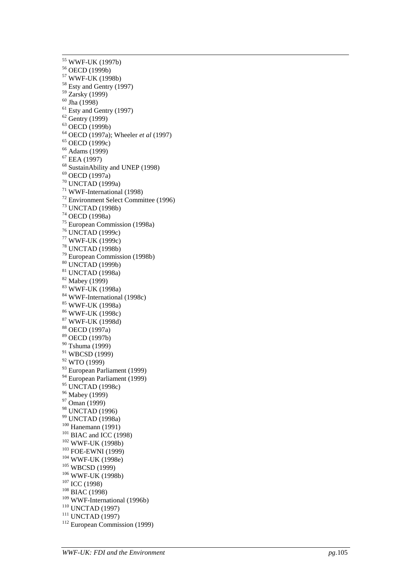55 WWF-UK (1997b) 56 OECD (1999b) 57 WWF-UK (1998b) 58 Esty and Gentry (1997) 59 Zarsky (1999) 60 Jha (1998)  $61$  Esty and Gentry (1997) 62 Gentry (1999) 63 OECD (1999b) <sup>64</sup> OECD (1997a); Wheeler *et al* (1997) <sup>65</sup> OECD (1999c) 66 Adams (1999) 67 EEA (1997) 68 SustainAbility and UNEP (1998) 69 OECD (1997a) 70 UNCTAD (1999a) 71 WWF-International (1998) 72 Environment Select Committee (1996) 73 UNCTAD (1998b) 74 OECD (1998a) 75 European Commission (1998a) 76 UNCTAD (1999c) 77 WWF-UK (1999c) 78 UNCTAD (1998b) 79 European Commission (1998b) 80 UNCTAD (1999b) 81 UNCTAD (1998a) 82 Mabey (1999) 83 WWF-UK (1998a) 84 WWF-International (1998c) 85 WWF-UK (1998a) 86 WWF-UK (1998c) 87 WWF-UK (1998d) 88 OECD (1997a) 89 OECD (1997b) 90 Tshuma (1999) 91 WBCSD (1999) 92 WTO (1999) 93 European Parliament (1999) 94 European Parliament (1999) 95 UNCTAD (1998c) 96 Mabey (1999) 97 Oman (1999) 98 UNCTAD (1996) <sup>99</sup> UNCTAD (1998a)<br><sup>100</sup> Hanemann (1991) <sup>101</sup> BIAC and ICC (1998)<br>
<sup>102</sup> WWF-UK (1998b)<br>
<sup>103</sup> FOE-EWNI (1999)<br>
<sup>104</sup> WWF-UK (1998e)<br>
<sup>105</sup> WBCSD (1999)<br>
<sup>106</sup> WWF-UK (1998b)<br>
<sup>107</sup> ICC (1998)<br>
<sup>108</sup> BIAC (1998)<br>
<sup>109</sup> WWF-International (1996b) <sup>110</sup> UNCTAD (1997)<br><sup>111</sup> UNCTAD (1997)<br><sup>112</sup> European Commission (1999)